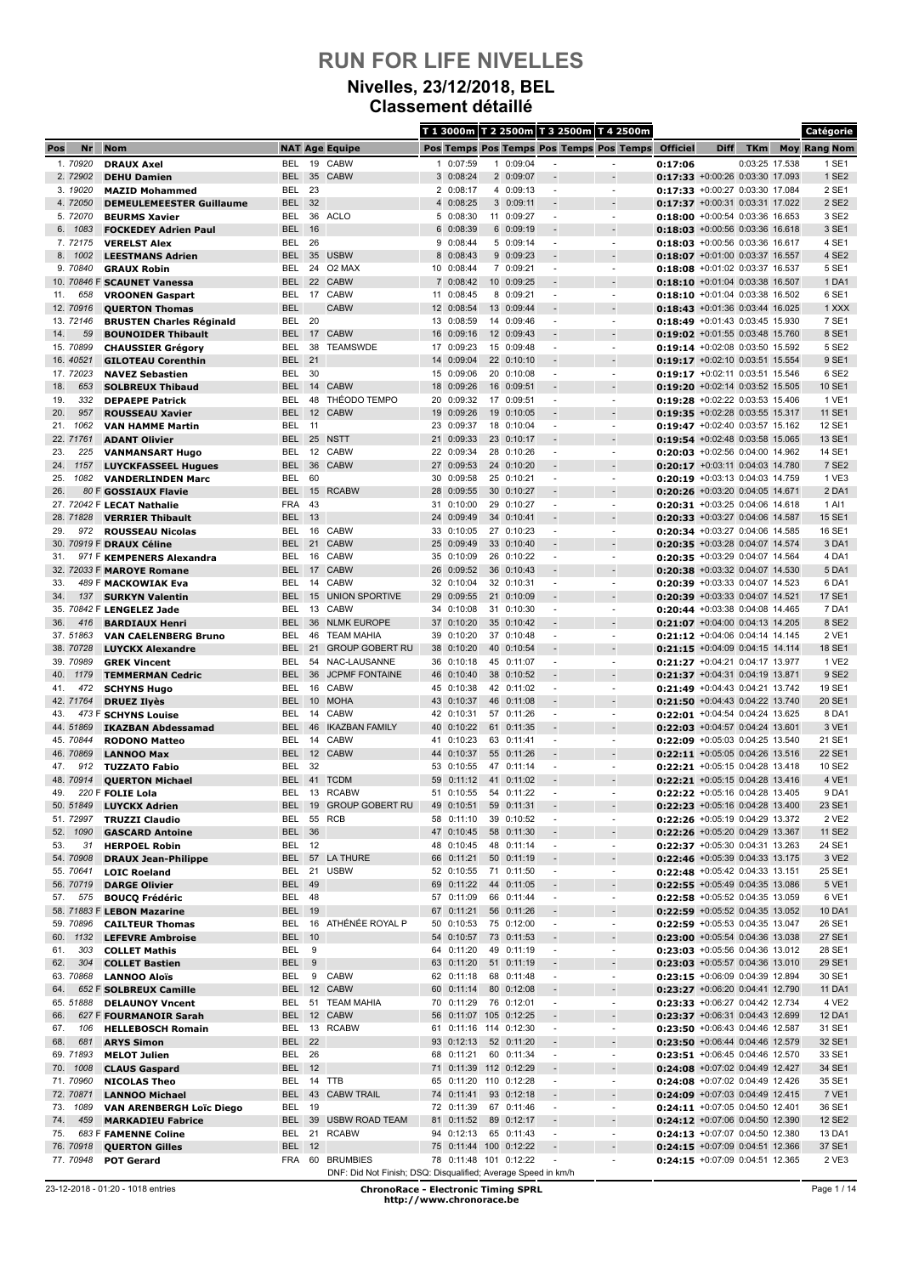### **Nivelles, 23/12/2018, BEL Classement détaillé**

|            |                        |                                                          |                             |          |                                                                                  |          |                          |    |                                      |                                            | T 1 3000m T 2 2500m T 3 2500m T 4 2500m    |                 |                                                                       |                | Catégorie           |
|------------|------------------------|----------------------------------------------------------|-----------------------------|----------|----------------------------------------------------------------------------------|----------|--------------------------|----|--------------------------------------|--------------------------------------------|--------------------------------------------|-----------------|-----------------------------------------------------------------------|----------------|---------------------|
| Pos        | Nr                     | <b>Nom</b>                                               |                             |          | <b>NAT Age Equipe</b>                                                            |          |                          |    |                                      |                                            | Pos Temps Pos Temps Pos Temps Pos Temps    | <b>Officiel</b> | <b>Diff</b>                                                           | <b>TKm</b>     | <b>Moy Rang Nom</b> |
|            | 1.70920                | <b>DRAUX Axel</b>                                        | BEL                         | 19       | CABW                                                                             |          | 1 0:07:59                |    | 1 0:09:04                            |                                            |                                            | 0:17:06         |                                                                       | 0:03:25 17.538 | 1 SE1               |
|            | 2.72902                | <b>DEHU Damien</b>                                       | <b>BEL</b>                  |          | 35 CABW                                                                          |          | 3 0:08:24                |    | 2 0:09:07                            |                                            |                                            |                 | 0:17:33 +0:00:26 0:03:30 17.093                                       |                | 1 SE2               |
|            | 3. 19020               | <b>MAZID Mohammed</b>                                    | <b>BEL</b>                  | 23       |                                                                                  |          | 2 0:08:17                |    | 4 0:09:13                            | $\overline{a}$                             | $\blacksquare$                             |                 | 0:17:33 +0:00:27 0:03:30 17.084                                       |                | 2 SE1               |
|            | 4.72050<br>5.72070     | <b>DEMEULEMEESTER Guillaume</b>                          | <b>BEL</b>                  | 32       | 36 ACLO                                                                          |          | 4 0:08:25<br>5 0:08:30   |    | 3 0:09:11<br>11 0:09:27              | $\overline{\phantom{a}}$                   | $\overline{\phantom{a}}$                   |                 | $0:17:37 + 0:00:31$ 0:03:31 17.022<br>0:18:00 +0:00:54 0:03:36 16.653 |                | 2 SE2<br>3 SE2      |
|            | 6. 1083                | <b>BEURMS Xavier</b><br><b>FOCKEDEY Adrien Paul</b>      | BEL<br><b>BEL</b>           | 16       |                                                                                  |          | 6 0:08:39                |    | 6 0:09:19                            |                                            |                                            |                 | 0:18:03 +0:00:56 0:03:36 16.618                                       |                | 3 SE1               |
|            | 7.72175                | <b>VERELST Alex</b>                                      | BEL                         | -26      |                                                                                  |          | 9 0:08:44                |    | 5 0:09:14                            | $\overline{\phantom{a}}$                   | $\overline{\phantom{a}}$                   |                 | 0:18:03 +0:00:56 0:03:36 16.617                                       |                | 4 SE1               |
| 8.         | 1002                   | <b>LEESTMANS Adrien</b>                                  | <b>BEL</b>                  | 35       | <b>USBW</b>                                                                      |          | 8 0:08:43                |    | 9 0:09:23                            |                                            |                                            |                 | 0:18:07 +0:01:00 0:03:37 16.557                                       |                | 4 SE2               |
|            | 9.70840                | <b>GRAUX Robin</b>                                       | BEL                         |          | 24 O2 MAX                                                                        |          | 10 0:08:44               |    | 7 0:09:21                            | $\overline{\phantom{a}}$                   | $\overline{\phantom{a}}$                   |                 | $0:18:08$ +0:01:02 0:03:37 16.537                                     |                | 5 SE1               |
|            |                        | 10. 70846 F SCAUNET Vanessa                              | BEL                         |          | 22 CABW                                                                          |          | 7 0:08:42                |    | 10 0:09:25                           |                                            |                                            |                 | 0:18:10 +0:01:04 0:03:38 16.507                                       |                | 1 DA1               |
| 11.        | 658                    | <b>VROONEN Gaspart</b>                                   | BEL                         |          | 17 CABW                                                                          |          | 11 0:08:45               |    | 8 0:09:21                            | $\blacksquare$                             | $\blacksquare$                             |                 | 0:18:10 +0:01:04 0:03:38 16.502                                       |                | 6 SE1               |
|            | 12, 70916<br>13. 72146 | <b>QUERTON Thomas</b><br><b>BRUSTEN Charles Réginald</b> | <b>BEL</b><br>BEL           | 20       | <b>CABW</b>                                                                      |          | 12 0:08:54<br>13 0:08:59 |    | 13 0:09:44<br>14 0:09:46             |                                            |                                            |                 | 0:18:43 +0:01:36 0:03:44 16.025<br>$0:18:49$ +0:01:43 0:03:45 15.930  |                | 1 XXX<br>7 SE1      |
| 14.        | 59                     | <b>BOUNOIDER Thibault</b>                                | <b>BEL</b>                  |          | 17 CABW                                                                          |          | 16 0:09:16               |    | 12 0:09:43                           | $\overline{a}$                             |                                            |                 | $0:19:02 +0:01:55 0:03:48 15.760$                                     |                | 8 SE1               |
|            | 15. 70899              | <b>CHAUSSIER Grégory</b>                                 | BEL                         | 38       | TEAMSWDE                                                                         |          | 17 0:09:23               |    | 15 0:09:48                           | $\overline{\phantom{a}}$                   | $\blacksquare$                             |                 | 0:19:14 +0:02:08 0:03:50 15.592                                       |                | 5 SE2               |
|            | 16.40521               | <b>GILOTEAU Corenthin</b>                                | BEL                         | 21       |                                                                                  |          | 14 0:09:04               |    | 22 0:10:10                           | $\overline{\phantom{a}}$                   |                                            |                 | 0:19:17 +0:02:10 0:03:51 15.554                                       |                | 9 SE1               |
|            | 17. 72023              | <b>NAVEZ Sebastien</b>                                   | BEL                         | 30       |                                                                                  | 15       | 0:09:06                  |    | 20 0:10:08                           | $\overline{\phantom{a}}$                   | $\overline{\phantom{m}}$                   |                 | 0:19:17 +0:02:11 0:03:51 15.546                                       |                | 6 SE2               |
| 18.<br>19. | 653<br>332             | <b>SOLBREUX Thibaud</b>                                  | <b>BEL</b><br>BEL           | 48       | 14 CABW<br><b>THÉODO TEMPO</b>                                                   | 18<br>20 | 0:09:26<br>0:09:32       |    | 16 0:09:51<br>17 0:09:51             | $\overline{\phantom{a}}$                   | $\overline{\phantom{a}}$                   |                 | $0:19:20$ +0:02:14 0:03:52 15.505<br>0:19:28 +0:02:22 0:03:53 15.406  |                | 10 SE1<br>1 VE1     |
| 20.        | 957                    | <b>DEPAEPE Patrick</b><br><b>ROUSSEAU Xavier</b>         | BEL                         |          | 12 CABW                                                                          |          | 19 0:09:26               |    | 19 0:10:05                           |                                            |                                            |                 | 0:19:35 +0:02:28 0:03:55 15.317                                       |                | 11 SE1              |
| 21.        | 1062                   | <b>VAN HAMME Martin</b>                                  | BEL                         | 11       |                                                                                  | 23       | 0:09:37                  |    | 18 0:10:04                           | $\overline{\phantom{a}}$                   | $\sim$                                     |                 | 0:19:47 +0:02:40 0:03:57 15.162                                       |                | 12 SE1              |
|            | 22.71761               | <b>ADANT Olivier</b>                                     | <b>BEL</b>                  |          | 25 NSTT                                                                          |          | 21 0:09:33               |    | 23 0:10:17                           |                                            |                                            |                 | 0:19:54 +0:02:48 0:03:58 15.065                                       |                | 13 SE1              |
| 23.        | 225                    | <b>VANMANSART Hugo</b>                                   | BEL                         |          | 12 CABW                                                                          |          | 22 0:09:34               |    | 28 0:10:26                           | $\overline{\phantom{a}}$                   | $\overline{\phantom{a}}$                   |                 | 0:20:03 +0:02:56 0:04:00 14.962                                       |                | 14 SE1              |
| 24.        | 1157                   | <b>LUYCKFASSEEL Hugues</b>                               | <b>BEL</b>                  | 36       | <b>CABW</b>                                                                      |          | 27 0:09:53               |    | 24 0:10:20                           |                                            |                                            |                 | 0:20:17 +0:03:11 0:04:03 14.780                                       |                | 7 SE2               |
| 25.<br>26. | 1082                   | <b>VANDERLINDEN Marc</b><br>80 F GOSSIAUX Flavie         | BEL<br>BEL                  | 60<br>15 | <b>RCABW</b>                                                                     |          | 30 0:09:58<br>28 0:09:55 |    | 25 0:10:21<br>30 0:10:27             | $\overline{\phantom{a}}$                   | $\overline{\phantom{a}}$                   |                 | 0:20:19 +0:03:13 0:04:03 14.759<br>0:20:26 +0:03:20 0:04:05 14.671    |                | 1 VE3<br>2 DA1      |
|            |                        | 27. 72042 F LECAT Nathalie                               | <b>FRA</b>                  | 43       |                                                                                  |          | 31 0:10:00               |    | 29 0:10:27                           | $\overline{\phantom{a}}$                   | $\overline{\phantom{a}}$                   |                 | 0:20:31 +0:03:25 0:04:06 14.618                                       |                | 1 AI1               |
|            | 28.71828               | <b>VERRIER Thibault</b>                                  | <b>BEL</b>                  | 13       |                                                                                  |          | 24 0:09:49               |    | 34 0:10:41                           |                                            |                                            |                 | 0:20:33 +0:03:27 0:04:06 14.587                                       |                | 15 SE1              |
| 29.        | 972                    | <b>ROUSSEAU Nicolas</b>                                  | BEL                         |          | 16 CABW                                                                          |          | 33 0:10:05               |    | 27 0:10:23                           | $\blacksquare$                             | $\blacksquare$                             |                 | 0:20:34 +0:03:27 0:04:06 14.585                                       |                | 16 SE1              |
|            |                        | 30. 70919 F DRAUX Céline                                 | <b>BEL</b>                  |          | 21 CABW                                                                          |          | 25 0:09:49               |    | 33 0:10:40                           |                                            |                                            |                 | 0:20:35 +0:03:28 0:04:07 14.574                                       |                | 3 DA1               |
| 31.        |                        | 971 F KEMPENERS Alexandra                                | BEL                         | 16       | <b>CABW</b>                                                                      |          | 35 0:10:09               |    | 26 0:10:22                           |                                            | $\overline{\phantom{a}}$                   |                 | 0:20:35 +0:03:29 0:04:07 14.564                                       |                | 4 DA1               |
| 33.        |                        | 32. 72033 F MAROYE Romane                                | BEL                         |          | 17 CABW<br>14 CABW                                                               |          | 26 0:09:52<br>32 0:10:04 |    | 36 0:10:43<br>32 0:10:31             | $\overline{a}$<br>$\overline{\phantom{a}}$ | $\blacksquare$                             |                 | $0:20:38$ +0:03:32 0:04:07 14.530<br>0:20:39 +0:03:33 0:04:07 14.523  |                | 5 DA1<br>6 DA1      |
| 34.        | 137                    | 489 F MACKOWIAK Eva<br><b>SURKYN Valentin</b>            | BEL<br>BEL                  |          | 15 UNION SPORTIVE                                                                |          | 29 0:09:55               |    | 21 0:10:09                           |                                            |                                            |                 | 0:20:39 +0:03:33 0:04:07 14.521                                       |                | 17 SE1              |
|            |                        | 35. 70842 F LENGELEZ Jade                                | BEL                         | 13       | CABW                                                                             |          | 34 0:10:08               |    | 31 0:10:30                           | $\overline{\phantom{a}}$                   | $\overline{\phantom{m}}$                   |                 | 0:20:44 +0:03:38 0:04:08 14.465                                       |                | 7 DA1               |
| 36.        | 416                    | <b>BARDIAUX Henri</b>                                    | BEL                         |          | 36 NLMK EUROPE                                                                   |          | 37 0:10:20               |    | 35 0:10:42                           |                                            |                                            |                 | $0:21:07$ +0:04:00 0:04:13 14.205                                     |                | 8 SE2               |
|            | 37.51863               | <b>VAN CAELENBERG Bruno</b>                              | BEL                         | 46       | <b>TEAM MAHIA</b>                                                                |          | 39 0:10:20               |    | 37 0:10:48                           | $\overline{\phantom{a}}$                   | $\overline{\phantom{a}}$                   |                 | 0:21:12 +0:04:06 0:04:14 14.145                                       |                | 2 VE1               |
|            | 38. 70728              | <b>LUYCKX Alexandre</b>                                  | <b>BEL</b>                  |          | 21 GROUP GOBERT RU                                                               |          | 38 0:10:20               |    | 40 0:10:54                           |                                            |                                            |                 | 0:21:15 +0:04:09 0:04:15 14.114                                       |                | 18 SE1              |
| 40.        | 39. 70989<br>1179      | <b>GREK Vincent</b><br><b>TEMMERMAN Cedric</b>           | BEL<br><b>BEL</b>           | 36       | 54 NAC-LAUSANNE<br><b>JCPMF FONTAINE</b>                                         |          | 36 0:10:18<br>46 0:10:40 |    | 45 0:11:07<br>38 0:10:52             | $\overline{\phantom{a}}$                   | $\overline{\phantom{a}}$                   |                 | 0:21:27 +0:04:21 0:04:17 13.977<br>0:21:37 +0:04:31 0:04:19 13.871    |                | 1 VE2<br>9 SE2      |
| 41.        | 472                    | <b>SCHYNS Hugo</b>                                       | BEL                         |          | 16 CABW                                                                          |          | 45 0:10:38               |    | 42 0:11:02                           | $\overline{\phantom{a}}$                   | $\tilde{\phantom{a}}$                      |                 | 0:21:49 +0:04:43 0:04:21 13.742                                       |                | 19 SE1              |
|            | 42.71764               | <b>DRUEZ Ilyès</b>                                       | <b>BEL</b>                  |          | 10 MOHA                                                                          |          | 43 0:10:37               |    | 46 0:11:08                           |                                            |                                            |                 | 0:21:50 +0:04:43 0:04:22 13.740                                       |                | 20 SE1              |
| 43.        |                        | 473 F SCHYNS Louise                                      | BEL                         |          | 14 CABW                                                                          |          | 42 0:10:31               |    | 57 0:11:26                           | $\overline{\phantom{a}}$                   | ÷                                          |                 | 0:22:01 +0:04:54 0:04:24 13.625                                       |                | 8 DA1               |
|            | 44.51869               | <b>IKAZBAN Abdessamad</b>                                | <b>BEL</b>                  | 46       | <b>IKAZBAN FAMILY</b>                                                            |          | 40 0:10:22               | 61 | 0:11:35                              |                                            |                                            |                 | $0:22:03$ +0:04:57 0:04:24 13.601                                     |                | 3 VE1               |
|            | 45.70844<br>46.70869   | <b>RODONO Matteo</b>                                     | BEL<br><b>BEL</b>           |          | 14 CABW<br>12 CABW                                                               |          | 41 0:10:23<br>44 0:10:37 |    | 63 0:11:41<br>55 0:11:26             | $\overline{\phantom{a}}$                   | $\overline{\phantom{a}}$                   |                 | $0:22:09$ +0:05:03 0:04:25 13.540<br>0:22:11 +0:05:05 0:04:26 13.516  |                | 21 SE1<br>22 SE1    |
| 47.        | 912                    | <b>LANNOO Max</b><br><b>TUZZATO Fabio</b>                | BEL                         | 32       |                                                                                  |          | 53 0:10:55               |    | 47 0:11:14                           | $\overline{\phantom{a}}$                   | $\blacksquare$                             |                 | 0:22:21 +0:05:15 0:04:28 13.418                                       |                | 10 SE2              |
|            | 48. 70914              | <b>QUERTON Michael</b>                                   | <b>BEL</b>                  |          | 41 TCDM                                                                          | 59       | 0:11:12                  |    | 41 0:11:02                           |                                            |                                            |                 | 0:22:21 +0:05:15 0:04:28 13.416                                       |                | 4 VE1               |
| 49.        |                        | 220 F FOLIE Lola                                         | BEL                         |          | 13 RCABW                                                                         |          | 51 0:10:55               |    | 54 0:11:22                           |                                            | $\overline{\phantom{a}}$                   |                 | 0:22:22 +0:05:16 0:04:28 13.405                                       |                | 9 DA1               |
|            | 50. 51849              | <b>LUYCKX Adrien</b>                                     | BEL                         |          | 19 GROUP GOBERT RU                                                               |          | 49 0:10:51               |    | 59 0:11:31                           |                                            | $\overline{\phantom{a}}$                   |                 | 0:22:23 +0:05:16 0:04:28 13.400                                       |                | 23 SE1              |
|            | 51.72997               | <b>TRUZZI Claudio</b>                                    | BEL                         |          | 55 RCB                                                                           |          | 58 0:11:10               |    | 39 0:10:52                           | $\overline{\phantom{a}}$                   | $\sim$                                     |                 | 0:22:26 +0:05:19 0:04:29 13.372                                       |                | 2 VE2               |
| 52.<br>53. | 1090<br>31             | <b>GASCARD Antoine</b><br><b>HERPOEL Robin</b>           | <b>BEL</b><br><b>BEL 12</b> | 36       |                                                                                  |          | 47 0:10:45<br>48 0:10:45 |    | 58 0:11:30<br>48 0:11:14             | $\blacksquare$                             | $\overline{\phantom{a}}$<br>$\blacksquare$ |                 | 0:22:26 +0:05:20 0:04:29 13.367<br>0:22:37 +0:05:30 0:04:31 13.263    |                | 11 SE2<br>24 SE1    |
|            | 54.70908               | <b>DRAUX Jean-Philippe</b>                               | <b>BEL</b>                  |          | 57 LA THURE                                                                      |          | 66 0:11:21               |    | 50 0:11:19                           |                                            | $\frac{1}{2}$                              |                 | 0:22:46 +0:05:39 0:04:33 13.175                                       |                | 3 VE2               |
|            | 55. 70641              | <b>LOIC Roeland</b>                                      |                             |          | BEL 21 USBW                                                                      |          | 52 0:10:55               |    | 71 0:11:50                           | $\blacksquare$                             | $\overline{\phantom{a}}$                   |                 | 0:22:48 +0:05:42 0:04:33 13.151                                       |                | 25 SE1              |
|            | 56.70719               | <b>DARGE Olivier</b>                                     | <b>BEL</b> 49               |          |                                                                                  |          | 69 0:11:22               |    | 44 0:11:05                           |                                            |                                            |                 | 0:22:55 +0:05:49 0:04:35 13.086                                       |                | 5 VE1               |
| 57.        | 575                    | <b>BOUCQ Frédéric</b>                                    | BEL 48                      |          |                                                                                  |          | 57 0:11:09               |    | 66 0:11:44                           | $\blacksquare$                             | $\blacksquare$                             |                 | 0:22:58 +0:05:52 0:04:35 13.059                                       |                | 6 VE1               |
|            |                        | 58. 71883 F LEBON Mazarine                               | <b>BEL 19</b>               |          |                                                                                  |          | 67 0:11:21               |    | 56 0:11:26                           |                                            | $\overline{\phantom{a}}$                   |                 | 0:22:59 +0:05:52 0:04:35 13.052                                       |                | 10 DA1              |
| 60.        | 59.70896<br>1132       | <b>CAILTEUR Thomas</b><br><b>LEFEVRE Ambroise</b>        | <b>BEL</b> 10               |          | BEL 16 ATHÉNÉE ROYAL P                                                           |          | 50 0:10:53<br>54 0:10:57 |    | 75 0:12:00<br>73 0:11:53             | $\blacksquare$<br>$\overline{\phantom{a}}$ | $\blacksquare$<br>$\overline{\phantom{a}}$ |                 | 0:22:59 +0:05:53 0:04:35 13.047<br>0:23:00 +0:05:54 0:04:36 13.038    |                | 26 SE1<br>27 SE1    |
| 61.        | 303                    | <b>COLLET Mathis</b>                                     | BEL 9                       |          |                                                                                  |          | 64 0:11:20               |    | 49 0:11:19                           | $\blacksquare$                             | $\overline{\phantom{a}}$                   |                 | 0:23:03 +0:05:56 0:04:36 13.012                                       |                | 28 SE1              |
| 62.        | 304                    | <b>COLLET Bastien</b>                                    | BEL 9                       |          |                                                                                  |          | 63 0:11:20               |    | 51 0:11:19                           |                                            |                                            |                 | 0:23:03 +0:05:57 0:04:36 13.010                                       |                | 29 SE1              |
|            | 63.70868               | <b>LANNOO Aloïs</b>                                      | BEL                         |          | 9 CABW                                                                           |          | 62 0:11:18               |    | 68 0:11:48                           | $\blacksquare$                             | $\blacksquare$                             |                 | 0:23:15 +0:06:09 0:04:39 12.894                                       |                | 30 SE1              |
| 64.        |                        | 652 F SOLBREUX Camille                                   | BEL                         |          | 12 CABW                                                                          |          | 60 0:11:14               |    | 80 0:12:08                           |                                            | $\blacksquare$                             |                 | 0:23:27 +0:06:20 0:04:41 12.790                                       |                | 11 DA1              |
| 66.        | 65. 51888              | <b>DELAUNOY Vncent</b>                                   | BEL<br><b>BEL</b>           |          | 51 TEAM MAHIA<br>12 CABW                                                         |          | 70 0:11:29               |    | 76 0:12:01<br>56 0:11:07 105 0:12:25 | $\blacksquare$                             | $\overline{\phantom{a}}$                   |                 | 0:23:33 +0:06:27 0:04:42 12.734<br>0:23:37 +0:06:31 0:04:43 12.699    |                | 4 VE2<br>12 DA1     |
| 67.        | 106                    | 627 F FOURMANOIR Sarah<br><b>HELLEBOSCH Romain</b>       |                             |          | BEL 13 RCABW                                                                     |          |                          |    | 61 0:11:16 114 0:12:30               | $\overline{\phantom{a}}$                   | $\overline{\phantom{a}}$                   |                 | 0:23:50 +0:06:43 0:04:46 12.587                                       |                | 31 SE1              |
| 68.        | 681                    | <b>ARYS Simon</b>                                        | <b>BEL 22</b>               |          |                                                                                  |          | 93 0:12:13               |    | 52 0:11:20                           | $\overline{\phantom{a}}$                   | $\overline{\phantom{a}}$                   |                 | 0:23:50 +0:06:44 0:04:46 12.579                                       |                | 32 SE1              |
|            | 69.71893               | <b>MELOT Julien</b>                                      | BEL 26                      |          |                                                                                  |          | 68 0:11:21               |    | 60 0:11:34                           | $\overline{\phantom{a}}$                   | $\overline{\phantom{a}}$                   |                 | 0:23:51 +0:06:45 0:04:46 12.570                                       |                | 33 SE1              |
|            | 70. 1008               | <b>CLAUS Gaspard</b>                                     | <b>BEL</b> 12               |          |                                                                                  |          |                          |    | 71 0:11:39 112 0:12:29               | $\overline{\phantom{a}}$                   | $\overline{\phantom{a}}$                   |                 | 0:24:08 +0:07:02 0:04:49 12.427                                       |                | 34 SE1              |
|            | 71.70960               | <b>NICOLAS Theo</b>                                      | BEL                         |          | 14 TTB                                                                           |          |                          |    | 65 0:11:20 110 0:12:28               | $\blacksquare$                             | $\blacksquare$                             |                 | 0:24:08 +0:07:02 0:04:49 12.426                                       |                | 35 SE1              |
| 73.        | 72. 70871<br>1089      | <b>LANNOO Michael</b><br><b>VAN ARENBERGH Loïc Diego</b> | <b>BEL</b><br>BEL           | 19       | 43 CABW TRAIL                                                                    |          | 74 0:11:41<br>72 0:11:39 |    | 93 0:12:18<br>67 0:11:46             | $\blacksquare$                             | $\blacksquare$<br>$\blacksquare$           |                 | 0:24:09 +0:07:03 0:04:49 12.415<br>0:24:11 +0:07:05 0:04:50 12.401    |                | 7 VE1<br>36 SE1     |
| 74.        | 459                    | <b>MARKADIEU Fabrice</b>                                 | <b>BEL</b>                  |          | 39 USBW ROAD TEAM                                                                |          | 81 0:11:52               |    | 89 0:12:17                           |                                            |                                            |                 | 0:24:12 +0:07:06 0:04:50 12.390                                       |                | 12 SE2              |
| 75.        |                        | 683 F FAMENNE Coline                                     | BEL                         |          | 21 RCABW                                                                         |          | 94 0:12:13               |    | 65 0:11:43                           | $\overline{\phantom{a}}$                   | $\overline{\phantom{a}}$                   |                 | 0:24:13 +0:07:07 0:04:50 12.380                                       |                | 13 DA1              |
|            | 76.70918               | <b>QUERTON Gilles</b>                                    | <b>BEL 12</b>               |          |                                                                                  |          |                          |    | 75 0:11:44 100 0:12:22               |                                            |                                            |                 | 0:24:15 +0:07:09 0:04:51 12.366                                       |                | 37 SE1              |
|            | 77.70948               | <b>POT Gerard</b>                                        |                             |          | FRA 60 BRUMBIES<br>DNF: Did Not Finish; DSQ: Disqualified; Average Speed in km/h |          |                          |    | 78 0:11:48 101 0:12:22               | $\overline{\phantom{a}}$                   | $\overline{\phantom{a}}$                   |                 | 0:24:15 +0:07:09 0:04:51 12.365                                       |                | 2 VE3               |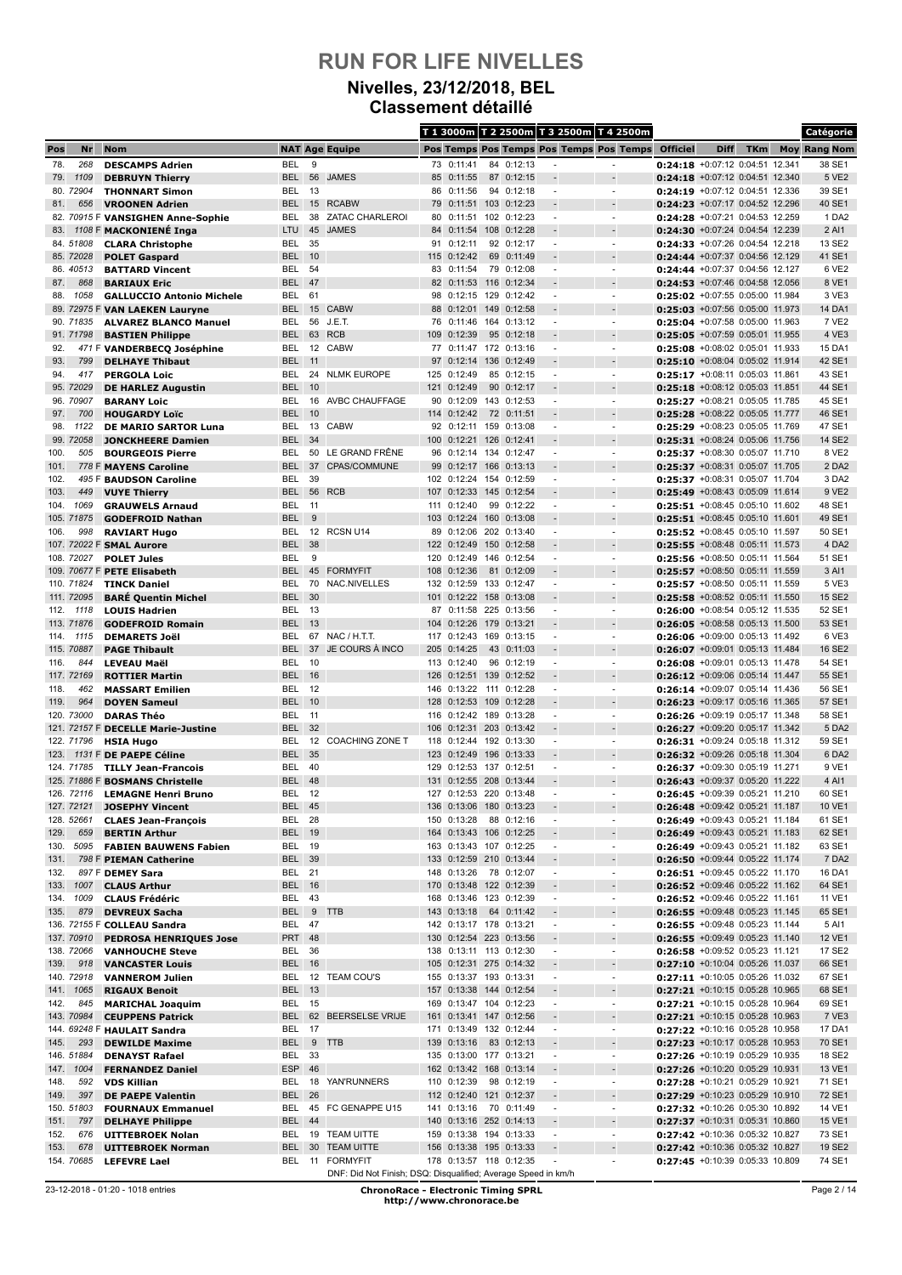### **Nivelles, 23/12/2018, BEL Classement détaillé**

|              |                          |                                                            |                                |          |                                                               |     |                                                    |     |             |                          | T 1 3000m T 2 2500m T 3 2500m T 4 2500m |                                                                      |             |            | Catégorie           |
|--------------|--------------------------|------------------------------------------------------------|--------------------------------|----------|---------------------------------------------------------------|-----|----------------------------------------------------|-----|-------------|--------------------------|-----------------------------------------|----------------------------------------------------------------------|-------------|------------|---------------------|
| Pos          | Nr                       | <b>Nom</b>                                                 |                                |          | <b>NAT Age Equipe</b>                                         |     |                                                    |     |             |                          | Pos Temps Pos Temps Pos Temps Pos Temps | <b>Officiel</b>                                                      | <b>Diff</b> | <b>TKm</b> | <b>Moy Rang Nom</b> |
| 78.          | 268                      | <b>DESCAMPS Adrien</b>                                     | <b>BEL</b>                     | 9        |                                                               |     | 73 0:11:41                                         |     | 84 0:12:13  |                          |                                         | 0:24:18 +0:07:12 0:04:51 12.341                                      |             |            | 38 SE1              |
| 79.          | 1109                     | <b>DEBRUYN Thierry</b>                                     | <b>BEL</b>                     | 56       | <b>JAMES</b>                                                  |     | 85 0:11:55                                         |     | 87 0:12:15  |                          |                                         | $0:24:18$ +0:07:12 0:04:51 12.340                                    |             |            | 5 VE2               |
|              | 80. 72904                | <b>THONNART Simon</b>                                      | BEL                            | 13       |                                                               | 86  | 0:11:56                                            |     | 94 0:12:18  |                          | $\overline{\phantom{a}}$                | $0:24:19$ +0:07:12 0:04:51 12.336                                    |             |            | 39 SE1              |
| 81.          | 656                      | <b>VROONEN Adrien</b><br>82. 70915 F VANSIGHEN Anne-Sophie | <b>BEL</b><br>BEL              | 38       | 15 RCABW<br><b>ZATAC CHARLEROI</b>                            | 79  | 0:11:51 103 0:12:23<br>80 0:11:51 102 0:12:23      |     |             | $\overline{a}$           | $\blacksquare$                          | 0:24:23 +0:07:17 0:04:52 12.296<br>0:24:28 +0:07:21 0:04:53 12.259   |             |            | 40 SE1<br>1 DA2     |
| 83.          |                          | 1108 F MACKONIENÉ Inga                                     | <b>LTU</b>                     | 45       | <b>JAMES</b>                                                  |     | 84 0:11:54 108                                     |     | 0:12:28     |                          |                                         | 0:24:30 +0:07:24 0:04:54 12.239                                      |             |            | 2 AI1               |
|              | 84.51808                 | <b>CLARA Christophe</b>                                    | BEL                            | 35       |                                                               | 91  | 0:12:11                                            |     | 92 0:12:17  |                          | $\blacksquare$                          | 0:24:33 +0:07:26 0:04:54 12.218                                      |             |            | 13 SE2              |
|              | 85. 72028                | <b>POLET Gaspard</b>                                       | <b>BEL</b>                     | 10       |                                                               |     | 115 0:12:42                                        |     | 69 0:11:49  |                          |                                         | 0:24:44 +0:07:37 0:04:56 12.129                                      |             |            | 41 SE1              |
|              | 86.40513                 | <b>BATTARD Vincent</b>                                     | BEL                            | 54       |                                                               |     | 83 0:11:54                                         |     | 79 0:12:08  | ٠                        | $\overline{\phantom{a}}$                | 0:24:44 +0:07:37 0:04:56 12.127                                      |             |            | 6 VE2               |
| 87.          | 868                      | <b>BARIAUX Eric</b>                                        | <b>BEL</b>                     | 47       |                                                               |     | 82 0:11:53 116 0:12:34                             |     |             |                          |                                         | 0:24:53 +0:07:46 0:04:58 12.056                                      |             |            | 8 VE1               |
| 88.          | 1058                     | <b>GALLUCCIO Antonio Michele</b>                           | BEL                            | 61       |                                                               |     | 98 0:12:15 129                                     |     | 0:12:42     |                          |                                         | 0:25:02 +0:07:55 0:05:00 11.984                                      |             |            | 3 VE3               |
|              | 90. 71835                | 89. 72975 F VAN LAEKEN Lauryne                             | <b>BEL</b><br>BEL              | 56       | 15 CABW<br>J.E.T.                                             | 76  | 88 0:12:01 149 0:12:58<br>0:11:46                  |     | 164 0:13:12 | $\overline{\phantom{a}}$ | $\blacksquare$                          | $0:25:03$ +0:07:56 0:05:00 11.973<br>0:25:04 +0:07:58 0:05:00 11.963 |             |            | 14 DA1<br>7 VE2     |
|              | 91.71798                 | <b>ALVAREZ BLANCO Manuel</b><br><b>BASTIEN Philippe</b>    | <b>BEL</b>                     |          | 63 RCB                                                        |     | 109 0:12:39                                        |     | 95 0:12:18  |                          |                                         | 0:25:05 +0:07:59 0:05:01 11.955                                      |             |            | 4 VE3               |
| 92.          |                          | 471 F VANDERBECQ Joséphine                                 | BEL                            |          | 12 CABW                                                       |     | 77 0:11:47 172 0:13:16                             |     |             | $\blacksquare$           | $\blacksquare$                          | 0:25:08 +0:08:02 0:05:01 11.933                                      |             |            | 15 DA1              |
| 93.          | 799                      | <b>DELHAYE Thibaut</b>                                     | <b>BEL</b>                     | 11       |                                                               | 97  | 0:12:14                                            |     | 136 0:12:49 |                          |                                         | $0:25:10$ +0:08:04 0:05:02 11.914                                    |             |            | 42 SE1              |
| 94.          | 417                      | <b>PERGOLA Loic</b>                                        | BEL                            |          | 24 NLMK EUROPE                                                |     | 125 0:12:49                                        |     | 85 0:12:15  | $\blacksquare$           | $\blacksquare$                          | 0:25:17 +0:08:11 0:05:03 11.861                                      |             |            | 43 SE1              |
|              | 95. 72029                | <b>DE HARLEZ Augustin</b>                                  | <b>BEL</b>                     | 10       |                                                               |     | 121 0:12:49                                        |     | 90 0:12:17  |                          |                                         | 0:25:18 +0:08:12 0:05:03 11.851                                      |             |            | 44 SE1              |
|              | 96. 70907                | <b>BARANY Loic</b>                                         | BEL                            | 16       | AVBC CHAUFFAGE                                                |     | 90 0:12:09 143 0:12:53                             |     |             | $\overline{a}$           | $\blacksquare$                          | 0:25:27 +0:08:21 0:05:05 11.785                                      |             |            | 45 SE1              |
| 97.<br>98.   | 700<br>1122              | <b>HOUGARDY Loïc</b><br><b>DE MARIO SARTOR Luna</b>        | <b>BEL</b><br>BEL              | 10<br>13 | CABW                                                          |     | 114 0:12:42<br>92 0:12:11 159 0:13:08              | 72  | 0:11:51     | $\overline{a}$           | $\overline{\phantom{a}}$                | 0:25:28 +0:08:22 0:05:05 11.777<br>0:25:29 +0:08:23 0:05:05 11.769   |             |            | 46 SE1<br>47 SE1    |
|              | 99. 72058                | <b>JONCKHEERE Damien</b>                                   | <b>BEL</b>                     | 34       |                                                               | 100 | 0:12:21 126 0:12:41                                |     |             |                          |                                         | 0:25:31 +0:08:24 0:05:06 11.756                                      |             |            | 14 SE2              |
| 100.         | 505                      | <b>BOURGEOIS Pierre</b>                                    | BEL                            | 50       | LE GRAND FRÊNE                                                |     | 96 0:12:14 134 0:12:47                             |     |             | $\overline{a}$           | $\blacksquare$                          | 0:25:37 +0:08:30 0:05:07 11.710                                      |             |            | 8 VE2               |
| 101.         |                          | 778 F MAYENS Caroline                                      | <b>BEL</b>                     | 37       | CPAS/COMMUNE                                                  | 99  | 0:12:17                                            |     | 166 0:13:13 |                          |                                         | 0:25:37 +0:08:31 0:05:07 11.705                                      |             |            | 2 DA2               |
| 102.         |                          | 495 F BAUDSON Caroline                                     | BEL                            | 39       |                                                               |     | 102 0:12:24                                        |     | 154 0:12:59 |                          | $\blacksquare$                          | 0:25:37 +0:08:31 0:05:07 11.704                                      |             |            | 3 DA2               |
| 103.         | 449                      | <b>VUYE Thierry</b>                                        | <b>BEL</b>                     |          | 56 RCB                                                        |     | 107 0:12:33                                        |     | 145 0:12:54 |                          |                                         | 0:25:49 +0:08:43 0:05:09 11.614                                      |             |            | 9 VE2               |
| 104.         | 1069                     | <b>GRAUWELS Arnaud</b>                                     | BEL                            | 11       |                                                               |     | 111 0:12:40                                        |     | 99 0:12:22  | ٠                        | $\overline{\phantom{a}}$                | 0:25:51 +0:08:45 0:05:10 11.602                                      |             |            | 48 SE1              |
| 106.         | 105. 71875<br>998        | <b>GODEFROID Nathan</b>                                    | <b>BEL</b><br>BEL              | 9<br>12  | RCSN U14                                                      | 89  | 103 0:12:24 160 0:13:08<br>0:12:06                 |     | 202 0:13:40 |                          |                                         | 0:25:51 +0:08:45 0:05:10 11.601<br>0:25:52 +0:08:45 0:05:10 11.597   |             |            | 49 SE1<br>50 SE1    |
|              |                          | <b>RAVIART Hugo</b><br>107. 72022 F SMAL Aurore            | <b>BEL</b>                     | 38       |                                                               |     | 122 0:12:49                                        |     | 150 0:12:58 |                          |                                         | $0:25:55$ +0:08:48 0:05:11 11.573                                    |             |            | 4 DA2               |
|              | 108. 72027               | <b>POLET Jules</b>                                         | BEL                            | 9        |                                                               |     | 120 0:12:49                                        |     | 146 0:12:54 | $\overline{\phantom{a}}$ | $\blacksquare$                          | 0:25:56 +0:08:50 0:05:11 11.564                                      |             |            | 51 SE1              |
|              |                          | 109. 70677 F PETE Elisabeth                                | <b>BEL</b>                     |          | 45 FORMYFIT                                                   |     | 108 0:12:36                                        |     | 81 0:12:09  |                          |                                         | 0:25:57 +0:08:50 0:05:11 11.559                                      |             |            | 3 AI1               |
|              | 110. 71824               | <b>TINCK Daniel</b>                                        | BEL                            | 70       | NAC.NIVELLES                                                  | 132 | 0:12:59                                            |     | 133 0:12:47 | $\overline{a}$           | $\overline{\phantom{a}}$                | 0:25:57 +0:08:50 0:05:11 11.559                                      |             |            | 5 VE3               |
|              | 111. 72095               | <b>BARÉ Quentin Michel</b>                                 | <b>BEL</b>                     | 30       |                                                               |     | 101 0:12:22 158 0:13:08                            |     |             |                          |                                         | 0:25:58 +0:08:52 0:05:11 11.550                                      |             |            | 15 SE2              |
| 112.         | 1118                     | <b>LOUIS Hadrien</b>                                       | BEL                            | - 13     |                                                               | 87  | 0:11:58 225 0:13:56                                |     |             | $\blacksquare$           | $\blacksquare$                          | 0:26:00 +0:08:54 0:05:12 11.535                                      |             |            | 52 SE1              |
|              | 113. 71876               | <b>GODEFROID Romain</b>                                    | <b>BEL</b><br><b>BEL</b>       | 13       |                                                               |     | 104 0:12:26 179 0:13:21                            |     |             |                          | $\tilde{\phantom{a}}$                   | 0:26:05 +0:08:58 0:05:13 11.500                                      |             |            | 53 SE1<br>6 VE3     |
| 114.         | 1115<br>115. 70887       | <b>DEMARETS Joël</b><br><b>PAGE Thibault</b>               | <b>BEL</b>                     | 37       | 67 NAC / H.T.T.<br>JE COURS À INCO                            |     | 117 0:12:43 169 0:13:15<br>205 0:14:25             | 43  | 0:11:03     | $\overline{a}$           |                                         | 0:26:06 +0:09:00 0:05:13 11.492<br>0:26:07 +0:09:01 0:05:13 11.484   |             |            | 16 SE2              |
| 116.         | 844                      | <b>LEVEAU Maël</b>                                         | BEL                            | 10       |                                                               |     | 113 0:12:40                                        |     | 96 0:12:19  | $\overline{a}$           | $\overline{\phantom{a}}$                | 0:26:08 +0:09:01 0:05:13 11.478                                      |             |            | 54 SE1              |
|              | 117. 72169               | <b>ROTTIER Martin</b>                                      | <b>BEL 16</b>                  |          |                                                               |     | 126 0:12:51 139 0:12:52                            |     |             |                          |                                         | 0:26:12 +0:09:06 0:05:14 11.447                                      |             |            | 55 SE1              |
| 118.         | 462                      | <b>MASSART Emilien</b>                                     | BEL                            | 12       |                                                               | 146 | $0:13:22$ 111                                      |     | 0:12:28     |                          | $\blacksquare$                          | 0:26:14 +0:09:07 0:05:14 11.436                                      |             |            | 56 SE1              |
| 119.         | 964                      | <b>DOYEN Sameul</b>                                        | <b>BEL</b>                     | 10       |                                                               | 128 | 0:12:53                                            | 109 | 0:12:28     |                          |                                         | 0:26:23 +0:09:17 0:05:16 11.365                                      |             |            | 57 SE1              |
|              | 120. 73000               | <b>DARAS Théo</b>                                          | BEL                            | 11       |                                                               |     | 116 0:12:42 189                                    |     | 0:13:28     | ٠                        | $\blacksquare$                          | 0:26:26 +0:09:19 0:05:17 11.348                                      |             |            | 58 SE1              |
|              |                          | 121. 72157 F DECELLE Marie-Justine                         | <b>BEL</b><br><b>BEL</b>       | 32<br>12 | <b>COACHING ZONE T</b>                                        |     | 106 0:12:31 203 0:13:42<br>118 0:12:44 192 0:13:30 |     |             | $\overline{a}$<br>٠      | $\blacksquare$                          | 0:26:27 +0:09:20 0:05:17 11.342<br>0:26:31 +0:09:24 0:05:18 11.312   |             |            | 5 DA2<br>59 SE1     |
| 123.         | 122. 71796               | <b>HSIA Hugo</b><br>1131 F DE PAEPE Céline                 | <b>BEL</b>                     | 35       |                                                               |     | 123 0:12:49                                        |     | 196 0:13:33 |                          |                                         | 0:26:32 +0:09:26 0:05:18 11.304                                      |             |            | 6 DA2               |
|              | 124. 71785               | <b>TILLY Jean-Francois</b>                                 | BEL                            | 40       |                                                               | 129 | 0:12:53                                            | 137 | 0:12:51     |                          |                                         | 0:26:37 +0:09:30 0:05:19 11.271                                      |             |            | 9 VE1               |
|              |                          | 125. 71886 F BOSMANS Christelle                            | <b>BEL 48</b>                  |          |                                                               |     | 131 0:12:55 208 0:13:44                            |     |             |                          |                                         | 0:26:43 +0:09:37 0:05:20 11.222                                      |             |            | 4 AI1               |
|              | 126. 72116               | <b>LEMAGNE Henri Bruno</b>                                 | BEL                            | 12       |                                                               |     | 127 0:12:53 220 0:13:48                            |     |             | ٠                        |                                         | 0:26:45 +0:09:39 0:05:21 11.210                                      |             |            | 60 SE1              |
|              | 127. 72121               | <b>JOSEPHY Vincent</b>                                     | <b>BEL 45</b>                  |          |                                                               |     | 136 0:13:06 180 0:13:23                            |     |             |                          |                                         | 0:26:48 +0:09:42 0:05:21 11.187                                      |             |            | 10 VE1              |
|              | 128. 52661               | <b>CLAES Jean-François</b>                                 | BEL 28                         |          |                                                               |     | 150 0:13:28                                        |     | 88 0:12:16  | $\overline{a}$           | $\overline{\phantom{a}}$                | 0:26:49 +0:09:43 0:05:21 11.184                                      |             |            | 61 SE1              |
| 129.<br>130. | 659<br>5095              | <b>BERTIN Arthur</b><br><b>FABIEN BAUWENS Fabien</b>       | <b>BEL 19</b><br><b>BEL 19</b> |          |                                                               |     | 164 0:13:43 106 0:12:25<br>163 0:13:43 107 0:12:25 |     |             | $\overline{\phantom{a}}$ |                                         | 0:26:49 +0:09:43 0:05:21 11.183<br>0:26:49 +0:09:43 0:05:21 11.182   |             |            | 62 SE1<br>63 SE1    |
| 131.         |                          | 798 F PIEMAN Catherine                                     | <b>BEL 39</b>                  |          |                                                               |     | 133 0:12:59 210 0:13:44                            |     |             |                          | $\sim$<br>$\overline{\phantom{a}}$      | 0:26:50 +0:09:44 0:05:22 11.174                                      |             |            | 7 DA2               |
| 132.         |                          | 897 F DEMEY Sara                                           | <b>BEL 21</b>                  |          |                                                               |     | 148 0:13:26 78 0:12:07                             |     |             | $\overline{\phantom{a}}$ | $\blacksquare$                          | 0:26:51 +0:09:45 0:05:22 11.170                                      |             |            | 16 DA1              |
| 133.         | 1007                     | <b>CLAUS Arthur</b>                                        | <b>BEL</b> 16                  |          |                                                               |     | 170 0:13:48 122 0:12:39                            |     |             |                          |                                         | 0:26:52 +0:09:46 0:05:22 11.162                                      |             |            | 64 SE1              |
|              | 134. 1009                | <b>CLAUS Frédéric</b>                                      | BEL 43                         |          |                                                               |     | 168 0:13:46 123 0:12:39                            |     |             | $\overline{\phantom{a}}$ | $\overline{\phantom{a}}$                | 0:26:52 +0:09:46 0:05:22 11.161                                      |             |            | 11 VE1              |
| 135.         | 879                      | <b>DEVREUX Sacha</b>                                       | BEL 9 TTB                      |          |                                                               |     | 143 0:13:18                                        |     | 64 0:11:42  |                          |                                         | 0:26:55 +0:09:48 0:05:23 11.145                                      |             |            | 65 SE1              |
|              |                          | 136. 72155 F COLLEAU Sandra                                | BEL 47                         |          |                                                               |     | 142 0:13:17 178 0:13:21                            |     |             | $\blacksquare$           | $\overline{\phantom{a}}$                | 0:26:55 +0:09:48 0:05:23 11.144                                      |             |            | 5 AI1               |
|              | 137. 70910<br>138. 72066 | <b>PEDROSA HENRIQUES Jose</b>                              | <b>PRT 48</b><br>BEL 36        |          |                                                               |     | 130 0:12:54 223 0:13:56<br>138 0:13:11 113 0:12:30 |     |             | $\overline{\phantom{a}}$ | $\overline{\phantom{a}}$                | 0:26:55 +0:09:49 0:05:23 11.140                                      |             |            | 12 VE1<br>17 SE2    |
| 139.         | 918                      | <b>VANHOUCHE Steve</b><br><b>VANCASTER Louis</b>           | <b>BEL 16</b>                  |          |                                                               |     | 105 0:12:31 275 0:14:32                            |     |             | ÷                        | $\overline{\phantom{a}}$                | 0:26:58 +0:09:52 0:05:23 11.121<br>0:27:10 +0:10:04 0:05:26 11.037   |             |            | 66 SE1              |
|              | 140. 72918               | <b>VANNEROM Julien</b>                                     |                                |          | BEL 12 TEAM COU'S                                             |     | 155 0:13:37 193 0:13:31                            |     |             | $\overline{\phantom{a}}$ | $\overline{\phantom{a}}$                | 0:27:11 +0:10:05 0:05:26 11.032                                      |             |            | 67 SE1              |
| 141.         | 1065                     | <b>RIGAUX Benoit</b>                                       | <b>BEL 13</b>                  |          |                                                               |     | 157 0:13:38 144 0:12:54                            |     |             |                          | $\overline{\phantom{a}}$                | 0:27:21 +0:10:15 0:05:28 10.965                                      |             |            | 68 SE1              |
| 142.         | 845                      | <b>MARICHAL Joaquim</b>                                    | <b>BEL 15</b>                  |          |                                                               |     | 169 0:13:47 104 0:12:23                            |     |             | $\overline{\phantom{a}}$ | $\overline{\phantom{a}}$                | 0:27:21 +0:10:15 0:05:28 10.964                                      |             |            | 69 SE1              |
|              | 143. 70984               | <b>CEUPPENS Patrick</b>                                    | <b>BEL</b>                     |          | 62 BEERSELSE VRIJE                                            |     | 161 0:13:41 147 0:12:56                            |     |             |                          |                                         | 0:27:21 +0:10:15 0:05:28 10.963                                      |             |            | 7 VE3               |
|              |                          | 144. 69248 F HAULAIT Sandra                                | BEL                            | 17       |                                                               |     | 171 0:13:49 132 0:12:44                            |     |             | ٠                        | $\overline{\phantom{a}}$                | 0:27:22 +0:10:16 0:05:28 10.958                                      |             |            | 17 DA1              |
| 145.         | 293<br>146. 51884        | <b>DEWILDE Maxime</b>                                      | BEL<br>BEL                     | - 33     | 9 TTB                                                         |     | 139 0:13:16<br>135 0:13:00 177 0:13:21             |     | 83 0:12:13  | $\overline{\phantom{a}}$ | $\overline{\phantom{a}}$                | 0:27:23 +0:10:17 0:05:28 10.953<br>0:27:26 +0:10:19 0:05:29 10.935   |             |            | 70 SE1<br>18 SE2    |
|              | 147. 1004                | <b>DENAYST Rafael</b><br><b>FERNANDEZ Daniel</b>           | ESP 46                         |          |                                                               |     | 162 0:13:42 168 0:13:14                            |     |             |                          |                                         | 0:27:26 +0:10:20 0:05:29 10.931                                      |             |            | 13 VE1              |
| 148.         | 592                      | <b>VDS Killian</b>                                         |                                |          | BEL 18 YAN'RUNNERS                                            |     | 110 0:12:39                                        |     | 98 0:12:19  | ٠                        | $\overline{\phantom{a}}$                | 0:27:28 +0:10:21 0:05:29 10.921                                      |             |            | 71 SE1              |
| 149.         | 397                      | <b>DE PAEPE Valentin</b>                                   | <b>BEL</b>                     | 26       |                                                               |     | 112 0:12:40 121 0:12:37                            |     |             |                          | $\overline{\phantom{a}}$                | 0:27:29 +0:10:23 0:05:29 10.910                                      |             |            | 72 SE1              |
|              | 150. 51803               | <b>FOURNAUX Emmanuel</b>                                   |                                |          | BEL 45 FC GENAPPE U15                                         |     | 141 0:13:16 70 0:11:49                             |     |             | ٠                        | ٠                                       | 0:27:32 +0:10:26 0:05:30 10.892                                      |             |            | 14 VE1              |
| 151.         | 797                      | <b>DELHAYE Philippe</b>                                    | BEL 44                         |          |                                                               |     | 140 0:13:16 252 0:14:13                            |     |             |                          |                                         | 0:27:37 +0:10:31 0:05:31 10.860                                      |             |            | 15 VE1              |
| 152.         | 676                      | <b>UITTEBROEK Nolan</b>                                    | BEL                            |          | 19 TEAM UITTE                                                 |     | 159 0:13:38 194 0:13:33                            |     |             | $\overline{\phantom{a}}$ | $\overline{\phantom{a}}$                | 0:27:42 +0:10:36 0:05:32 10.827                                      |             |            | 73 SE1              |
| 153.         | 678<br>154.70685         | <b>UITTEBROEK Norman</b><br><b>LEFEVRE Lael</b>            | <b>BEL</b>                     |          | 30 TEAM UITTE<br>BEL 11 FORMYFIT                              |     | 156 0:13:38 195 0:13:33<br>178 0:13:57 118 0:12:35 |     |             |                          | $\overline{\phantom{a}}$                | 0:27:42 +0:10:36 0:05:32 10.827<br>0:27:45 +0:10:39 0:05:33 10.809   |             |            | 19 SE2<br>74 SE1    |
|              |                          |                                                            |                                |          | DNF: Did Not Finish; DSQ: Disqualified; Average Speed in km/h |     |                                                    |     |             |                          |                                         |                                                                      |             |            |                     |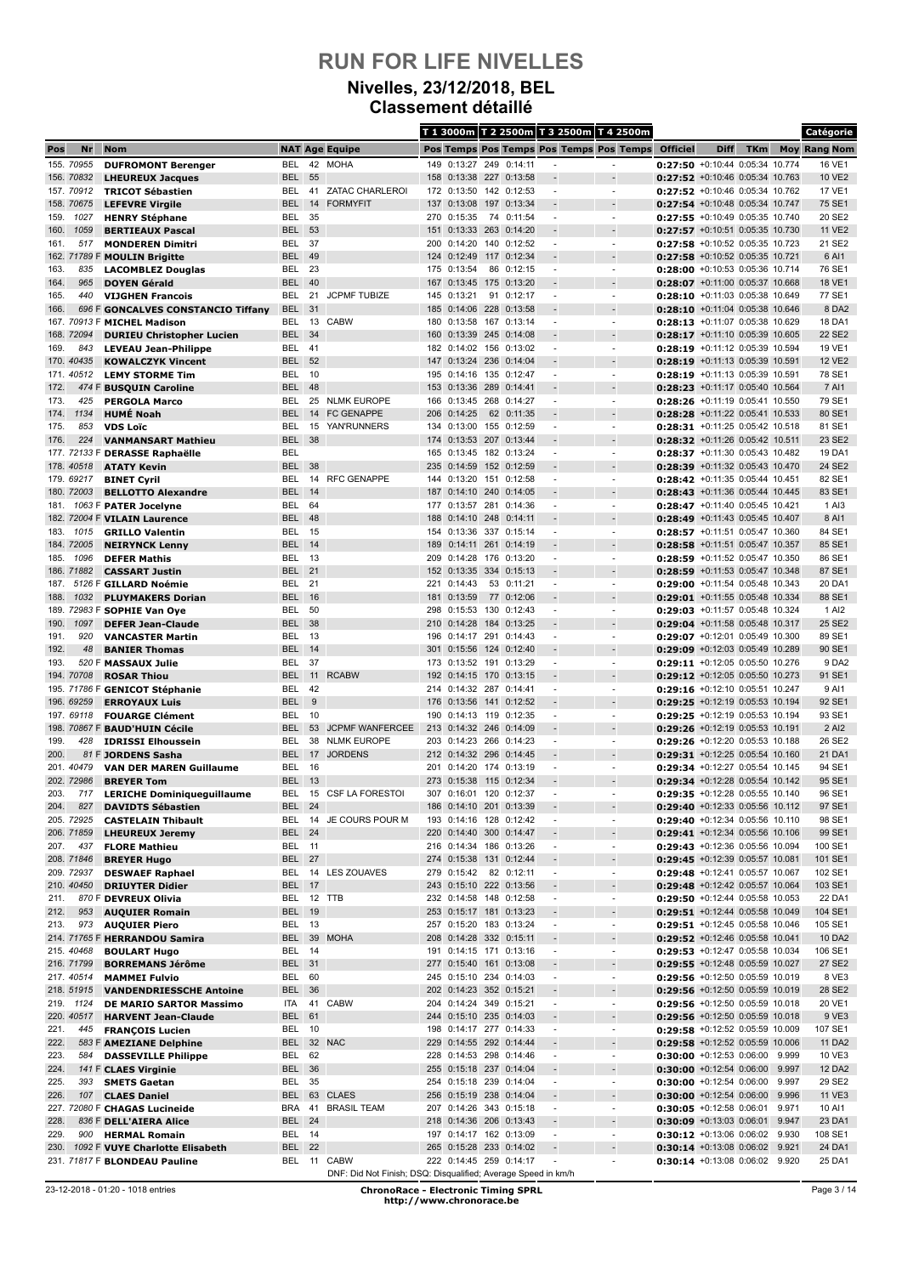### **Nivelles, 23/12/2018, BEL Classement détaillé**

|              |                          |                                                         |                             |          |                                                               |            |                                                    |     |             |                          | T 1 3000m T 2 2500m T 3 2500m T 4 2500m    |                                                                      |             |            |                | Catégorie           |
|--------------|--------------------------|---------------------------------------------------------|-----------------------------|----------|---------------------------------------------------------------|------------|----------------------------------------------------|-----|-------------|--------------------------|--------------------------------------------|----------------------------------------------------------------------|-------------|------------|----------------|---------------------|
| Pos          | Nr                       | <b>Nom</b>                                              |                             |          | <b>NAT Age Equipe</b>                                         |            |                                                    |     |             |                          | Pos Temps Pos Temps Pos Temps Pos Temps    | <b>Officiel</b>                                                      | <b>Diff</b> | <b>TKm</b> |                | <b>Moy Rang Nom</b> |
|              | 155. 70955               | <b>DUFROMONT Berenger</b>                               | BEL                         |          | 42 MOHA                                                       |            | 149 0:13:27 249                                    |     | 0:14:11     |                          |                                            | 0:27:50 +0:10:44 0:05:34 10.774                                      |             |            |                | 16 VE1              |
|              | 156. 70832               | <b>LHEUREUX Jacques</b>                                 | BEL                         | 55       |                                                               |            | 158 0:13:38 227                                    |     | 0:13:58     |                          |                                            | 0:27:52 +0:10:46 0:05:34 10.763                                      |             |            |                | 10 VE2              |
|              | 157. 70912<br>158. 70675 | <b>TRICOT Sébastien</b>                                 | BEL<br><b>BEL</b>           | 14       | 41 ZATAC CHARLEROI<br><b>FORMYFIT</b>                         |            | 172 0:13:50 142 0:12:53<br>137 0:13:08 197 0:13:34 |     |             |                          | $\overline{\phantom{a}}$                   | 0:27:52 +0:10:46 0:05:34 10.762<br>0:27:54 +0:10:48 0:05:34 10.747   |             |            |                | 17 VE1<br>75 SE1    |
| 159.         | 1027                     | <b>LEFEVRE Virgile</b><br><b>HENRY Stéphane</b>         | BEL                         | 35       |                                                               |            | 270 0:15:35                                        |     | 74 0:11:54  | $\overline{\phantom{a}}$ | $\blacksquare$                             | 0:27:55 +0:10:49 0:05:35 10.740                                      |             |            |                | 20 SE2              |
| 160.         | 1059                     | <b>BERTIEAUX Pascal</b>                                 | <b>BEL</b>                  | 53       |                                                               |            | 151 0:13:33 263 0:14:20                            |     |             |                          |                                            | 0:27:57 +0:10:51 0:05:35 10.730                                      |             |            |                | <b>11 VE2</b>       |
| 161.         | 517                      | <b>MONDEREN Dimitri</b>                                 | BEL                         | 37       |                                                               | 200        | 0:14:20                                            |     | 140 0:12:52 |                          |                                            | 0:27:58 +0:10:52 0:05:35 10.723                                      |             |            |                | 21 SE2              |
|              |                          | 162. 71789 F MOULIN Brigitte                            | <b>BEL</b>                  | 49       |                                                               |            | 124 0:12:49 117 0:12:34                            |     |             | $\overline{\phantom{a}}$ |                                            | 0:27:58 +0:10:52 0:05:35 10.721                                      |             |            |                | 6 AI1               |
| 163.         | 835                      | <b>LACOMBLEZ Douglas</b>                                | BEL                         | 23       |                                                               |            | 175 0:13:54                                        |     | 86 0:12:15  | ٠                        | $\blacksquare$                             | 0:28:00 +0:10:53 0:05:36 10.714                                      |             |            |                | 76 SE1              |
| 164.<br>165. | 965<br>440               | <b>DOYEN Gérald</b><br><b>VIJGHEN Francois</b>          | <b>BEL</b><br>BEL           | 40<br>21 | <b>JCPMF TUBIZE</b>                                           |            | 167 0:13:45 175 0:13:20<br>145 0:13:21             | 91  | 0:12:17     |                          | $\overline{\phantom{m}}$                   | 0:28:07 +0:11:00 0:05:37 10.668<br>0:28:10 +0:11:03 0:05:38 10.649   |             |            |                | 18 VE1<br>77 SE1    |
| 166.         |                          | 696 F GONCALVES CONSTANCIO Tiffany                      | BEL                         | 31       |                                                               |            | 185 0:14:06 228 0:13:58                            |     |             |                          |                                            | $0:28:10$ +0:11:04 0:05:38 10.646                                    |             |            |                | 8 DA2               |
|              |                          | 167. 70913 F MICHEL Madison                             | BEL                         | 13       | <b>CABW</b>                                                   | 180        | 0:13:58 167 0:13:14                                |     |             | $\overline{\phantom{a}}$ | $\overline{\phantom{a}}$                   | 0:28:13 +0:11:07 0:05:38 10.629                                      |             |            |                | 18 DA1              |
|              | 168. 72094               | <b>DURIEU Christopher Lucien</b>                        | <b>BEL</b>                  | 34       |                                                               |            | 160 0:13:39 245 0:14:08                            |     |             |                          |                                            | 0:28:17 +0:11:10 0:05:39 10.605                                      |             |            |                | 22 SE2              |
| 169.         | 843                      | <b>LEVEAU Jean-Philippe</b>                             | BEL                         | -41      |                                                               |            | 182 0:14:02 156 0:13:02                            |     |             | $\overline{\phantom{a}}$ | $\blacksquare$                             | 0:28:19 +0:11:12 0:05:39 10.594                                      |             |            |                | 19 VE1              |
|              | 170. 40435               | <b>KOWALCZYK Vincent</b>                                | <b>BEL</b>                  | 52       |                                                               |            | 147 0:13:24 236 0:14:04                            |     |             |                          |                                            | 0:28:19 +0:11:13 0:05:39 10.591                                      |             |            |                | 12 VE2              |
| 172.         | 171.40512                | <b>LEMY STORME Tim</b><br>474 F BUSQUIN Caroline        | BEL<br>BEL                  | 10<br>48 |                                                               |            | 195 0:14:16 135 0:12:47<br>153 0:13:36 289 0:14:41 |     |             | $\overline{\phantom{a}}$ | $\overline{\phantom{a}}$                   | 0:28:19 +0:11:13 0:05:39 10.591<br>0:28:23 +0:11:17 0:05:40 10.564   |             |            |                | 78 SE1<br>7 AI1     |
| 173.         | 425                      | <b>PERGOLA Marco</b>                                    | BEL                         |          | 25 NLMK EUROPE                                                |            | 166 0:13:45 268 0:14:27                            |     |             | ٠                        | ÷                                          | 0:28:26 +0:11:19 0:05:41 10.550                                      |             |            |                | 79 SE1              |
| 174.         | 1134                     | <b>HUMÉ Noah</b>                                        | <b>BEL</b>                  | 14       | <b>FC GENAPPE</b>                                             | 206        | 0:14:25                                            | 62  | 0:11:35     |                          |                                            | $0:28:28$ +0:11:22 0:05:41 10.533                                    |             |            |                | 80 SE1              |
| 175.         | 853                      | <b>VDS Loïc</b>                                         | BEL                         |          | 15 YAN'RUNNERS                                                | 134        | 0:13:00 155 0:12:59                                |     |             | $\overline{\phantom{a}}$ | $\overline{\phantom{a}}$                   | 0:28:31 +0:11:25 0:05:42 10.518                                      |             |            |                | 81 SE1              |
| 176.         | 224                      | <b>VANMANSART Mathieu</b>                               | <b>BEL</b>                  | 38       |                                                               | 174        | $0:13:53$ 207                                      |     | 0:13:44     |                          |                                            | 0:28:32 +0:11:26 0:05:42 10.511                                      |             |            |                | 23 SE2              |
|              |                          | 177. 72133 F DERASSE Raphaëlle                          | BEL                         |          |                                                               | 165        | 0:13:45 182 0:13:24                                |     |             | ٠                        | $\blacksquare$                             | 0:28:37 +0:11:30 0:05:43 10.482                                      |             |            |                | 19 DA1              |
|              | 178. 40518               | <b>ATATY Kevin</b>                                      | BEL                         | 38       |                                                               | 235        | 0:14:59 152 0:12:59                                |     |             |                          |                                            | 0:28:39 +0:11:32 0:05:43 10.470                                      |             |            |                | 24 SE2              |
|              | 179. 69217               | <b>BINET Cyril</b>                                      | BEL                         | 14       | <b>RFC GENAPPE</b>                                            |            | 144 0:13:20                                        |     | 151 0:12:58 |                          |                                            | 0:28:42 +0:11:35 0:05:44 10.451                                      |             |            |                | 82 SE1              |
| 181.         | 180. 72003               | <b>BELLOTTO Alexandre</b><br>1063 F PATER Jocelyne      | <b>BEL</b><br>BEL           | 14<br>64 |                                                               | 187        | 0:14:10 240 0:14:05<br>177 0:13:57 281 0:14:36     |     |             | $\blacksquare$           | $\overline{\phantom{a}}$                   | 0:28:43 +0:11:36 0:05:44 10.445<br>0:28:47 +0:11:40 0:05:45 10.421   |             |            |                | 83 SE1<br>1 AI3     |
|              |                          | 182. 72004 F VILAIN Laurence                            | <b>BEL</b>                  | 48       |                                                               |            | 188 0:14:10                                        |     | 248 0:14:11 |                          |                                            | 0:28:49 +0:11:43 0:05:45 10.407                                      |             |            |                | 8 AI1               |
| 183.         | 1015                     | <b>GRILLO Valentin</b>                                  | BEL                         | 15       |                                                               | 154        | 0:13:36                                            | 337 | 0:15:14     |                          | $\overline{\phantom{m}}$                   | 0:28:57 +0:11:51 0:05:47 10.360                                      |             |            |                | 84 SE1              |
|              | 184. 72005               | <b>NEIRYNCK Lenny</b>                                   | <b>BEL</b>                  | 14       |                                                               | 189        | 0:14:11                                            | 261 | 0:14:19     |                          |                                            | 0:28:58 +0:11:51 0:05:47 10.357                                      |             |            |                | 85 SE1              |
| 185.         | 1096                     | <b>DEFER Mathis</b>                                     | BEL                         | 13       |                                                               | 209        | 0:14:28 176                                        |     | 0:13:20     | $\blacksquare$           | $\blacksquare$                             | 0:28:59 +0:11:52 0:05:47 10.350                                      |             |            |                | 86 SE1              |
|              | 186. 71882               | <b>CASSART Justin</b>                                   | <b>BEL</b>                  | 21       |                                                               |            | 152 0:13:35 334 0:15:13                            |     |             |                          |                                            | 0:28:59 +0:11:53 0:05:47 10.348                                      |             |            |                | 87 SE1              |
| 187.         |                          | 5126 F GILLARD Noémie                                   | BEL                         | 21       |                                                               | 221        | 0:14:43                                            |     | 53 0:11:21  | $\overline{a}$           | $\overline{\phantom{a}}$                   | $0:29:00$ +0:11:54 0:05:48 10.343                                    |             |            |                | 20 DA1              |
| 188.         | 1032                     | <b>PLUYMAKERS Dorian</b><br>189. 72983 F SOPHIE Van Oye | BEL<br>BEL                  | 16<br>50 |                                                               |            | 181 0:13:59<br>298 0:15:53 130 0:12:43             |     | 77 0:12:06  | $\overline{\phantom{a}}$ | $\overline{\phantom{a}}$                   | $0:29:01$ +0:11:55 0:05:48 10.334<br>0:29:03 +0:11:57 0:05:48 10.324 |             |            |                | 88 SE1<br>1 AI2     |
| 190.         | 1097                     | <b>DEFER Jean-Claude</b>                                | BEL                         | 38       |                                                               |            | 210 0:14:28 184 0:13:25                            |     |             |                          |                                            | 0:29:04 +0:11:58 0:05:48 10.317                                      |             |            |                | 25 SE2              |
| 191.         | 920                      | <b>VANCASTER Martin</b>                                 | <b>BEL 13</b>               |          |                                                               |            | 196 0:14:17 291 0:14:43                            |     |             | $\overline{\phantom{a}}$ | $\blacksquare$                             | 0:29:07 +0:12:01 0:05:49 10.300                                      |             |            |                | 89 SE1              |
| 192.         | 48                       | <b>BANIER Thomas</b>                                    | BEL                         | 14       |                                                               | 301        | 0:15:56                                            | 124 | 0:12:40     |                          |                                            | 0:29:09 +0:12:03 0:05:49 10.289                                      |             |            |                | 90 SE1              |
| 193.         |                          | 520 F MASSAUX Julie                                     | BEL                         | 37       |                                                               |            | 173 0:13:52 191 0:13:29                            |     |             | $\overline{\phantom{a}}$ | $\overline{\phantom{a}}$                   | 0:29:11 +0:12:05 0:05:50 10.276                                      |             |            |                | 9 DA2               |
|              | 194. 70708               | <b>ROSAR Thiou</b>                                      | <b>BEL</b>                  | 11       | <b>RCABW</b>                                                  |            | 192 0:14:15 170                                    |     | 0:13:15     |                          |                                            | 0:29:12 +0:12:05 0:05:50 10.273                                      |             |            |                | 91 SE1              |
|              |                          | 195. 71786 F GENICOT Stéphanie                          | BEL                         | 42       |                                                               |            | 214 0:14:32 287 0:14:41                            |     |             |                          | $\overline{\phantom{a}}$                   | 0:29:16 +0:12:10 0:05:51 10.247                                      |             |            |                | 9 AI1               |
|              | 196. 69259<br>197. 69118 | <b>ERROYAUX Luis</b><br><b>FOUARGE Clément</b>          | <b>BEL</b><br>BEL           | 9<br>10  |                                                               | 176<br>190 | 0:13:56<br>0:14:13 119 0:12:35                     | 141 | 0:12:52     | ٠                        | $\blacksquare$                             | 0:29:25 +0:12:19 0:05:53 10.194<br>0:29:25 +0:12:19 0:05:53 10.194   |             |            |                | 92 SE1<br>93 SE1    |
|              |                          | 198. 70867 F BAUD'HUIN Cécile                           | <b>BEL</b>                  |          | 53 JCPMF WANFERCEE                                            |            | 213 0:14:32 246 0:14:09                            |     |             | $\overline{a}$           | $\overline{\phantom{a}}$                   | $0:29:26$ +0:12:19 0:05:53 10.191                                    |             |            |                | 2 AI2               |
| 199.         | 428                      | <b>IDRISSI Elhoussein</b>                               | BEL                         | 38       | <b>NLMK EUROPE</b>                                            |            | 203 0:14:23 266 0:14:23                            |     |             | ٠                        | $\blacksquare$                             | 0:29:26 +0:12:20 0:05:53 10.188                                      |             |            |                | 26 SE2              |
| 200.         |                          | 81 F JORDENS Sasha                                      | BEL                         | 17       | <b>JORDENS</b>                                                |            | 212 0:14:32 296 0:14:45                            |     |             |                          |                                            | 0:29:31 +0:12:25 0:05:54 10.160                                      |             |            |                | 21 DA1              |
|              | 201. 40479               | <b>VAN DER MAREN Guillaume</b>                          | BEL                         | 16       |                                                               |            | 201 0:14:20 174 0:13:19                            |     |             |                          | $\overline{\phantom{a}}$                   | 0:29:34 +0:12:27 0:05:54 10.145                                      |             |            |                | 94 SE1              |
|              | 202.72986                | <b>BREYER Tom</b>                                       | <b>BEL</b>                  | - 13     |                                                               |            | 273 0:15:38 115 0:12:34                            |     |             |                          |                                            | 0:29:34 +0:12:28 0:05:54 10.142                                      |             |            |                | 95 SE1              |
| 203.         | 717                      | <b>LERICHE Dominiqueguillaume</b>                       | <b>BEL</b>                  |          | 15 CSF LA FORESTOI                                            |            | 307 0:16:01 120 0:12:37                            |     |             | $\blacksquare$           |                                            | 0:29:35 +0:12:28 0:05:55 10.140                                      |             |            |                | 96 SE1              |
| 204.         | 827<br>205. 72925        | <b>DAVIDTS Sébastien</b><br><b>CASTELAIN Thibault</b>   | BEL<br>BEL                  | 24       | 14 JE COURS POUR M                                            |            | 186 0:14:10 201 0:13:39<br>193 0:14:16 128 0:12:42 |     |             | $\overline{\phantom{a}}$ | $\overline{\phantom{a}}$                   | 0:29:40 +0:12:33 0:05:56 10.112<br>0:29:40 +0:12:34 0:05:56 10.110   |             |            |                | 97 SE1<br>98 SE1    |
|              | 206. 71859               | <b>LHEUREUX Jeremy</b>                                  | <b>BEL</b>                  | 24       |                                                               |            | 220 0:14:40 300 0:14:47                            |     |             |                          | $\overline{\phantom{a}}$                   | 0:29:41 +0:12:34 0:05:56 10.106                                      |             |            |                | 99 SE1              |
| 207.         | 437                      | <b>FLORE Mathieu</b>                                    | <b>BEL 11</b>               |          |                                                               |            | 216 0:14:34 186 0:13:26                            |     |             | $\overline{\phantom{a}}$ | $\overline{\phantom{a}}$                   | 0:29:43 +0:12:36 0:05:56 10.094                                      |             |            |                | 100 SE1             |
|              | 208. 71846               | <b>BREYER Hugo</b>                                      | <b>BEL 27</b>               |          |                                                               |            | 274 0:15:38 131 0:12:44                            |     |             | $\overline{\phantom{a}}$ | $\overline{\phantom{a}}$                   | 0:29:45 +0:12:39 0:05:57 10.081                                      |             |            |                | 101 SE1             |
|              | 209. 72937               | <b>DESWAEF Raphael</b>                                  |                             |          | BEL 14 LES ZOUAVES                                            |            | 279 0:15:42 82 0:12:11                             |     |             | $\blacksquare$           | $\overline{\phantom{a}}$                   | 0:29:48 +0:12:41 0:05:57 10.067                                      |             |            |                | 102 SE1             |
|              | 210. 40450               | <b>DRIUYTER Didier</b>                                  | BEL 17                      |          |                                                               |            | 243 0:15:10 222 0:13:56                            |     |             |                          |                                            | 0:29:48 +0:12:42 0:05:57 10.064                                      |             |            |                | 103 SE1             |
| 211.<br>212. | 953                      | 870 F DEVREUX Olivia<br><b>AUQUIER Romain</b>           | BEL 12 TTB<br><b>BEL 19</b> |          |                                                               |            | 232 0:14:58 148 0:12:58<br>253 0:15:17 181         |     | 0:13:23     | $\blacksquare$           | $\overline{\phantom{a}}$<br>$\blacksquare$ | 0:29:50 +0:12:44 0:05:58 10.053<br>0:29:51 +0:12:44 0:05:58 10.049   |             |            |                | 22 DA1<br>104 SE1   |
| 213.         | 973                      | <b>AUQUIER Piero</b>                                    | BEL 13                      |          |                                                               |            | 257 0:15:20 183 0:13:24                            |     |             | $\blacksquare$           | $\overline{\phantom{a}}$                   | 0:29:51 +0:12:45 0:05:58 10.046                                      |             |            |                | 105 SE1             |
|              |                          | 214. 71765 F HERRANDOU Samira                           | <b>BEL</b>                  |          | 39 MOHA                                                       |            | 208 0:14:28 332 0:15:11                            |     |             |                          |                                            | 0:29:52 +0:12:46 0:05:58 10.041                                      |             |            |                | 10 DA2              |
|              | 215. 40468               | <b>BOULART Hugo</b>                                     | BEL 14                      |          |                                                               |            | 191 0:14:15 171 0:13:16                            |     |             | $\overline{\phantom{a}}$ | $\overline{\phantom{a}}$                   | 0:29:53 +0:12:47 0:05:58 10.034                                      |             |            |                | 106 SE1             |
|              | 216. 71799               | <b>BORREMANS Jérôme</b>                                 | BEL 31                      |          |                                                               |            | 277 0:15:40 161 0:13:08                            |     |             | $\overline{\phantom{a}}$ | $\overline{\phantom{a}}$                   | 0:29:55 +0:12:48 0:05:59 10.027                                      |             |            |                | 27 SE2              |
|              | 217.40514                | <b>MAMMEI Fulvio</b>                                    | BEL 60                      |          |                                                               |            | 245 0:15:10 234 0:14:03                            |     |             | $\blacksquare$           | $\blacksquare$                             | 0:29:56 +0:12:50 0:05:59 10.019                                      |             |            |                | 8 VE3               |
|              | 218. 51915               | <b>VANDENDRIESSCHE Antoine</b>                          | <b>BEL</b>                  | 36       |                                                               |            | 202 0:14:23 352 0:15:21                            |     |             |                          | $\overline{\phantom{a}}$                   | 0:29:56 +0:12:50 0:05:59 10.019                                      |             |            |                | 28 SE2              |
|              | 219. 1124                | DE MARIO SARTOR Massimo                                 | ITA                         | 61       | 41 CABW                                                       |            | 204 0:14:24 349 0:15:21<br>244 0:15:10 235 0:14:03 |     |             | $\blacksquare$           | $\overline{\phantom{a}}$<br>$\frac{1}{2}$  | 0:29:56 +0:12:50 0:05:59 10.018                                      |             |            |                | 20 VE1              |
| 221.         | 220. 40517<br>445        | <b>HARVENT Jean-Claude</b><br><b>FRANÇOIS Lucien</b>    | <b>BEL</b><br><b>BEL 10</b> |          |                                                               |            | 198 0:14:17 277 0:14:33                            |     |             | $\overline{\phantom{a}}$ | $\overline{\phantom{a}}$                   | 0:29:56 +0:12:50 0:05:59 10.018<br>0:29:58 +0:12:52 0:05:59 10.009   |             |            |                | 9 VE3<br>107 SE1    |
| 222.         |                          | 583 F AMEZIANE Delphine                                 | BEL                         |          | 32 NAC                                                        |            | 229 0:14:55 292 0:14:44                            |     |             |                          |                                            | 0:29:58 +0:12:52 0:05:59 10.006                                      |             |            |                | 11 DA2              |
| 223.         | 584                      | <b>DASSEVILLE Philippe</b>                              | BEL 62                      |          |                                                               |            | 228 0:14:53 298 0:14:46                            |     |             | $\overline{\phantom{a}}$ | $\overline{\phantom{a}}$                   | 0:30:00 +0:12:53 0:06:00 9.999                                       |             |            |                | 10 VE3              |
| 224.         |                          | 141 F CLAES Virginie                                    | <b>BEL 36</b>               |          |                                                               |            | 255 0:15:18 237 0:14:04                            |     |             |                          | ÷,                                         | $0:30:00$ +0:12:54 0:06:00 9.997                                     |             |            |                | 12 DA2              |
| 225.         | 393                      | <b>SMETS Gaetan</b>                                     | <b>BEL 35</b>               |          |                                                               |            | 254 0:15:18 239 0:14:04                            |     |             | $\overline{\phantom{a}}$ | ٠                                          | 0:30:00 +0:12:54 0:06:00 9.997                                       |             |            |                | 29 SE2              |
| 226.         | 107                      | <b>CLAES Daniel</b>                                     | <b>BEL</b>                  |          | 63 CLAES                                                      |            | 256 0:15:19 238 0:14:04                            |     |             |                          | $\overline{\phantom{a}}$                   | $0:30:00$ +0:12:54 0:06:00                                           |             |            | 9.996          | 11 VE3              |
|              |                          | 227. 72080 F CHAGAS Lucineide                           |                             | 24       | BRA 41 BRASIL TEAM                                            |            | 207 0:14:26 343 0:15:18                            |     |             | $\blacksquare$           | $\blacksquare$                             | $0:30:05$ +0:12:58 0:06:01                                           |             |            | 9.971          | 10 AI1              |
| 228.<br>229. | 900                      | 836 F DELL'AIERA Alice<br><b>HERMAL Romain</b>          | <b>BEL</b><br><b>BEL 14</b> |          |                                                               |            | 218 0:14:36 206 0:13:43<br>197 0:14:17 162 0:13:09 |     |             | $\blacksquare$           | $\overline{\phantom{a}}$                   | $0:30:09$ +0:13:03 0:06:01<br>$0:30:12$ +0:13:06 0:06:02             |             |            | 9.947<br>9.930 | 23 DA1<br>108 SE1   |
| 230.         |                          | 1092 F VUYE Charlotte Elisabeth                         | <b>BEL</b>                  | 22       |                                                               |            | 265 0:15:28 233 0:14:02                            |     |             |                          |                                            | $0:30:14$ +0:13:08 0:06:02 9.921                                     |             |            |                | 24 DA1              |
|              |                          | 231. 71817 F BLONDEAU Pauline                           |                             |          | BEL 11 CABW                                                   |            | 222 0:14:45 259 0:14:17                            |     |             |                          | $\overline{a}$                             | 0:30:14 +0:13:08 0:06:02 9.920                                       |             |            |                | 25 DA1              |
|              |                          |                                                         |                             |          | DNF: Did Not Finish; DSQ: Disqualified; Average Speed in km/h |            |                                                    |     |             |                          |                                            |                                                                      |             |            |                |                     |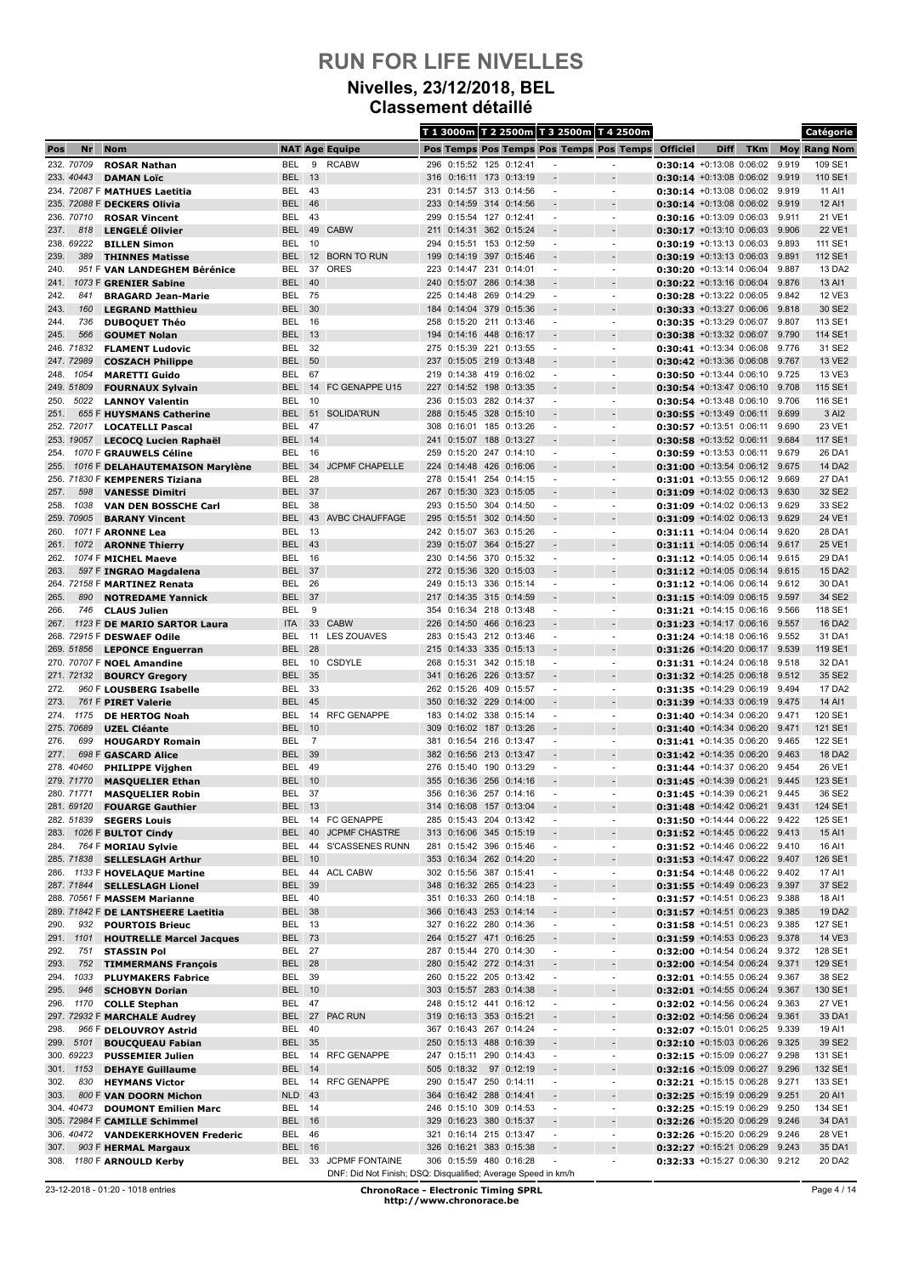#### **Nivelles, 23/12/2018, BEL Classement détaillé**

|              |                         |                                                              |                                |                |                                                               |            |                                                    |            |                    |                               | T 1 3000m T 2 2500m T 3 2500m T 4 2500m              |                                                                  |             |            |                | Catégorie           |
|--------------|-------------------------|--------------------------------------------------------------|--------------------------------|----------------|---------------------------------------------------------------|------------|----------------------------------------------------|------------|--------------------|-------------------------------|------------------------------------------------------|------------------------------------------------------------------|-------------|------------|----------------|---------------------|
| Pos          | Nr                      | <b>Nom</b>                                                   |                                |                | <b>NAT Age Equipe</b>                                         |            |                                                    |            |                    |                               | Pos Temps Pos Temps Pos Temps Pos Temps              | <b>Officiel</b>                                                  | <b>Diff</b> | <b>TKm</b> |                | <b>Moy Rang Nom</b> |
|              | 232. 70709              | <b>ROSAR Nathan</b>                                          | <b>BEL</b>                     | 9              | <b>RCABW</b>                                                  |            | 296 0:15:52 125 0:12:41                            |            |                    |                               |                                                      | $0:30:14$ +0:13:08 0:06:02                                       |             |            | 9.919          | 109 SE1             |
|              | 233. 40443              | <b>DAMAN Loïc</b>                                            | <b>BEL</b>                     | 13             |                                                               |            | 316 0:16:11 173                                    |            | 0:13:19            |                               |                                                      | $0:30:14$ +0:13:08 0:06:02                                       |             |            | 9.919          | 110 SE1             |
|              |                         | 234. 72087 F MATHUES Laetitia<br>235. 72088 F DECKERS Olivia | BEL<br><b>BEL</b>              | - 43<br>46     |                                                               |            | 231 0:14:57 313 0:14:56<br>233 0:14:59 314 0:14:56 |            |                    |                               | $\overline{\phantom{a}}$                             | $0:30:14$ +0:13:08 0:06:02<br>$0:30:14$ +0:13:08 0:06:02 9.919   |             |            | 9.919          | 11 AI1<br>12 AI1    |
|              | 236, 70710              | <b>ROSAR Vincent</b>                                         | BEL                            | 43             |                                                               | 299        | 0:15:54 127 0:12:41                                |            |                    | $\overline{a}$                | $\blacksquare$                                       | 0:30:16 +0:13:09 0:06:03                                         |             |            | 9.911          | 21 VE1              |
| 237.         | 818                     | <b>LENGELÉ Olivier</b>                                       | <b>BEL</b>                     | 49             | <b>CABW</b>                                                   |            | 211 0:14:31                                        |            | 362 0:15:24        |                               |                                                      | $0:30:17$ +0:13:10 0:06:03                                       |             |            | 9.906          | 22 VE1              |
|              | 238. 69222              | <b>BILLEN Simon</b>                                          | BEL                            | 10             |                                                               | 294        | 0:15:51 153 0:12:59                                |            |                    |                               |                                                      | $0:30:19 + 0:13:13 + 0:06:03$                                    |             |            | 9.893          | 111 SE1             |
| 239.         | 389                     | <b>THINNES Matisse</b>                                       | <b>BEL</b>                     |                | 12 BORN TO RUN                                                |            | 199 0:14:19 397 0:15:46                            |            |                    |                               |                                                      | $0:30:19$ +0:13:13 0:06:03                                       |             |            | 9.891          | 112 SE1             |
| 240.         |                         | 951 F VAN LANDEGHEM Bérénice                                 | BEL                            | 37             | ORES                                                          | 223        | 0:14:47 231 0:14:01                                |            |                    | ٠                             | $\blacksquare$                                       | $0:30:20 + 0:13:14 0:06:04$                                      |             |            | 9.887          | 13 DA2              |
| 241.<br>242. | 841                     | 1073 F GRENIER Sabine<br><b>BRAGARD Jean-Marie</b>           | <b>BEL</b><br>BEL              | 40<br>75       |                                                               |            | 240 0:15:07<br>225 0:14:48                         | 286<br>269 | 0:14:38<br>0:14:29 |                               | $\overline{\phantom{a}}$                             | $0:30:22$ +0:13:16 0:06:04<br>$0:30:28$ +0:13:22 0:06:05         |             |            | 9.876<br>9.842 | 13 AI1<br>12 VE3    |
| 243.         | 160                     | <b>LEGRAND Matthieu</b>                                      | <b>BEL</b>                     | 30             |                                                               |            | 184 0:14:04 379 0:15:36                            |            |                    |                               |                                                      | $0:30:33 + 0:13:27 0:06:06$                                      |             |            | 9.818          | 30 SE2              |
| 244.         | 736                     | <b>DUBOQUET Théo</b>                                         | <b>BEL</b>                     | 16             |                                                               | 258        | 0:15:20                                            | 211        | 0:13:46            | $\overline{\phantom{a}}$      | $\blacksquare$                                       | 0:30:35 +0:13:29 0:06:07                                         |             |            | 9.807          | 113 SE1             |
| 245.         | 566                     | <b>GOUMET Nolan</b>                                          | <b>BEL</b>                     | - 13           |                                                               |            | 194 0:14:16 448 0:16:17                            |            |                    |                               |                                                      | $0:30:38$ +0:13:32 0:06:07                                       |             |            | 9.790          | 114 SE1             |
|              | 246. 71832              | <b>FLAMENT Ludovic</b>                                       | BEL                            | 32             |                                                               | 275        | 0:15:39                                            | 221        | 0:13:55            | $\overline{a}$                | $\blacksquare$                                       | 0:30:41 +0:13:34 0:06:08                                         |             |            | 9.776          | 31 SE2              |
|              | 247.72989               | <b>COSZACH Philippe</b>                                      | BEL                            | 50             |                                                               | 237        | 0:15:05 219 0:13:48                                |            |                    |                               |                                                      | $0:30:42$ +0:13:36 0:06:08                                       |             |            | 9.767          | 13 VE2              |
| 248.         | 1054<br>249. 51809      | <b>MARETTI Guido</b><br><b>FOURNAUX Sylvain</b>              | BEL<br><b>BEL</b>              | 67<br>14       | FC GENAPPE U15                                                |            | 219 0:14:38 419 0:16:02<br>227 0:14:52 198 0:13:35 |            |                    | $\blacksquare$                | $\blacksquare$                                       | $0:30:50 + 0:13:44 0:06:10$<br>$0:30:54$ +0:13:47 0:06:10        |             |            | 9.725<br>9.708 | 13 VE3<br>115 SE1   |
| 250.         | 5022                    | <b>LANNOY Valentin</b>                                       | BEL                            | 10             |                                                               |            | 236 0:15:03 282 0:14:37                            |            |                    | $\overline{a}$                | $\overline{\phantom{a}}$                             | 0:30:54 +0:13:48 0:06:10                                         |             |            | 9.706          | 116 SE1             |
| 251.         |                         | 655 F HUYSMANS Catherine                                     | <b>BEL</b>                     | 51             | <b>SOLIDA'RUN</b>                                             | 288        | 0:15:45                                            | 328        | 0:15:10            |                               |                                                      | $0:30:55$ +0:13:49 0:06:11                                       |             |            | 9.699          | 3 AI2               |
|              | 252. 72017              | <b>LOCATELLI Pascal</b>                                      | BEL                            | 47             |                                                               | 308        | 0:16:01 185 0:13:26                                |            |                    | $\overline{a}$                | $\overline{\phantom{a}}$                             | $0:30:57$ +0:13:51 0:06:11                                       |             |            | 9.690          | 23 VE1              |
|              | 253, 19057              | LECOCQ Lucien Raphaël                                        | <b>BEL</b>                     | 14             |                                                               |            | 241 0:15:07                                        | 188        | 0:13:27            |                               |                                                      | $0:30:58$ +0:13:52 0:06:11                                       |             |            | 9.684          | 117 SE1             |
| 254.         |                         | 1070 F GRAUWELS Céline                                       | BEL                            | 16             |                                                               | 259        | 0:15:20                                            | 247        | 0:14:10            | ٠                             | $\blacksquare$                                       | 0:30:59 +0:13:53 0:06:11                                         |             |            | 9.679          | 26 DA1              |
| 255.         |                         | 1016 F DELAHAUTEMAISON Marylène                              | <b>BEL</b>                     | 34<br>28       | <b>JCPMF CHAPELLE</b>                                         | 224        | 0:14:48 426 0:16:06                                |            |                    |                               | $\blacksquare$                                       | $0:31:00$ +0:13:54 0:06:12                                       |             |            | 9.675<br>9.669 | 14 DA2              |
| 257.         | 598                     | 256. 71830 F KEMPENERS Tiziana<br><b>VANESSE Dimitri</b>     | BEL<br><b>BEL</b>              | 37             |                                                               | 278<br>267 | 0:15:41<br>0:15:30 323 0:15:05                     |            | 254 0:14:15        |                               |                                                      | $0:31:01 + 0:13:55 0:06:12$<br>$0:31:09$ +0:14:02 0:06:13        |             |            | 9.630          | 27 DA1<br>32 SE2    |
| 258.         | 1038                    | <b>VAN DEN BOSSCHE Carl</b>                                  | BEL                            | 38             |                                                               | 293        | 0:15:50                                            |            | 304 0:14:50        | ٠                             | $\blacksquare$                                       | 0:31:09 +0:14:02 0:06:13                                         |             |            | 9.629          | 33 SE2              |
|              | 259, 70905              | <b>BARANY Vincent</b>                                        | <b>BEL</b>                     | 43             | <b>AVBC CHAUFFAGE</b>                                         |            | 295 0:15:51                                        |            | 302 0:14:50        |                               |                                                      | 0:31:09 +0:14:02 0:06:13                                         |             |            | 9.629          | 24 VE1              |
| 260.         |                         | 1071 F ARONNE Lea                                            | BEL                            | 13             |                                                               |            | 242 0:15:07                                        |            | 363 0:15:26        |                               | $\overline{\phantom{a}}$                             | $0:31:11 + 0:14:04$ 0:06:14                                      |             |            | 9.620          | 28 DA1              |
| 261.         | 1072                    | <b>ARONNE Thierry</b>                                        | BEL 43                         |                |                                                               |            | 239 0:15:07 364 0:15:27                            |            |                    |                               |                                                      | $0:31:11$ +0:14:05 0:06:14                                       |             |            | 9.617          | 25 VE1              |
| 262.         |                         | 1074 F MICHEL Maeve                                          | BEL                            | 16             |                                                               |            | 230 0:14:56 370                                    |            | 0:15:32            | $\overline{a}$                | $\blacksquare$                                       | 0:31:12 +0:14:05 0:06:14 9.615                                   |             |            |                | 29 DA1              |
| 263.         |                         | 597 F INGRAO Magdalena                                       | <b>BEL</b><br>BEL              | 37<br>26       |                                                               | 249        | 272 0:15:36 320 0:15:03<br>0:15:13                 |            | 336 0:15:14        | $\overline{a}$                | $\overline{\phantom{a}}$                             | $0:31:12$ +0:14:05 0:06:14                                       |             |            | 9.615<br>9.612 | 15 DA2<br>30 DA1    |
| 265.         | 890                     | 264. 72158 F MARTINEZ Renata<br><b>NOTREDAME Yannick</b>     | <b>BEL</b>                     | 37             |                                                               |            | 217 0:14:35 315 0:14:59                            |            |                    |                               |                                                      | $0:31:12$ +0:14:06 0:06:14<br>$0:31:15$ +0:14:09 0:06:15         |             |            | 9.597          | 34 SE2              |
| 266.         | 746                     | <b>CLAUS Julien</b>                                          | BEL                            | 9              |                                                               |            | 354 0:16:34 218 0:13:48                            |            |                    | $\blacksquare$                | $\blacksquare$                                       | $0:31:21 + 0:14:15 0:06:16$                                      |             |            | 9.566          | 118 SE1             |
| 267.         |                         | 1123 F DE MARIO SARTOR Laura                                 | <b>ITA</b>                     |                | 33 CABW                                                       |            | 226 0:14:50 466 0:16:23                            |            |                    |                               |                                                      | $0:31:23 +0:14:17 0:06:16$                                       |             |            | 9.557          | 16 DA2              |
|              |                         | 268. 72915 F DESWAEF Odile                                   | BEL                            | 11             | <b>LES ZOUAVES</b>                                            |            | 283 0:15:43 212 0:13:46                            |            |                    | $\overline{a}$                | $\overline{\phantom{a}}$                             | $0:31:24 +0:14:18$ 0:06:16 9.552                                 |             |            |                | 31 DA1              |
|              | 269. 51856              | <b>LEPONCE Enguerran</b>                                     | <b>BEL</b>                     | 28             |                                                               | 215        | 0:14:33                                            | 335        | 0:15:13            |                               |                                                      | $0:31:26 + 0:14:20 0:06:17$                                      |             |            | 9.539          | 119 SE1             |
|              |                         | 270. 70707 F NOEL Amandine                                   | BEL                            | 10             | CSDYLE                                                        | 268        | 0:15:31 342 0:15:18                                |            |                    | $\overline{a}$                | $\overline{\phantom{a}}$                             | $0:31:31$ +0:14:24 0:06:18                                       |             |            | 9.518          | 32 DA1              |
| 272.         | 271. 72132              | <b>BOURCY Gregory</b><br>960 F LOUSBERG Isabelle             | <b>BEL</b><br>BEL              | 35<br>-33      |                                                               |            | 341 0:16:26 226 0:13:57<br>262 0:15:26 409         |            | 0:15:57            |                               | $\blacksquare$                                       | 0:31:32 +0:14:25 0:06:18 9.512<br>0:31:35 +0:14:29 0:06:19       |             |            | 9.494          | 35 SE2<br>17 DA2    |
| 273.         |                         | 761 F PIRET Valerie                                          | <b>BEL</b>                     | 45             |                                                               | 350        | 0:16:32 229 0:14:00                                |            |                    |                               |                                                      | $0:31:39$ +0:14:33 0:06:19                                       |             |            | 9.475          | 14 AI1              |
| 274.         | 1175                    | <b>DE HERTOG Noah</b>                                        | BEL                            | 14             | <b>RFC GENAPPE</b>                                            | 183        | 0:14:02 338 0:15:14                                |            |                    | ٠                             | $\blacksquare$                                       | $0:31:40 + 0:14:34 0:06:20$                                      |             |            | 9.471          | 120 SE1             |
|              | 275. 70689              | <b>UZEL Cléante</b>                                          | <b>BEL</b>                     | 10             |                                                               |            | 309 0:16:02 187 0:13:26                            |            |                    | $\overline{a}$                |                                                      | $0:31:40$ +0:14:34 0:06:20                                       |             |            | 9.471          | 121 SE1             |
| 276.         | 699                     | <b>HOUGARDY Romain</b>                                       | BEL                            | $\overline{7}$ |                                                               | 381        | 0:16:54 216 0:13:47                                |            |                    | ٠                             | $\blacksquare$                                       | 0:31:41 +0:14:35 0:06:20                                         |             |            | 9.465          | 122 SE1             |
| 277.         |                         | 698 F GASCARD Alice                                          | <b>BEL</b>                     | 39             |                                                               |            | 382 0:16:56 213 0:13:47                            |            |                    |                               |                                                      | $0:31:42 +0:14:35 0:06:20$                                       |             |            | 9.463          | 18 DA2              |
|              | 278.40460<br>279, 71770 | <b>PHILIPPE Vijghen</b><br><b>MASQUELIER Ethan</b>           | BEL<br><b>BEL 10</b>           | 49             |                                                               |            | 276 0:15:40<br>355 0:16:36 256 0:14:16             | 190        | 0:13:29            |                               |                                                      | $0:31:44 + 0:14:37$ 0:06:20<br>0:31:45 +0:14:39 0:06:21          |             |            | 9.454<br>9.445 | 26 VE1<br>123 SE1   |
|              | 280. 71771              | <b>MASQUELIER Robin</b>                                      | BEL                            | -37            |                                                               |            | 356 0:16:36 257 0:14:16                            |            |                    |                               |                                                      | 0:31:45 +0:14:39 0:06:21                                         |             |            | 9.445          | 36 SE2              |
|              | 281. 69120              | <b>FOUARGE Gauthier</b>                                      | BEL                            | 13             |                                                               |            | 314 0:16:08 157 0:13:04                            |            |                    |                               |                                                      | $0:31:48$ +0:14:42 0:06:21                                       |             |            | 9.431          | 124 SE1             |
|              | 282. 51839              | <b>SEGERS Louis</b>                                          | BEL                            |                | 14 FC GENAPPE                                                 |            | 285 0:15:43 204 0:13:42                            |            |                    | $\overline{a}$                | $\overline{\phantom{a}}$                             | 0:31:50 +0:14:44 0:06:22 9.422                                   |             |            |                | 125 SE1             |
| 283.         |                         | 1026 F BULTOT Cindy                                          | <b>BEL</b>                     |                | 40 JCPMF CHASTRE                                              |            | 313 0:16:06 345 0:15:19                            |            |                    |                               |                                                      | $0:31:52$ +0:14:45 0:06:22                                       |             |            | 9.413          | 15 AI1              |
| 284.         |                         | 764 F MORIAU Sylvie                                          | BEL                            |                | 44 S'CASSENES RUNN                                            |            | 281 0:15:42 396 0:15:46                            |            |                    | $\overline{\phantom{a}}$      | $\overline{\phantom{a}}$                             | 0:31:52 +0:14:46 0:06:22 9.410                                   |             |            |                | 16 AI1              |
|              | 285. 71838              | <b>SELLESLAGH Arthur</b><br>286. 1133 F HOVELAQUE Martine    | <b>BEL 10</b><br>BEL           |                | 44 ACL CABW                                                   |            | 353 0:16:34 262 0:14:20<br>302 0:15:56 387 0:15:41 |            |                    | $\overline{\phantom{a}}$      | ۰<br>$\overline{\phantom{a}}$                        | 0:31:53 +0:14:47 0:06:22 9.407<br>0:31:54 +0:14:48 0:06:22 9.402 |             |            |                | 126 SE1<br>17 AI1   |
|              | 287. 71844              | <b>SELLESLAGH Lionel</b>                                     | <b>BEL</b>                     | 39             |                                                               |            | 348 0:16:32 265 0:14:23                            |            |                    |                               |                                                      | $0:31:55 +0:14:49 0:06:23$                                       |             |            | 9.397          | 37 SE2              |
|              |                         | 288. 70561 F MASSEM Marianne                                 | <b>BEL 40</b>                  |                |                                                               |            | 351 0:16:33 260 0:14:18                            |            |                    | $\overline{\phantom{a}}$      | $\overline{\phantom{a}}$                             | 0:31:57 +0:14:51 0:06:23 9.388                                   |             |            |                | 18 AI1              |
|              |                         | 289. 71842 F DE LANTSHEERE Laetitia                          | <b>BEL 38</b>                  |                |                                                               |            | 366 0:16:43 253 0:14:14                            |            |                    |                               |                                                      | 0:31:57 +0:14:51 0:06:23 9.385                                   |             |            |                | 19 DA2              |
| 290.         | 932                     | <b>POURTOIS Brieuc</b>                                       | BEL 13                         |                |                                                               |            | 327 0:16:22 280 0:14:36                            |            |                    | $\overline{\phantom{a}}$      | $\overline{\phantom{a}}$                             | 0:31:58 +0:14:51 0:06:23 9.385                                   |             |            |                | 127 SE1             |
| 291.         | 1101                    | <b>HOUTRELLE Marcel Jacques</b>                              | <b>BEL 73</b><br><b>BEL 27</b> |                |                                                               |            | 264 0:15:27 471 0:16:25<br>287 0:15:44 270 0:14:30 |            |                    |                               |                                                      | 0:31:59 +0:14:53 0:06:23 9.378                                   |             |            |                | 14 VE3              |
| 292.<br>293. | 751<br>752              | <b>STASSIN Pol</b>                                           | <b>BEL 28</b>                  |                |                                                               |            | 280 0:15:42 272 0:14:31                            |            |                    | $\overline{\phantom{a}}$<br>÷ | $\overline{\phantom{a}}$<br>$\overline{\phantom{a}}$ | 0:32:00 +0:14:54 0:06:24<br>0:32:00 +0:14:54 0:06:24 9.371       |             |            | 9.372          | 128 SE1<br>129 SE1  |
| 294.         | 1033                    | <b>TIMMERMANS François</b><br><b>PLUYMAKERS Fabrice</b>      | <b>BEL 39</b>                  |                |                                                               |            | 260 0:15:22 205 0:13:42                            |            |                    | $\overline{\phantom{a}}$      | $\overline{\phantom{a}}$                             | 0:32:01 +0:14:55 0:06:24 9.367                                   |             |            |                | 38 SE2              |
| 295.         | 946                     | <b>SCHOBYN Dorian</b>                                        | <b>BEL 10</b>                  |                |                                                               |            | 303 0:15:57 283 0:14:38                            |            |                    |                               | $\overline{\phantom{a}}$                             | $0:32:01$ +0:14:55 0:06:24                                       |             |            | 9.367          | 130 SE1             |
| 296.         | 1170                    | <b>COLLE Stephan</b>                                         | BEL                            | 47             |                                                               |            | 248 0:15:12 441                                    |            | 0:16:12            | $\overline{\phantom{a}}$      | $\overline{\phantom{a}}$                             | $0:32:02$ +0:14:56 0:06:24                                       |             |            | 9.363          | 27 VE1              |
|              |                         | 297. 72932 F MARCHALE Audrey                                 | <b>BEL</b>                     |                | 27 PAC RUN                                                    |            | 319 0:16:13 353 0:15:21                            |            |                    |                               |                                                      | $0:32:02$ +0:14:56 0:06:24                                       |             |            | 9.361          | 33 DA1              |
| 298.         |                         | 966 F DELOUVROY Astrid                                       | BEL                            | 40             |                                                               |            | 367 0:16:43 267 0:14:24                            |            |                    | $\overline{\phantom{a}}$      | $\overline{\phantom{a}}$                             | 0:32:07 +0:15:01 0:06:25 9.339                                   |             |            |                | 19 AI1              |
| 299.         | 5101                    | <b>BOUCQUEAU Fabian</b>                                      | <b>BEL 35</b>                  |                |                                                               |            | 250 0:15:13 488 0:16:39<br>247 0:15:11 290 0:14:43 |            |                    |                               |                                                      | 0:32:10 +0:15:03 0:06:26 9.325                                   |             |            | 9.298          | 39 SE2              |
| 301.         | 300. 69223<br>1153      | <b>PUSSEMIER Julien</b><br><b>DEHAYE Guillaume</b>           | BEL<br><b>BEL 14</b>           |                | 14 RFC GENAPPE                                                |            | 505 0:18:32                                        |            | 97 0:12:19         | $\overline{\phantom{a}}$      | $\overline{\phantom{a}}$                             | 0:32:15 +0:15:09 0:06:27<br>$0:32:16$ +0:15:09 0:06:27           |             |            | 9.296          | 131 SE1<br>132 SE1  |
| 302.         | 830                     | <b>HEYMANS Victor</b>                                        | BEL                            |                | 14 RFC GENAPPE                                                |            | 290 0:15:47 250 0:14:11                            |            |                    | $\overline{\phantom{a}}$      | $\blacksquare$                                       | 0:32:21 +0:15:15 0:06:28 9.271                                   |             |            |                | 133 SE1             |
| 303.         |                         | 800 F VAN DOORN Michon                                       | NLD <sub>43</sub>              |                |                                                               |            | 364 0:16:42 288                                    |            | 0:14:41            |                               | $\blacksquare$                                       | $0:32:25$ +0:15:19 0:06:29                                       |             |            | 9.251          | 20 AI1              |
|              | 304.40473               | <b>DOUMONT Emilien Marc</b>                                  | BEL 14                         |                |                                                               |            | 246 0:15:10 309 0:14:53                            |            |                    | $\overline{\phantom{a}}$      | $\overline{\phantom{a}}$                             | 0:32:25 +0:15:19 0:06:29 9.250                                   |             |            |                | 134 SE1             |
|              |                         | 305. 72984 F CAMILLE Schimmel                                | <b>BEL</b> 16                  |                |                                                               |            | 329 0:16:23 380                                    |            | 0:15:37            |                               |                                                      | 0:32:26 +0:15:20 0:06:29                                         |             |            | 9.246          | 34 DA1              |
|              | 306. 40472              | <b>VANDEKERKHOVEN Frederic</b>                               | BEL 46                         |                |                                                               |            | 321 0:16:14 215 0:13:47                            |            |                    | $\overline{\phantom{a}}$      | $\overline{\phantom{a}}$                             | 0:32:26 +0:15:20 0:06:29                                         |             |            | 9.246          | 28 VE1              |
| 307.         |                         | 903 F HERMAL Margaux<br>308. 1180 F ARNOULD Kerby            | <b>BEL</b>                     | 16             | BEL 33 JCPMF FONTAINE                                         |            | 326 0:16:21 383 0:15:38<br>306 0:15:59 480 0:16:28 |            |                    |                               | $\overline{\phantom{a}}$                             | $0:32:27$ +0:15:21 0:06:29<br>0:32:33 +0:15:27 0:06:30 9.212     |             |            | 9.243          | 35 DA1<br>20 DA2    |
|              |                         |                                                              |                                |                | DNF: Did Not Finish; DSQ: Disqualified; Average Speed in km/h |            |                                                    |            |                    |                               |                                                      |                                                                  |             |            |                |                     |

<sup>23-12-2018 - 01:20 - 1018</sup> entries **ChronoRace - Electronic Timing SPRL http://www.chronorace.be**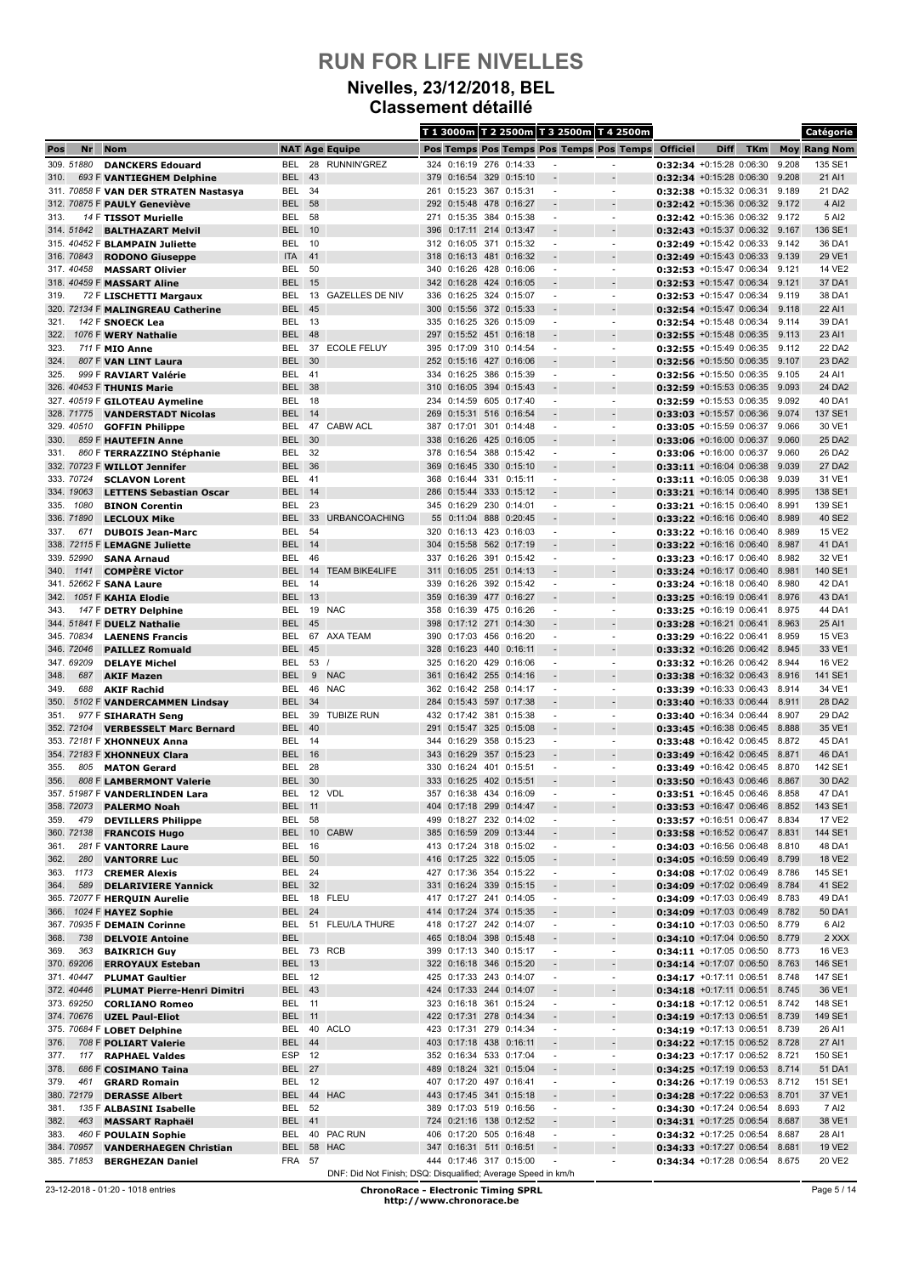#### **Nivelles, 23/12/2018, BEL Classement détaillé**

|              |                   |                                                             |                                |           |                                                               |            |                                                    |            |                                                    |                               | T 1 3000m T 2 2500m T 3 2500m T 4 2500m              |                                                                  |             |            |                | Catégorie           |
|--------------|-------------------|-------------------------------------------------------------|--------------------------------|-----------|---------------------------------------------------------------|------------|----------------------------------------------------|------------|----------------------------------------------------|-------------------------------|------------------------------------------------------|------------------------------------------------------------------|-------------|------------|----------------|---------------------|
| Pos          | Nr                | <b>Nom</b>                                                  |                                |           | <b>NAT Age Equipe</b>                                         |            |                                                    |            |                                                    |                               | Pos Temps Pos Temps Pos Temps Pos Temps              | <b>Officiel</b>                                                  | <b>Diff</b> | <b>TKm</b> |                | <b>Moy Rang Nom</b> |
|              | 309. 51880        | <b>DANCKERS Edouard</b>                                     | BEL                            | 28        | <b>RUNNIN'GREZ</b>                                            |            | 324 0:16:19 276 0:14:33                            |            |                                                    |                               |                                                      | 0:32:34 +0:15:28 0:06:30                                         |             |            | 9.208          | 135 SE1             |
| 310.         |                   | 693 F VANTIEGHEM Delphine                                   | <b>BEL</b>                     | 43        |                                                               |            | 379 0:16:54 329                                    |            | 0:15:10                                            |                               |                                                      | 0:32:34 +0:15:28 0:06:30                                         |             |            | 9.208          | 21 AI1              |
|              |                   | 311. 70858 F VAN DER STRATEN Nastasya                       | BEL<br>BEL                     | 34<br>58  |                                                               |            | 261 0:15:23                                        |            | 367 0:15:31<br>0:16:27                             | $\overline{a}$                | $\overline{\phantom{a}}$                             | $0:32:38$ +0:15:32 0:06:31                                       |             |            | 9.189<br>9.172 | 21 DA2<br>4 AI2     |
| 313.         |                   | 312. 70875 F PAULY Geneviève<br>14 F TISSOT Murielle        | BEL                            | 58        |                                                               |            | 292 0:15:48 478<br>271 0:15:35 384 0:15:38         |            |                                                    | $\overline{a}$                | $\blacksquare$                                       | $0:32:42$ +0:15:36 0:06:32<br>0:32:42 +0:15:36 0:06:32 9.172     |             |            |                | 5 AI2               |
|              | 314. 51842        | <b>BALTHAZART Melvil</b>                                    | <b>BEL</b>                     | 10        |                                                               | 396        | 0:17:11                                            | 214        | 0:13:47                                            |                               |                                                      | 0:32:43 +0:15:37 0:06:32                                         |             |            | 9.167          | 136 SE1             |
|              |                   | 315. 40452 F BLAMPAIN Juliette                              | BEL                            | -10       |                                                               |            | 312 0:16:05 371                                    |            | 0:15:32                                            |                               | $\blacksquare$                                       | 0:32:49 +0:15:42 0:06:33                                         |             |            | 9.142          | 36 DA1              |
|              | 316. 70843        | <b>RODONO Giuseppe</b>                                      | <b>ITA</b>                     | 41        |                                                               |            | 318 0:16:13                                        | 481        | 0:16:32                                            |                               |                                                      | $0:32:49$ +0:15:43 0:06:33                                       |             |            | 9.139          | 29 VE1              |
|              | 317.40458         | <b>MASSART Olivier</b>                                      | BEL                            | 50        |                                                               | 340        | 0:16:26                                            | 428        | 0:16:06                                            | $\overline{a}$                | $\overline{a}$                                       | $0:32:53$ +0:15:47 0:06:34                                       |             |            | 9.121          | 14 VE2              |
| 319.         |                   | 318. 40459 F MASSART Aline                                  | <b>BEL</b><br>BEL              | 15<br>13  | <b>GAZELLES DE NIV</b>                                        |            | 342 0:16:28 424 0:16:05<br>336 0:16:25 324 0:15:07 |            |                                                    | ٠                             | $\blacksquare$                                       | $0:32:53$ +0:15:47 0:06:34<br>0:32:53 +0:15:47 0:06:34           |             |            | 9.121<br>9.119 | 37 DA1<br>38 DA1    |
|              |                   | 72 F LISCHETTI Margaux<br>320. 72134 F MALINGREAU Catherine | <b>BEL</b>                     | 45        |                                                               | 300        | 0:15:56                                            |            | 372 0:15:33                                        |                               |                                                      | $0:32:54$ +0:15:47 0:06:34                                       |             |            | 9.118          | 22 AI1              |
| 321.         |                   | 142 F SNOECK Lea                                            | BEL                            | 13        |                                                               | 335        | 0:16:25                                            | 326        | 0:15:09                                            |                               | $\overline{\phantom{a}}$                             | $0:32:54$ +0:15:48 0:06:34                                       |             |            | 9.114          | 39 DA1              |
| 322.         |                   | 1076 F WERY Nathalie                                        | <b>BEL</b>                     | 48        |                                                               |            | 297 0:15:52 451 0:16:18                            |            |                                                    |                               |                                                      | 0:32:55 +0:15:48 0:06:35                                         |             |            | 9.113          | 23 AI1              |
| 323.         |                   | 711 F MIO Anne                                              | BEL                            | 37        | <b>ECOLE FELUY</b>                                            |            | 395 0:17:09 310 0:14:54                            |            |                                                    | $\overline{\phantom{a}}$      | $\blacksquare$                                       | 0:32:55 +0:15:49 0:06:35                                         |             |            | 9.112          | 22 DA2              |
| 324.         |                   | 807 F VAN LINT Laura                                        | <b>BEL</b>                     | 30        |                                                               |            | 252 0:15:16                                        | 427        | 0:16:06                                            |                               |                                                      | 0:32:56 +0:15:50 0:06:35                                         |             |            | 9.107          | 23 DA2              |
| 325.         |                   | 999 F RAVIART Valérie<br>326. 40453 F THUNIS Marie          | BEL<br><b>BEL</b>              | 41<br>38  |                                                               | 334        | 0:16:25<br>310 0:16:05 394 0:15:43                 | 386        | 0:15:39                                            |                               | $\overline{\phantom{a}}$                             | $0:32:56$ +0:15:50 0:06:35<br>$0:32:59$ +0:15:53 0:06:35         |             |            | 9.105<br>9.093 | 24 AI1<br>24 DA2    |
|              |                   | 327. 40519 F GILOTEAU Aymeline                              | BEL                            | -18       |                                                               |            | 234 0:14:59                                        |            | 605 0:17:40                                        | ٠                             | $\overline{\phantom{a}}$                             | 0:32:59 +0:15:53 0:06:35                                         |             |            | 9.092          | 40 DA1              |
|              | 328. 71775        | <b>VANDERSTADT Nicolas</b>                                  | <b>BEL</b>                     | 14        |                                                               | 269        | 0:15:31                                            | 516        | 0:16:54                                            |                               |                                                      | 0:33:03 +0:15:57 0:06:36                                         |             |            | 9.074          | 137 SE1             |
|              | 329. 40510        | <b>GOFFIN Philippe</b>                                      | BEL                            | 47        | <b>CABW ACL</b>                                               |            | 387 0:17:01                                        | 301        | 0:14:48                                            | $\overline{a}$                | $\overline{\phantom{a}}$                             | $0:33:05$ +0:15:59 0:06:37                                       |             |            | 9.066          | 30 VE1              |
| 330.         |                   | 859 F HAUTEFIN Anne                                         | <b>BEL</b>                     | 30        |                                                               | 338        | 0:16:26                                            | 425        | 0:16:05                                            |                               |                                                      | $0:33:06$ +0:16:00 0:06:37                                       |             |            | 9.060          | 25 DA2              |
| 331.         |                   | 860 F TERRAZZINO Stéphanie                                  | BEL                            | 32        |                                                               |            | 378 0:16:54                                        | 388        | 0:15:42                                            | $\overline{a}$                | $\blacksquare$                                       | $0:33:06$ +0:16:00 0:06:37                                       |             |            | 9.060          | 26 DA2              |
|              | 333. 70724        | 332. 70723 F WILLOT Jennifer<br><b>SCLAVON Lorent</b>       | <b>BEL</b><br>BEL              | 36<br>-41 |                                                               | 369<br>368 | 0:16:45<br>0:16:44                                 | 330<br>331 | 0:15:10<br>0:15:11                                 |                               | $\blacksquare$                                       | $0:33:11$ +0:16:04 0:06:38<br>$0:33:11 + 0:16:05 0:06:38$        |             |            | 9.039<br>9.039 | 27 DA2<br>31 VE1    |
|              | 334. 19063        | <b>LETTENS Sebastian Oscar</b>                              | <b>BEL</b>                     | 14        |                                                               | 286        | 0:15:44                                            |            | 333 0:15:12                                        |                               |                                                      | $0:33:21 + 0:16:14 0:06:40$                                      |             |            | 8.995          | 138 SE1             |
| 335.         | 1080              | <b>BINON Corentin</b>                                       | BEL                            | 23        |                                                               | 345        | 0:16:29                                            | 230        | 0:14:01                                            | $\overline{\phantom{a}}$      | $\overline{a}$                                       | $0:33:21 +0:16:15 0:06:40$                                       |             |            | 8.991          | 139 SE1             |
|              | 336. 71890        | <b>LECLOUX Mike</b>                                         | <b>BEL</b>                     | 33        | <b>URBANCOACHING</b>                                          | 55         | 0:11:04                                            |            | 888 0:20:45                                        |                               |                                                      | 0:33:22 +0:16:16 0:06:40                                         |             |            | 8.989          | 40 SE2              |
| 337.         | 671               | <b>DUBOIS Jean-Marc</b>                                     | BEL                            | 54        |                                                               | 320        | $0:16:13$ 423                                      |            | 0:16:03                                            | ٠                             | $\blacksquare$                                       | $0:33:22 +0:16:16 0:06:40$                                       |             |            | 8.989          | 15 VE2              |
|              |                   | 338. 72115 F LEMAGNE Juliette                               | <b>BEL</b>                     | 14        |                                                               |            | 304 0:15:58                                        |            | 562 0:17:19                                        |                               |                                                      | 0:33:22 +0:16:16 0:06:40                                         |             |            | 8.987          | 41 DA1              |
|              | 339. 52990        | <b>SANA Arnaud</b>                                          | BEL                            | 46        |                                                               | 337        | 0:16:26                                            | 391        | 0:15:42                                            |                               | $\overline{\phantom{a}}$                             | $0:33:23 + 0:16:17$ 0:06:40                                      |             |            | 8.982          | 32 VE1              |
| 340.         | 1141              | <b>COMPÈRE Victor</b><br>341. 52662 F SANA Laure            | <b>BEL</b><br><b>BEL</b>       | 14<br>14  | <b>TEAM BIKE4LIFE</b>                                         | 339        | 311 0:16:05 251 0:14:13<br>0:16:26                 |            | 392 0:15:42                                        | $\overline{\phantom{a}}$      | $\blacksquare$                                       | $0:33:24 +0:16:17 0:06:40$<br>0:33:24 +0:16:18 0:06:40           |             |            | 8.981<br>8.980 | 140 SE1<br>42 DA1   |
| 342.         |                   | 1051 F KAHIA Elodie                                         | <b>BEL</b>                     | 13        |                                                               | 359        | 0:16:39                                            | 477        | 0:16:27                                            |                               |                                                      | 0:33:25 +0:16:19 0:06:41                                         |             |            | 8.976          | 43 DA1              |
| 343.         |                   | 147 F DETRY Delphine                                        | BEL                            | 19        | <b>NAC</b>                                                    | 358        | 0:16:39                                            |            | 475 0:16:26                                        |                               | $\overline{\phantom{a}}$                             | $0:33:25 +0:16:19 0:06:41$                                       |             |            | 8.975          | 44 DA1              |
|              |                   | 344. 51841 F DUELZ Nathalie                                 | <b>BEL</b>                     | 45        |                                                               |            | 398 0:17:12 271 0:14:30                            |            |                                                    |                               |                                                      | $0:33:28$ +0:16:21 0:06:41                                       |             |            | 8.963          | 25 AI1              |
|              | 345. 70834        | <b>LAENENS Francis</b>                                      | BEL                            |           | 67 AXA TEAM                                                   |            | 390 0:17:03 456 0:16:20                            |            |                                                    | ٠                             | $\sim$                                               | $0:33:29 +0:16:22 0:06:41$                                       |             |            | 8.959          | 15 VE3              |
|              | 346, 72046        | <b>PAILLEZ Romuald</b>                                      | <b>BEL</b>                     | 45        |                                                               |            | 328 0:16:23                                        | 440        | 0:16:11                                            |                               |                                                      | 0:33:32 +0:16:26 0:06:42                                         |             |            | 8.945          | 33 VE1              |
| 348.         | 347. 69209<br>687 | <b>DELAYE Michel</b><br><b>AKIF Mazen</b>                   | BEL<br><b>BEL</b>              | 53<br>9   | <b>NAC</b>                                                    | 361        | 325 0:16:20 429<br>0:16:42                         | 255        | 0:16:06<br>0:14:16                                 | $\overline{a}$                | $\overline{\phantom{a}}$                             | $0:33:32$ +0:16:26 0:06:42<br>$0:33:38$ +0:16:32 0:06:43         |             |            | 8.944<br>8.916 | 16 VE2<br>141 SE1   |
| 349.         | 688               | <b>AKIF Rachid</b>                                          | BEL                            | 46        | <b>NAC</b>                                                    |            | 362 0:16:42 258                                    |            | 0:14:17                                            | $\overline{a}$                | $\blacksquare$                                       | 0:33:39 +0:16:33 0:06:43                                         |             |            | 8.914          | 34 VE1              |
| 350.         |                   | 5102 F VANDERCAMMEN Lindsay                                 | <b>BEL</b>                     | 34        |                                                               |            | 284 0:15:43                                        | 597        | 0:17:38                                            |                               |                                                      | $0:33:40$ +0:16:33 0:06:44                                       |             |            | 8.911          | 28 DA2              |
| 351.         |                   | 977 F SIHARATH Seng                                         | BEL                            | 39        | <b>TUBIZE RUN</b>                                             |            | 432 0:17:42                                        | 381        | 0:15:38                                            |                               |                                                      | 0:33:40 +0:16:34 0:06:44                                         |             |            | 8.907          | 29 DA2              |
|              | 352.72104         | <b>VERBESSELT Marc Bernard</b>                              | <b>BEL</b>                     | 40        |                                                               |            | 291 0:15:47 325 0:15:08                            |            |                                                    | L.                            |                                                      | $0:33:45$ +0:16:38 0:06:45                                       |             |            | 8.888          | 35 VE1              |
|              |                   | 353. 72181 F XHONNEUX Anna                                  | BEL                            | 14        |                                                               | 344        | 0:16:29                                            |            | 358 0:15:23                                        | ٠                             | $\overline{\phantom{a}}$                             | $0:33:48$ +0:16:42 0:06:45                                       |             |            | 8.872          | 45 DA1              |
| 355.         | 805               | 354. 72183 F XHONNEUX Clara<br><b>MATON Gerard</b>          | <b>BEL</b><br>BEL              | 16<br>28  |                                                               |            | 343 0:16:29<br>330 0:16:24 401                     |            | 357 0:15:23<br>0:15:51                             | ٠                             | $\overline{\phantom{a}}$                             | 0:33:49 +0:16:42 0:06:45<br>0:33:49 +0:16:42 0:06:45             |             |            | 8.871<br>8.870 | 46 DA1<br>142 SE1   |
| 356.         |                   | 808 F LAMBERMONT Valerie                                    | <b>BEL</b>                     | 30        |                                                               |            | 333 0:16:25                                        |            | 402 0:15:51                                        |                               |                                                      | $0:33:50 + 0:16:43 0:06:46$                                      |             |            | 8.867          | 30 DA2              |
|              |                   | 357. 51987 F VANDERLINDEN Lara                              | BEL                            |           | 12 VDL                                                        |            | 357 0:16:38 434 0:16:09                            |            |                                                    |                               |                                                      | $0:33:51$ +0:16:45 0:06:46                                       |             |            | 8.858          | 47 DA1              |
|              | 358. 72073        | <b>PALERMO Noah</b>                                         | <b>BEL</b>                     | 11        |                                                               |            | 404 0:17:18 299 0:14:47                            |            |                                                    |                               |                                                      | $0:33:53$ +0:16:47 0:06:46                                       |             |            | 8.852          | 143 SE1             |
| 359.         | 479               | <b>DEVILLERS Philippe</b>                                   | BEL                            | 58        |                                                               |            |                                                    |            | 499 0:18:27 232 0:14:02                            | $\overline{\phantom{a}}$      | $\overline{\phantom{a}}$                             | $0:33:57$ +0:16:51 0:06:47                                       |             |            | 8.834          | 17 VE2              |
|              | 360. 72138        | <b>FRANCOIS Hugo</b>                                        | BEL                            | 16        | 10 CABW                                                       |            | 385 0:16:59 209 0:13:44                            |            | 413 0:17:24 318 0:15:02                            |                               |                                                      | 0:33:58 +0:16:52 0:06:47                                         |             |            | 8.831          | 144 SE1<br>48 DA1   |
| 361.<br>362. | 280               | 281 F VANTORRE Laure<br><b>VANTORRE Luc</b>                 | BEL<br><b>BEL 50</b>           |           |                                                               |            |                                                    |            | 416 0:17:25 322 0:15:05                            | $\overline{\phantom{a}}$<br>÷ | $\overline{\phantom{a}}$<br>$\overline{\phantom{a}}$ | 0:34:03 +0:16:56 0:06:48 8.810<br>0:34:05 +0:16:59 0:06:49 8.799 |             |            |                | 18 VE2              |
| 363.         | 1173              | <b>CREMER Alexis</b>                                        | BEL 24                         |           |                                                               |            |                                                    |            | 427 0:17:36 354 0:15:22                            | $\overline{\phantom{a}}$      | $\blacksquare$                                       | 0:34:08 +0:17:02 0:06:49 8.786                                   |             |            |                | 145 SE1             |
| 364.         | 589               | <b>DELARIVIERE Yannick</b>                                  | <b>BEL 32</b>                  |           |                                                               |            |                                                    |            | 331 0:16:24 339 0:15:15                            |                               | $\overline{\phantom{a}}$                             | 0:34:09 +0:17:02 0:06:49                                         |             |            | 8.784          | 41 SE2              |
|              |                   | 365. 72077 F HERQUIN Aurelie                                |                                |           | BEL 18 FLEU                                                   |            |                                                    |            | 417 0:17:27 241 0:14:05                            | $\overline{\phantom{a}}$      | $\overline{\phantom{a}}$                             | 0:34:09 +0:17:03 0:06:49 8.783                                   |             |            |                | 49 DA1              |
| 366.         |                   | 1024 F HAYEZ Sophie                                         | <b>BEL</b>                     | 24        |                                                               |            | 418 0:17:27 242 0:14:07                            |            | 414 0:17:24 374 0:15:35                            |                               | ÷,                                                   | $0:34:09$ +0:17:03 0:06:49                                       |             |            | 8.782          | 50 DA1              |
| 368.         | 738               | 367. 70935 F DEMAIN Corinne                                 | <b>BEL</b>                     |           | BEL 51 FLEU/LA THURE                                          |            |                                                    |            | 465 0:18:04 398 0:15:48                            | $\overline{\phantom{a}}$      | ٠                                                    | 0:34:10 +0:17:03 0:06:50 8.779<br>0:34:10 +0:17:04 0:06:50 8.779 |             |            |                | 6 AI2<br>2 XXX      |
| 369.         | 363               | <b>DELVOIE Antoine</b><br><b>BAIKRICH Guy</b>               | BEL                            |           | 73 RCB                                                        |            | 399 0:17:13 340 0:15:17                            |            |                                                    | $\overline{\phantom{a}}$      | $\overline{\phantom{a}}$                             | 0:34:11 +0:17:05 0:06:50 8.773                                   |             |            |                | 16 VE3              |
|              | 370. 69206        | <b>ERROYAUX Esteban</b>                                     | <b>BEL 13</b>                  |           |                                                               |            | 322 0:16:18 346 0:15:20                            |            |                                                    | ÷                             | $\overline{\phantom{a}}$                             | $0:34:14$ +0:17:07 0:06:50                                       |             |            | 8.763          | 146 SE1             |
|              | 371.40447         | <b>PLUMAT Gaultier</b>                                      | <b>BEL 12</b>                  |           |                                                               |            | 425 0:17:33 243 0:14:07                            |            |                                                    | $\overline{\phantom{a}}$      | $\overline{\phantom{a}}$                             | $0:34:17$ +0:17:11 0:06:51                                       |             |            | 8.748          | 147 SE1             |
|              | 372. 40446        | <b>PLUMAT Pierre-Henri Dimitri</b>                          | BEL 43                         |           |                                                               |            | 424 0:17:33 244 0:14:07                            |            |                                                    |                               | $\overline{\phantom{a}}$                             | $0:34:18$ +0:17:11 0:06:51                                       |             |            | 8.745          | 36 VE1              |
|              | 373. 69250        | <b>CORLIANO Romeo</b>                                       | <b>BEL 11</b>                  |           |                                                               |            | 323 0:16:18 361                                    |            | 0:15:24                                            | $\overline{\phantom{a}}$      | $\overline{\phantom{a}}$                             | $0:34:18$ +0:17:12 0:06:51                                       |             |            | 8.742          | 148 SE1             |
|              | 374.70676         | <b>UZEL Paul-Eliot</b><br>375. 70684 F LOBET Delphine       | <b>BEL 11</b><br>BEL           | 40        | <b>ACLO</b>                                                   |            | 422 0:17:31 278 0:14:34<br>423 0:17:31 279         |            | 0:14:34                                            | $\overline{\phantom{a}}$      | $\overline{\phantom{a}}$                             | $0:34:19 + 0:17:13$ 0:06:51<br>$0:34:19 + 0:17:13 + 0:06:51$     |             |            | 8.739<br>8.739 | 149 SE1<br>26 AI1   |
| 376.         |                   | 708 F POLIART Valerie                                       | <b>BEL</b> 44                  |           |                                                               |            | 403 0:17:18 438 0:16:11                            |            |                                                    |                               |                                                      | 0:34:22 +0:17:15 0:06:52 8.728                                   |             |            |                | 27 AI1              |
| 377.         | 117               | <b>RAPHAEL Valdes</b>                                       | ESP 12                         |           |                                                               |            | 352 0:16:34 533 0:17:04                            |            |                                                    | $\overline{\phantom{a}}$      | $\overline{\phantom{a}}$                             | 0:34:23 +0:17:17 0:06:52 8.721                                   |             |            |                | 150 SE1             |
| 378.         |                   | 686 F COSIMANO Taina                                        | <b>BEL</b> 27                  |           |                                                               |            | 489 0:18:24 321 0:15:04                            |            |                                                    |                               |                                                      | 0:34:25 +0:17:19 0:06:53 8.714                                   |             |            |                | 51 DA1              |
| 379.         | 461               | <b>GRARD Romain</b>                                         | BEL                            | 12        |                                                               |            | 407 0:17:20 497 0:16:41                            |            |                                                    | $\overline{\phantom{a}}$      | $\overline{\phantom{a}}$                             | $0:34:26$ +0:17:19 0:06:53                                       |             |            | 8.712          | 151 SE1             |
|              | 380. 72179        | <b>DERASSE Albert</b>                                       | <b>BEL</b>                     |           | 44 HAC                                                        |            | 443 0:17:45 341 0:15:18                            |            |                                                    |                               | $\overline{\phantom{a}}$                             | $0:34:28$ +0:17:22 0:06:53                                       |             |            | 8.701          | 37 VE1              |
| 381.<br>382. | 463               | 135 F ALBASINI Isabelle                                     | <b>BEL 52</b><br><b>BEL 41</b> |           |                                                               |            |                                                    |            | 389 0:17:03 519 0:16:56<br>724 0:21:16 138 0:12:52 | $\overline{\phantom{a}}$      | $\overline{\phantom{a}}$<br>$\overline{\phantom{a}}$ | 0:34:30 +0:17:24 0:06:54 8.693<br>$0:34:31$ +0:17:25 0:06:54     |             |            | 8.687          | 7 AI2<br>38 VE1     |
| 383.         |                   | <b>MASSART Raphaël</b><br>460 F POULAIN Sophie              | BEL                            |           | 40 PAC RUN                                                    |            |                                                    |            | 406 0:17:20 505 0:16:48                            | $\overline{\phantom{a}}$      | $\overline{\phantom{a}}$                             | $0:34:32$ +0:17:25 0:06:54                                       |             |            | 8.687          | 28 AI1              |
|              | 384. 70957        | <b>VANDERHAEGEN Christian</b>                               | <b>BEL</b>                     |           | 58 HAC                                                        |            | 347 0:16:31 511                                    |            | 0:16:51                                            |                               |                                                      | $0:34:33$ +0:17:27 0:06:54                                       |             |            | 8.681          | 19 VE2              |
|              | 385. 71853        | <b>BERGHEZAN Daniel</b>                                     | <b>FRA 57</b>                  |           |                                                               |            | 444 0:17:46 317 0:15:00                            |            |                                                    |                               | $\overline{\phantom{a}}$                             | 0:34:34 +0:17:28 0:06:54 8.675                                   |             |            |                | 20 VE2              |
|              |                   |                                                             |                                |           | DNF: Did Not Finish; DSQ: Disqualified; Average Speed in km/h |            |                                                    |            |                                                    |                               |                                                      |                                                                  |             |            |                |                     |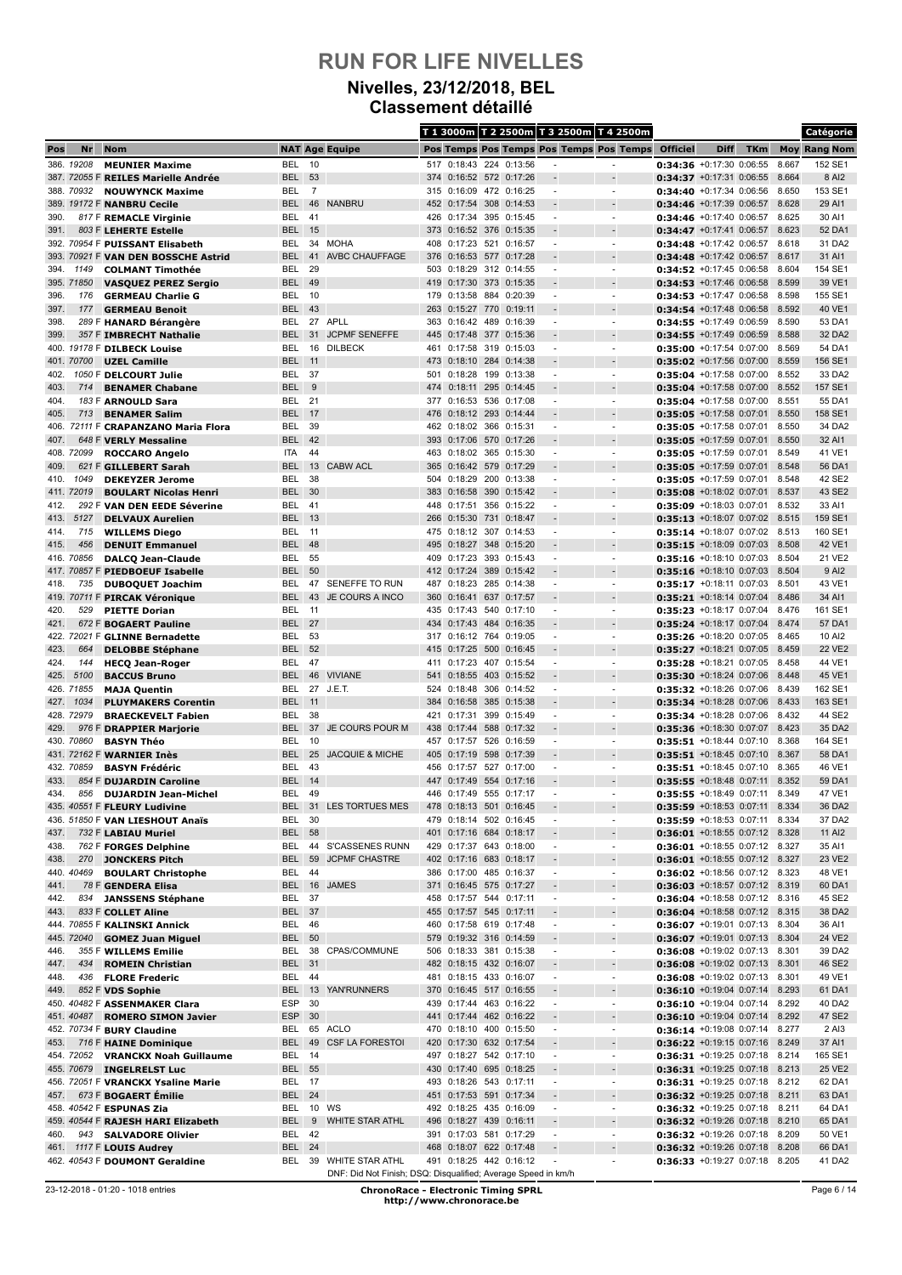#### **Nivelles, 23/12/2018, BEL Classement détaillé**

|              |                    |                                                             |                                |                |                                                               |            |                                                    |            |                         |                                                      | T 1 3000m T 2 2500m T 3 2500m T 4 2500m              |                                                                  |             |            |                | Catégorie           |
|--------------|--------------------|-------------------------------------------------------------|--------------------------------|----------------|---------------------------------------------------------------|------------|----------------------------------------------------|------------|-------------------------|------------------------------------------------------|------------------------------------------------------|------------------------------------------------------------------|-------------|------------|----------------|---------------------|
| Pos          | Nr                 | <b>Nom</b>                                                  |                                |                | <b>NAT Age Equipe</b>                                         |            |                                                    |            |                         |                                                      | Pos Temps Pos Temps Pos Temps Pos Temps              | <b>Officiel</b>                                                  | <b>Diff</b> | <b>TKm</b> |                | <b>Moy Rang Nom</b> |
|              | 386. 19208         | <b>MEUNIER Maxime</b>                                       | BEL                            | 10             |                                                               |            | 517 0:18:43 224 0:13:56                            |            |                         |                                                      | ٠                                                    | 0:34:36 +0:17:30 0:06:55                                         |             |            | 8.667          | 152 SE1             |
|              |                    | 387. 72055 F REILES Marielle Andrée                         | <b>BEL</b>                     | 53             |                                                               | 374        | 0:16:52 572 0:17:26                                |            |                         |                                                      | $\overline{a}$                                       | $0:34:37 + 0:17:31$ 0:06:55                                      |             |            | 8.664          | 8 AI2               |
|              | 388. 70932         | <b>NOUWYNCK Maxime</b>                                      | BEL                            | $\overline{7}$ | <b>NANBRU</b>                                                 |            | 315 0:16:09 472 0:16:25                            |            |                         |                                                      | $\blacksquare$                                       | $0:34:40 + 0:17:34 0:06:56$                                      |             |            | 8.650          | 153 SE1             |
| 390.         |                    | 389. 19172 F NANBRU Cecile<br>817 F REMACLE Virginie        | <b>BEL</b><br>BEL              | 46<br>41       |                                                               | 452<br>426 | 0:17:54<br>0:17:34                                 | 308        | 0:14:53<br>395 0:15:45  | $\overline{\phantom{a}}$                             | $\overline{\phantom{a}}$                             | $0:34:46$ +0:17:39 0:06:57<br>$0:34:46$ +0:17:40 0:06:57         |             |            | 8.628<br>8.625 | 29 AI1<br>30 AI1    |
| 391.         |                    | 803 F LEHERTE Estelle                                       | <b>BEL</b>                     | 15             |                                                               | 373        | $0:16:52$ 376                                      |            | 0:15:35                 |                                                      |                                                      | 0:34:47 +0:17:41 0:06:57                                         |             |            | 8.623          | 52 DA1              |
|              |                    | 392. 70954 F PUISSANT Elisabeth                             | BEL                            | 34             | <b>MOHA</b>                                                   | 408        | 0:17:23 521                                        |            | 0:16:57                 |                                                      | $\overline{a}$                                       | 0:34:48 +0:17:42 0:06:57                                         |             |            | 8.618          | 31 DA2              |
|              |                    | 393. 70921 F VAN DEN BOSSCHE Astrid                         | <b>BEL</b>                     | 41             | <b>AVBC CHAUFFAGE</b>                                         | 376        | $0:16:53$ 577                                      |            | 0:17:28                 |                                                      |                                                      | $0:34:48$ +0:17:42 0:06:57                                       |             |            | 8.617          | 31 AI1              |
| 394.         | 1149               | <b>COLMANT Timothée</b>                                     | BEL                            | 29             |                                                               | 503        | 0:18:29                                            |            | 312 0:14:55             | ٠                                                    | ٠                                                    | $0:34:52 +0:17:45 0:06:58$                                       |             |            | 8.604          | 154 SE1             |
|              | 395. 71850         | <b>VASQUEZ PEREZ Sergio</b>                                 | <b>BEL</b>                     | 49             |                                                               |            | 419 0:17:30                                        |            | 373 0:15:35             | $\overline{\phantom{a}}$                             | $\overline{\phantom{a}}$                             | $0:34:53 + 0:17:46 0:06:58$                                      |             |            | 8.599          | 39 VE1              |
| 396.<br>397. | 176<br>177         | <b>GERMEAU Charlie G</b>                                    | BEL<br><b>BEL</b>              | 10<br>43       |                                                               | 179<br>263 | 0:13:58 884 0:20:39<br>0:15:27                     | 770        | 0:19:11                 | $\blacksquare$                                       | $\overline{a}$                                       | 0:34:53 +0:17:47 0:06:58                                         |             |            | 8.598<br>8.592 | 155 SE1<br>40 VE1   |
| 398.         |                    | <b>GERMEAU Benoit</b><br>289 F HANARD Bérangère             | BEL                            | 27             | <b>APLL</b>                                                   | 363        | 0:16:42                                            | 489        | 0:16:39                 | $\overline{\phantom{a}}$                             | $\overline{\phantom{a}}$                             | $0:34:54$ +0:17:48 0:06:58<br>$0:34:55 + 0:17:49 0:06:59$        |             |            | 8.590          | 53 DA1              |
| 399.         |                    | 357 F IMBRECHT Nathalie                                     | <b>BEL</b>                     | 31             | <b>JCPMF SENEFFE</b>                                          | 445        | 0:17:48 377 0:15:36                                |            |                         |                                                      |                                                      | 0:34:55 +0:17:49 0:06:59                                         |             |            | 8.588          | 32 DA2              |
|              |                    | 400. 19178 F DILBECK Louise                                 | <b>BEL</b>                     | 16             | <b>DILBECK</b>                                                | 461        | 0:17:58 319 0:15:03                                |            |                         | $\blacksquare$                                       | $\blacksquare$                                       | 0:35:00 +0:17:54 0:07:00                                         |             |            | 8.569          | 54 DA1              |
|              | 401. 70700         | <b>UZEL Camille</b>                                         | <b>BEL</b> 11                  |                |                                                               | 473        | 0:18:10                                            | 284        | 0:14:38                 |                                                      |                                                      | $0:35:02 +0:17:56 0:07:00$                                       |             |            | 8.559          | 156 SE1             |
| 402.         |                    | 1050 F DELCOURT Julie                                       | BEL                            | -37            |                                                               | 501        | 0:18:28                                            | 199        | 0:13:38                 |                                                      | ÷,                                                   | $0:35:04 +0:17:58 0:07:00$                                       |             |            | 8.552          | 33 DA2              |
| 403.<br>404. | 714                | <b>BENAMER Chabane</b>                                      | <b>BEL</b><br>BEL              | 9<br>-21       |                                                               | 474        | 0:18:11 295 0:14:45<br>377 0:16:53 536 0:17:08     |            |                         | $\blacksquare$                                       | $\overline{\phantom{a}}$                             | $0:35:04$ +0:17:58 0:07:00<br>$0:35:04 +0:17:58 0:07:00$         |             |            | 8.552<br>8.551 | 157 SE1<br>55 DA1   |
| 405.         | 713                | 183 F ARNOULD Sara<br><b>BENAMER Salim</b>                  | <b>BEL</b>                     | 17             |                                                               | 476        | 0:18:12                                            | 293        | 0:14:44                 |                                                      |                                                      | $0:35:05$ +0:17:58 0:07:01                                       |             |            | 8.550          | 158 SE1             |
| 406.         |                    | 72111 F CRAPANZANO Maria Flora                              | BEL                            | 39             |                                                               | 462        | 0:18:02                                            | 366        | 0:15:31                 |                                                      | ÷,                                                   | 0:35:05 +0:17:58 0:07:01                                         |             |            | 8.550          | 34 DA2              |
| 407.         |                    | 648 F VERLY Messaline                                       | <b>BEL</b>                     | 42             |                                                               | 393        | 0:17:06                                            | 570        | 0:17:26                 |                                                      |                                                      | $0:35:05$ +0:17:59 0:07:01                                       |             |            | 8.550          | 32 AI1              |
|              | 408. 72099         | <b>ROCCARO Angelo</b>                                       | ITA                            | 44             |                                                               | 463        | 0:18:02                                            |            | 365 0:15:30             | $\blacksquare$                                       | $\blacksquare$                                       | $0:35:05$ +0:17:59 0:07:01                                       |             |            | 8.549          | 41 VE1              |
| 409.         |                    | 621 F GILLEBERT Sarah                                       | <b>BEL</b>                     | 13             | <b>CABW ACL</b>                                               | 365        | 0:16:42 579                                        |            | 0:17:29                 |                                                      |                                                      | 0:35:05 +0:17:59 0:07:01                                         |             |            | 8.548          | 56 DA1              |
| 410.         | 1049               | <b>DEKEYZER Jerome</b>                                      | BEL                            | 38             |                                                               | 504        | 0:18:29                                            | 200        | 0:13:38                 |                                                      | $\overline{a}$                                       | $0:35:05 +0:17:59 0:07:01$                                       |             |            | 8.548          | 42 SE2              |
|              | 411. 72019         | <b>BOULART Nicolas Henri</b>                                | <b>BEL</b>                     | 30<br>-41      |                                                               | 383        | 0:16:58                                            | 390        | 0:15:42                 |                                                      | ٠                                                    | $0:35:08$ +0:18:02 0:07:01                                       |             |            | 8.537<br>8.532 | 43 SE2<br>33 AI1    |
| 412.<br>413. | 5127               | 292 F VAN DEN EEDE Séverine<br><b>DELVAUX Aurelien</b>      | BEL<br><b>BEL</b>              | 13             |                                                               | 448<br>266 | 0:17:51<br>0:15:30                                 | 731        | 356 0:15:22<br>0:18:47  |                                                      | $\overline{\phantom{a}}$                             | $0:35:09 +0:18:03 0:07:01$<br>$0:35:13 + 0:18:07 0:07:02$        |             |            | 8.515          | 159 SE1             |
| 414.         | 715                | <b>WILLEMS Diego</b>                                        | BEL                            | 11             |                                                               |            | 475 0:18:12 307 0:14:53                            |            |                         |                                                      | ٠                                                    | $0:35:14 +0:18:07 0:07:02$                                       |             |            | 8.513          | 160 SE1             |
| 415.         | 456                | <b>DENUIT Emmanuel</b>                                      | BEL                            | 48             |                                                               | 495        | 0:18:27                                            | 348        | 0:15:20                 |                                                      |                                                      | $0:35:15$ +0:18:09 0:07:03                                       |             |            | 8.508          | 42 VE1              |
|              | 416. 70856         | <b>DALCQ Jean-Claude</b>                                    | BEL                            | 55             |                                                               | 409        | 0:17:23                                            | 393        | 0:15:43                 | $\blacksquare$                                       | $\blacksquare$                                       | $0:35:16$ +0:18:10 0:07:03                                       |             |            | 8.504          | 21 VE2              |
|              |                    | 417. 70857 F PIEDBOEUF Isabelle                             | <b>BEL</b>                     | 50             |                                                               |            | 412 0:17:24 389                                    |            | 0:15:42                 |                                                      |                                                      | $0:35:16$ +0:18:10 0:07:03                                       |             |            | 8.504          | 9 Al <sub>2</sub>   |
| 418.         | 735                | <b>DUBOQUET Joachim</b>                                     | BEL                            | 47             | SENEFFE TO RUN                                                | 487        | 0:18:23                                            |            | 285 0:14:38             | $\blacksquare$                                       | $\overline{\phantom{a}}$                             | 0:35:17 +0:18:11 0:07:03                                         |             |            | 8.501          | 43 VE1              |
| 420.         | 529                | 419. 70711 F PIRCAK Véronique                               | <b>BEL</b><br>BEL              | 43<br>11       | JE COURS A INCO                                               | 360<br>435 | 0:16:41<br>0:17:43                                 | 637<br>540 | 0:17:57<br>0:17:10      |                                                      | ÷,                                                   | $0:35:21$ +0:18:14 0:07:04<br>$0:35:23 +0:18:17$ 0:07:04         |             |            | 8.486<br>8.476 | 34 AI1<br>161 SE1   |
| 421.         |                    | <b>PIETTE Dorian</b><br>672 F BOGAERT Pauline               | <b>BEL</b>                     | 27             |                                                               | 434        | 0:17:43 484 0:16:35                                |            |                         |                                                      |                                                      | $0:35:24 +0:18:17 0:07:04$                                       |             |            | 8.474          | 57 DA1              |
|              |                    | 422. 72021 F GLINNE Bernadette                              | <b>BEL</b>                     | -53            |                                                               |            | 317 0:16:12 764 0:19:05                            |            |                         | ٠                                                    | $\overline{\phantom{a}}$                             | 0:35:26 +0:18:20 0:07:05                                         |             |            | 8.465          | 10 AI2              |
| 423.         | 664                | <b>DELOBBE Stéphane</b>                                     | <b>BEL</b>                     | 52             |                                                               | 415        | 0:17:25                                            | 500        | 0:16:45                 |                                                      |                                                      | 0:35:27 +0:18:21 0:07:05                                         |             |            | 8.459          | <b>22 VE2</b>       |
| 424.         | 144                | <b>HECQ Jean-Roger</b>                                      | BEL                            | 47             |                                                               |            | 411 0:17:23                                        |            | 407 0:15:54             | $\overline{\phantom{a}}$                             | ÷,                                                   | 0:35:28 +0:18:21 0:07:05                                         |             |            | 8.458          | 44 VE1              |
| 425.         | 5100               | <b>BACCUS Bruno</b>                                         | <b>BEL</b>                     | 46             | <b>VIVIANE</b>                                                | 541        | 0:18:55                                            | 403        | 0:15:52                 |                                                      |                                                      | $0:35:30$ +0:18:24 0:07:06                                       |             |            | 8.448          | 45 VE1              |
|              | 426. 71855         | <b>MAJA Quentin</b>                                         | BEL                            |                | 27 J.E.T.                                                     | 524        | 0:18:48                                            |            | 306 0:14:52             | $\blacksquare$                                       | $\blacksquare$                                       | $0:35:32$ +0:18:26 0:07:06                                       |             |            | 8.439          | 162 SE1             |
| 427.         | 1034<br>428. 72979 | <b>PLUYMAKERS Corentin</b><br><b>BRAECKEVELT Fabien</b>     | <b>BEL</b><br>BEL              | 11<br>38       |                                                               | 384<br>421 | 0:16:58<br>0:17:31                                 | 399        | 385 0:15:38<br>0:15:49  |                                                      |                                                      | 0:35:34 +0:18:28 0:07:06<br>0:35:34 +0:18:28 0:07:06             |             |            | 8.433<br>8.432 | 163 SE1<br>44 SE2   |
| 429.         |                    | 976 F DRAPPIER Marjorie                                     | <b>BEL</b>                     |                | 37 JE COURS POUR M                                            | 438        | 0:17:44                                            |            | 588 0:17:32             |                                                      |                                                      | $0:35:36$ +0:18:30 0:07:07                                       |             |            | 8.423          | 35 DA2              |
|              | 430. 70860         | <b>BASYN Théo</b>                                           | BEL                            | 10             |                                                               | 457        | 0:17:57                                            | 526        | 0:16:59                 | ٠                                                    | ٠                                                    | $0:35:51 + 0:18:44 0:07:10$                                      |             |            | 8.368          | 164 SE1             |
|              |                    | 431. 72162 F WARNIER Inès                                   | <b>BEL</b>                     | 25             | <b>JACQUIE &amp; MICHE</b>                                    |            | 405 0:17:19                                        |            | 598 0:17:39             | $\overline{\phantom{a}}$                             | $\overline{\phantom{a}}$                             | 0:35:51 +0:18:45 0:07:10                                         |             |            | 8.367          | 58 DA1              |
|              | 432. 70859         | <b>BASYN Frédéric</b>                                       | BEL                            | 43             |                                                               | 456        | 0:17:57 527 0:17:00                                |            |                         |                                                      | $\overline{a}$                                       | $0:35:51 + 0:18:45 0:07:10$                                      |             |            | 8.365          | 46 VE1              |
| 433.         |                    | 854 F DUJARDIN Caroline                                     | <b>BEL</b>                     | 14             |                                                               |            | 447 0:17:49                                        | 554        | 0:17:16                 |                                                      |                                                      | $0:35:55 + 0:18:48 0:07:11$                                      |             |            | 8.352          | 59 DA1              |
| 434.         | 856                | <b>DUJARDIN Jean-Michel</b><br>435. 40551 F FLEURY Ludivine | BEL<br><b>BEL</b>              | 49             | 31 LES TORTUES MES                                            |            | 446 0:17:49 555 0:17:17<br>478 0:18:13 501 0:16:45 |            |                         |                                                      | ٠<br>$\overline{a}$                                  | $0:35:55 + 0:18:49$ 0:07:11<br>$0:35:59$ +0:18:53 0:07:11        |             |            | 8.349<br>8.334 | 47 VE1<br>36 DA2    |
|              |                    | 436. 51850 F VAN LIESHOUT Anaïs                             | BEL 30                         |                |                                                               |            | 479 0:18:14 502 0:16:45                            |            |                         | $\overline{\phantom{a}}$                             | $\overline{\phantom{a}}$                             | $0:35:59$ +0:18:53 0:07:11                                       |             |            | 8.334          | 37 DA2              |
| 437.         |                    | 732 F LABIAU Muriel                                         | <b>BEL 58</b>                  |                |                                                               |            | 401 0:17:16 684 0:18:17                            |            |                         |                                                      |                                                      | 0:36:01 +0:18:55 0:07:12 8.328                                   |             |            |                | 11 AI2              |
| 438.         |                    | 762 F FORGES Delphine                                       | BEL                            |                | 44 S'CASSENES RUNN                                            |            | 429 0:17:37 643 0:18:00                            |            |                         | $\overline{\phantom{a}}$                             | $\blacksquare$                                       | 0:36:01 +0:18:55 0:07:12 8.327                                   |             |            |                | 35 AI1              |
| 438.         | 270                | <b>JONCKERS Pitch</b>                                       | <b>BEL</b>                     | 59             | <b>JCPMF CHASTRE</b>                                          |            | 402 0:17:16 683 0:18:17                            |            |                         | $\overline{\phantom{a}}$                             | $\overline{a}$                                       | 0:36:01 +0:18:55 0:07:12 8.327                                   |             |            |                | 23 VE2              |
|              | 440. 40469         | <b>BOULART Christophe</b>                                   | BEL                            | 44             |                                                               |            | 386 0:17:00 485 0:16:37                            |            |                         | $\sim$                                               | $\blacksquare$                                       | 0:36:02 +0:18:56 0:07:12 8.323                                   |             |            |                | 48 VE1              |
| 441.<br>442. | 834                | 78 F GENDERA Elisa<br><b>JANSSENS Stéphane</b>              | BEL 37                         |                | BEL 16 JAMES                                                  |            | 371 0:16:45 575 0:17:27<br>458 0:17:57 544 0:17:11 |            |                         | $\overline{\phantom{a}}$                             | $\centerdot$<br>$\blacksquare$                       | 0:36:03 +0:18:57 0:07:12 8.319<br>0:36:04 +0:18:58 0:07:12 8.316 |             |            |                | 60 DA1<br>45 SE2    |
| 443.         |                    | 833 F COLLET Aline                                          | BEL 37                         |                |                                                               |            | 455 0:17:57 545 0:17:11                            |            |                         |                                                      | $\overline{a}$                                       | 0:36:04 +0:18:58 0:07:12 8.315                                   |             |            |                | 38 DA2              |
|              |                    | 444. 70855 F KALINSKI Annick                                | BEL 46                         |                |                                                               |            | 460 0:17:58 619 0:17:48                            |            |                         | $\overline{\phantom{a}}$                             | $\overline{\phantom{a}}$                             | 0:36:07 +0:19:01 0:07:13 8.304                                   |             |            |                | 36 AI1              |
|              | 445. 72040         | <b>GOMEZ Juan Miguel</b>                                    | BEL 50                         |                |                                                               |            | 579 0:19:32 316 0:14:59                            |            |                         |                                                      | $\overline{a}$                                       | $0:36:07$ +0:19:01 0:07:13 8.304                                 |             |            |                | 24 VE2              |
| 446.         |                    | 355 F WILLEMS Emilie                                        | BEL                            | 38             | CPAS/COMMUNE                                                  |            | 506 0:18:33 381 0:15:38                            |            |                         | $\overline{\phantom{a}}$                             | $\overline{a}$                                       | 0:36:08 +0:19:02 0:07:13 8.301                                   |             |            |                | 39 DA2              |
| 447.         | 434                | <b>ROMEIN Christian</b>                                     | BEL 31                         |                |                                                               |            | 482 0:18:15 432 0:16:07                            |            |                         | $\overline{\phantom{a}}$                             | $\overline{a}$                                       | 0:36:08 +0:19:02 0:07:13 8.301                                   |             |            |                | 46 SE2              |
| 448.         | 436                | <b>FLORE Frederic</b>                                       | BEL 44                         |                | 13 YAN'RUNNERS                                                |            | 481 0:18:15 433 0:16:07<br>370 0:16:45 517 0:16:55 |            |                         | $\overline{\phantom{a}}$                             | $\overline{\phantom{a}}$                             | 0:36:08 +0:19:02 0:07:13 8.301                                   |             |            |                | 49 VE1              |
| 449.         |                    | 852 F VDS Sophie<br>450. 40482 F ASSENMAKER Clara           | <b>BEL</b><br>ESP              | 30             |                                                               |            |                                                    |            | 439 0:17:44 463 0:16:22 | $\overline{\phantom{a}}$<br>$\blacksquare$           | $\overline{\phantom{a}}$<br>$\overline{\phantom{m}}$ | $0:36:10$ +0:19:04 0:07:14 8.293<br>$0:36:10$ +0:19:04 0:07:14   |             |            | 8.292          | 61 DA1<br>40 DA2    |
|              | 451.40487          | <b>ROMERO SIMON Javier</b>                                  | ESP                            | 30             |                                                               |            | 441 0:17:44 462 0:16:22                            |            |                         |                                                      |                                                      | $0:36:10$ +0:19:04 0:07:14 8.292                                 |             |            |                | 47 SE2              |
|              |                    | 452. 70734 F BURY Claudine                                  | BEL                            |                | 65 ACLO                                                       |            | 470 0:18:10 400 0:15:50                            |            |                         | $\overline{\phantom{a}}$                             | $\overline{\phantom{a}}$                             | 0:36:14 +0:19:08 0:07:14 8.277                                   |             |            |                | 2 AI3               |
| 453.         |                    | 716 F HAINE Dominique                                       | BEL                            |                | 49 CSF LA FORESTOI                                            |            | 420 0:17:30 632 0:17:54                            |            |                         |                                                      |                                                      | 0:36:22 +0:19:15 0:07:16 8.249                                   |             |            |                | 37 AI1              |
|              | 454.72052          | <b>VRANCKX Noah Guillaume</b>                               | BEL                            | 14             |                                                               |            | 497 0:18:27 542 0:17:10                            |            |                         | $\overline{\phantom{a}}$                             | $\overline{\phantom{a}}$                             | 0:36:31 +0:19:25 0:07:18 8.214                                   |             |            |                | 165 SE1             |
|              | 455. 70679         | <b>INGELRELST Luc</b>                                       | <b>BEL 55</b>                  |                |                                                               |            | 430 0:17:40 695 0:18:25                            |            |                         |                                                      |                                                      | 0:36:31 +0:19:25 0:07:18 8.213                                   |             |            |                | 25 VE2              |
| 457.         |                    | 456. 72051 F VRANCKX Ysaline Marie<br>673 F BOGAERT Émilie  | <b>BEL 17</b><br><b>BEL 24</b> |                |                                                               |            | 493 0:18:26 543 0:17:11<br>451 0:17:53 591 0:17:34 |            |                         | $\overline{\phantom{a}}$<br>$\overline{\phantom{a}}$ | $\blacksquare$<br>$\centerdot$                       | 0:36:31 +0:19:25 0:07:18 8.212<br>0:36:32 +0:19:25 0:07:18 8.211 |             |            |                | 62 DA1<br>63 DA1    |
|              |                    | 458. 40542 F ESPUNAS Zia                                    | BEL                            |                | 10 WS                                                         |            | 492 0:18:25 435 0:16:09                            |            |                         | $\overline{\phantom{a}}$                             | $\overline{\phantom{a}}$                             | 0:36:32 +0:19:25 0:07:18 8.211                                   |             |            |                | 64 DA1              |
|              |                    | 459. 40544 F RAJESH HARI Elizabeth                          | <b>BEL</b>                     | 9              | <b>WHITE STAR ATHL</b>                                        |            | 496 0:18:27 439 0:16:11                            |            |                         |                                                      | $\qquad \qquad \blacksquare$                         | $0:36:32$ +0:19:26 0:07:18                                       |             |            | 8.210          | 65 DA1              |
| 460.         |                    | 943 SALVADORE Olivier                                       | BEL 42                         |                |                                                               |            | 391 0:17:03 581 0:17:29                            |            |                         | $\blacksquare$                                       | $\blacksquare$                                       | 0:36:32 +0:19:26 0:07:18 8.209                                   |             |            |                | 50 VE1              |
| 461.         |                    | 1117 F LOUIS Audrey                                         | <b>BEL 24</b>                  |                |                                                               |            | 468 0:18:07 622 0:17:48                            |            |                         |                                                      |                                                      | $0:36:32$ +0:19:26 0:07:18                                       |             |            | 8.208          | 66 DA1              |
|              |                    | 462. 40543 F DOUMONT Geraldine                              | BEL                            |                | 39 WHITE STAR ATHL                                            |            | 491 0:18:25 442 0:16:12                            |            |                         |                                                      | ÷,                                                   | 0:36:33 +0:19:27 0:07:18 8.205                                   |             |            |                | 41 DA2              |
|              |                    |                                                             |                                |                | DNF: Did Not Finish; DSQ: Disqualified; Average Speed in km/h |            |                                                    |            |                         |                                                      |                                                      |                                                                  |             |            |                |                     |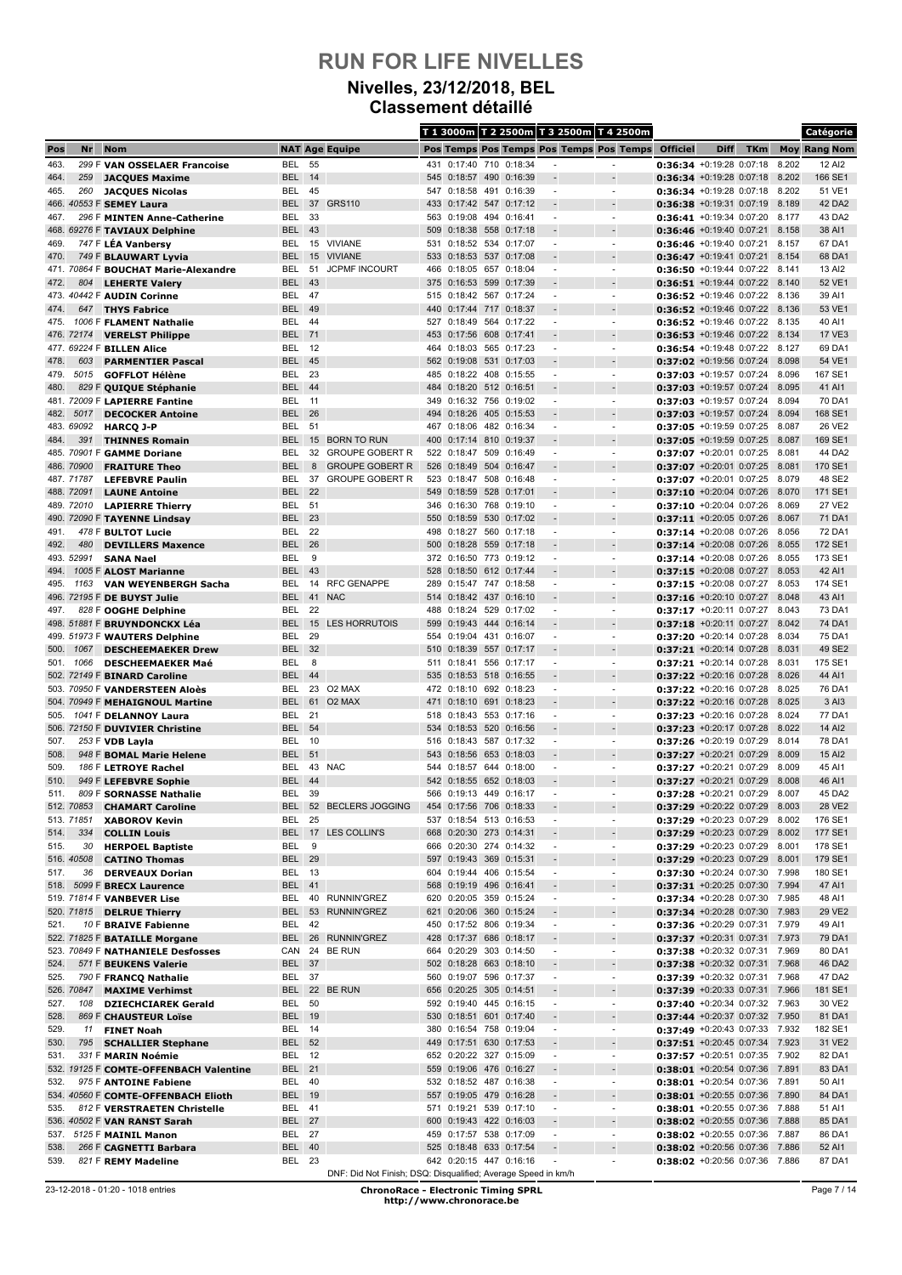### **Nivelles, 23/12/2018, BEL Classement détaillé**

|              |                          |                                                                    |                         |            |                                                               |            |                                                    |     |             |                          | T 1 3000m T 2 2500m T 3 2500m T 4 2500m    |                                                                  |             |            |                | Catégorie           |
|--------------|--------------------------|--------------------------------------------------------------------|-------------------------|------------|---------------------------------------------------------------|------------|----------------------------------------------------|-----|-------------|--------------------------|--------------------------------------------|------------------------------------------------------------------|-------------|------------|----------------|---------------------|
| Pos          | Nr                       | <b>Nom</b>                                                         |                         |            | <b>NAT Age Equipe</b>                                         |            |                                                    |     |             |                          | Pos Temps Pos Temps Pos Temps Pos Temps    | <b>Officiel</b>                                                  | <b>Diff</b> | <b>TKm</b> |                | <b>Moy Rang Nom</b> |
| 463.         |                          | 299 F VAN OSSELAER Francoise                                       | BEL                     | 55         |                                                               |            | 431 0:17:40 710 0:18:34                            |     |             |                          | ٠                                          | $0:36:34 +0:19:28 0:07:18$                                       |             |            | 8.202          | 12 AI2              |
| 464.         | 259                      | <b>JACQUES Maxime</b>                                              | <b>BEL</b>              | 14         |                                                               |            | 545 0:18:57 490                                    |     | 0:16:39     |                          | $\overline{a}$                             | $0:36:34 + 0:19:28 0:07:18$                                      |             |            | 8.202          | 166 SE1             |
| 465.         | 260                      | <b>JACQUES Nicolas</b>                                             | BEL                     | 45         | <b>GRS110</b>                                                 |            | 547 0:18:58 491                                    |     | 0:16:39     |                          | $\overline{\phantom{a}}$                   | $0:36:34 +0:19:28 0:07:18$                                       |             |            | 8.202          | 51 VE1              |
| 467.         |                          | 466. 40553 F SEMEY Laura<br>296 F MINTEN Anne-Catherine            | <b>BEL</b><br>BEL       | 37<br>33   |                                                               | 433<br>563 | $0:17:42$ 547<br>0:19:08 494 0:16:41               |     | 0:17:12     | $\overline{\phantom{a}}$ | $\overline{\phantom{a}}$                   | $0:36:38$ +0:19:31 0:07:19<br>$0:36:41 + 0:19:34 0:07:20$        |             |            | 8.189<br>8.177 | 42 DA2<br>43 DA2    |
|              |                          | 468. 69276 F TAVIAUX Delphine                                      | <b>BEL</b>              | 43         |                                                               | 509        | 0:18:38 558 0:17:18                                |     |             |                          |                                            | 0:36:46 +0:19:40 0:07:21                                         |             |            | 8.158          | 38 AI1              |
| 469.         |                          | 747 F LÉA Vanbersy                                                 | BEL                     |            | 15 VIVIANE                                                    | 531        | 0:18:52 534 0:17:07                                |     |             |                          | $\overline{a}$                             | $0:36:46 + 0:19:40 0:07:21$                                      |             |            | 8.157          | 67 DA1              |
| 470.         |                          | 749 F BLAUWART Lyvia                                               | <b>BEL</b>              | 15         | <b>VIVIANE</b>                                                | 533        | 0:18:53 537 0:17:08                                |     |             |                          |                                            | $0:36:47 + 0:19:41 0:07:21$                                      |             |            | 8.154          | 68 DA1              |
|              |                          | 471. 70864 F BOUCHAT Marie-Alexandre                               | BEL                     | 51         | <b>JCPMF INCOURT</b>                                          | 466        | 0:18:05 657 0:18:04                                |     |             | ٠                        | ٠                                          | $0:36:50 +0:19:44 0:07:22$                                       |             |            | 8.141          | 13 AI2              |
| 472.         | 804                      | <b>LEHERTE Valery</b>                                              | <b>BEL</b>              | 43         |                                                               | 375        | 0:16:53 599                                        |     | 0:17:39     | $\overline{\phantom{a}}$ | $\overline{\phantom{a}}$                   | $0:36:51$ +0:19:44 0:07:22                                       |             |            | 8.140          | 52 VE1              |
| 474.         | 647                      | 473. 40442 F AUDIN Corinne                                         | BEL<br><b>BEL</b>       | - 47<br>49 |                                                               |            | 515 0:18:42 567 0:17:24<br>440 0:17:44 717         |     | 0:18:37     |                          | $\overline{a}$                             | $0:36:52$ +0:19:46 0:07:22<br>$0:36:52$ +0:19:46 0:07:22         |             |            | 8.136<br>8.136 | 39 AI1<br>53 VE1    |
| 475.         |                          | <b>THYS Fabrice</b><br>1006 F FLAMENT Nathalie                     | BEL                     | 44         |                                                               | 527        | 0:18:49                                            | 564 | 0:17:22     |                          | $\overline{\phantom{a}}$                   | $0:36:52$ +0:19:46 0:07:22                                       |             |            | 8.135          | 40 AI1              |
|              | 476. 72174               | <b>VERELST Philippe</b>                                            | <b>BEL 71</b>           |            |                                                               |            | 453 0:17:56 608 0:17:41                            |     |             |                          |                                            | 0:36:53 +0:19:46 0:07:22 8.134                                   |             |            |                | 17 VE3              |
|              |                          | 477. 69224 F BILLEN Alice                                          | <b>BEL</b>              | 12         |                                                               | 464        | 0:18:03 565 0:17:23                                |     |             | ٠                        | $\blacksquare$                             | 0:36:54 +0:19:48 0:07:22 8.127                                   |             |            |                | 69 DA1              |
| 478.         | 603                      | <b>PARMENTIER Pascal</b>                                           | <b>BEL</b>              | 45         |                                                               |            | 562 0:19:08 531 0:17:03                            |     |             |                          |                                            | $0:37:02 +0:19:56 0:07:24$                                       |             |            | 8.098          | 54 VE1              |
| 479.         | 5015                     | <b>GOFFLOT Hélène</b>                                              | BEL                     | 23         |                                                               | 485        | 0:18:22 408 0:15:55                                |     |             |                          | ÷,                                         | $0:37:03 +0:19:57 0:07:24$                                       |             |            | 8.096          | 167 SE1             |
| 480.         |                          | 829 F QUIQUE Stéphanie<br>481. 72009 F LAPIERRE Fantine            | <b>BEL</b><br>BEL       | 44<br>11   |                                                               | 349        | 484 0:18:20 512 0:16:51<br>0:16:32 756 0:19:02     |     |             | $\blacksquare$           | $\overline{\phantom{a}}$                   | $0:37:03$ +0:19:57 0:07:24<br>0:37:03 +0:19:57 0:07:24 8.094     |             |            | 8.095          | 41 AI1<br>70 DA1    |
| 482.         | 5017                     | <b>DECOCKER Antoine</b>                                            | <b>BEL</b>              | 26         |                                                               | 494        | 0:18:26                                            | 405 | 0:15:53     |                          |                                            | $0:37:03$ +0:19:57 0:07:24                                       |             |            | 8.094          | 168 SE1             |
|              | 483. 69092               | <b>HARCO J-P</b>                                                   | BEL                     | 51         |                                                               |            | 467 0:18:06 482 0:16:34                            |     |             |                          | $\overline{\phantom{m}}$                   | 0:37:05 +0:19:59 0:07:25                                         |             |            | 8.087          | 26 VE2              |
| 484.         | 391                      | <b>THINNES Romain</b>                                              | <b>BEL</b>              | 15         | <b>BORN TO RUN</b>                                            | 400        | $0:17:14$ 810                                      |     | 0:19:37     |                          |                                            | $0:37:05$ +0:19:59 0:07:25                                       |             |            | 8.087          | 169 SE1             |
|              |                          | 485. 70901 F GAMME Doriane                                         | BEL                     | 32         | <b>GROUPE GOBERT R</b>                                        |            | 522 0:18:47 509                                    |     | 0:16:49     | $\blacksquare$           | $\blacksquare$                             | $0:37:07$ +0:20:01 0:07:25                                       |             |            | 8.081          | 44 DA2              |
|              | 486, 70900               | <b>FRAITURE Theo</b>                                               | <b>BEL</b>              | 8          | <b>GROUPE GOBERT R</b>                                        | 526        | 0:18:49                                            | 504 | 0:16:47     |                          |                                            | $0:37:07$ +0:20:01 0:07:25                                       |             |            | 8.081          | 170 SE1             |
|              | 487. 71787<br>488, 72091 | <b>LEFEBVRE Paulin</b><br><b>LAUNE Antoine</b>                     | BEL<br><b>BEL</b>       | 37<br>22   | <b>GROUPE GOBERT R</b>                                        | 549        | 523 0:18:47 508 0:16:48<br>0:18:59                 |     | 528 0:17:01 |                          | $\overline{a}$                             | $0:37:07 + 0:20:01$ 0:07:25<br>$0:37:10$ +0:20:04 0:07:26        |             |            | 8.079<br>8.070 | 48 SE2<br>171 SE1   |
|              | 489. 72010               | <b>LAPIERRE Thierry</b>                                            | BEL                     | 51         |                                                               | 346        | 0:16:30 768 0:19:10                                |     |             |                          | ٠                                          | 0:37:10 +0:20:04 0:07:26                                         |             |            | 8.069          | 27 VE2              |
|              |                          | 490. 72090 F TAYENNE Lindsay                                       | <b>BEL</b>              | 23         |                                                               |            | 550 0:18:59 530 0:17:02                            |     |             |                          | $\overline{\phantom{a}}$                   | $0:37:11$ +0:20:05 0:07:26                                       |             |            | 8.067          | 71 DA1              |
| 491.         |                          | 478 F BULTOT Lucie                                                 | BEL                     | 22         |                                                               |            | 498 0:18:27 560 0:17:18                            |     |             | $\overline{\phantom{a}}$ | $\blacksquare$                             | 0:37:14 +0:20:08 0:07:26                                         |             |            | 8.056          | 72 DA1              |
| 492.         | 480                      | <b>DEVILLERS Maxence</b>                                           | <b>BEL</b>              | 26         |                                                               |            | 500 0:18:28                                        | 559 | 0:17:18     |                          |                                            | $0:37:14$ +0:20:08 0:07:26                                       |             |            | 8.055          | 172 SE1             |
|              | 493.52991                | <b>SANA Nael</b>                                                   | BEL                     | 9          |                                                               | 372        | 0:16:50 773                                        |     | 0:19:12     | $\blacksquare$           | $\blacksquare$                             | 0:37:14 +0:20:08 0:07:26                                         |             |            | 8.055          | 173 SE1             |
| 494.<br>495. | 1163                     | 1005 F ALOST Marianne                                              | <b>BEL</b><br>BEL       | 43         | 14 RFC GENAPPE                                                | 528<br>289 | 0:18:50 612 0:17:44<br>0:15:47 747                 |     | 0:18:58     | $\blacksquare$           | $\blacksquare$                             | $0:37:15$ +0:20:08 0:07:27<br>0:37:15 +0:20:08 0:07:27           |             |            | 8.053<br>8.053 | 42 AI1<br>174 SE1   |
|              |                          | VAN WEYENBERGH Sacha<br>496. 72195 F DE BUYST Julie                | <b>BEL</b>              | 41         | <b>NAC</b>                                                    | 514        | $0:18:42$ 437                                      |     | 0:16:10     |                          |                                            | $0:37:16$ +0:20:10 0:07:27                                       |             |            | 8.048          | 43 AI1              |
| 497.         |                          | 828 F OOGHE Delphine                                               | BEL                     | 22         |                                                               | 488        | 0:18:24 529                                        |     | 0:17:02     |                          | ÷,                                         | $0:37:17$ +0:20:11 0:07:27                                       |             |            | 8.043          | 73 DA1              |
|              |                          | 498. 51881 F BRUYNDONCKX Léa                                       | <b>BEL</b>              |            | 15 LES HORRUTOIS                                              | 599        | 0:19:43 444 0:16:14                                |     |             |                          |                                            | $0:37:18$ +0:20:11 0:07:27                                       |             |            | 8.042          | 74 DA1              |
|              |                          | 499. 51973 F WAUTERS Delphine                                      | <b>BEL</b>              | 29         |                                                               | 554        | 0:19:04 431 0:16:07                                |     |             | ٠                        | $\overline{\phantom{a}}$                   | 0:37:20 +0:20:14 0:07:28 8.034                                   |             |            |                | 75 DA1              |
| 500.         | 1067                     | <b>DESCHEEMAEKER Drew</b>                                          | <b>BEL</b>              | 32         |                                                               | 510        | 0:18:39                                            | 557 | 0:17:17     |                          |                                            | 0:37:21 +0:20:14 0:07:28                                         |             |            | 8.031          | 49 SE2              |
| 501.         | 1066                     | <b>DESCHEEMAEKER Maé</b><br>502. 72149 F BINARD Caroline           | BEL<br>BEL              | 8<br>44    |                                                               | 535        | 511 0:18:41 556 0:17:17<br>$0:18:53$ 518           |     | 0:16:55     |                          | $\overline{\phantom{a}}$                   | 0:37:21 +0:20:14 0:07:28<br>$0:37:22$ +0:20:16 0:07:28           |             |            | 8.031<br>8.026 | 175 SE1<br>44 AI1   |
|              |                          | 503. 70950 F VANDERSTEEN Aloès                                     | BEL                     | 23         | O2 MAX                                                        |            | 472 0:18:10 692 0:18:23                            |     |             | $\blacksquare$           | $\blacksquare$                             | 0:37:22 +0:20:16 0:07:28                                         |             |            | 8.025          | 76 DA1              |
|              |                          | 504. 70949 F MEHAIGNOUL Martine                                    | <b>BEL</b>              | 61         | O <sub>2</sub> MAX                                            | 471        | $0:18:10$ 691                                      |     | 0:18:23     |                          |                                            | 0:37:22 +0:20:16 0:07:28                                         |             |            | 8.025          | 3 AI3               |
| 505.         |                          | 1041 F DELANNOY Laura                                              | BEL                     | 21         |                                                               | 518        | 0:18:43                                            |     | 553 0:17:16 |                          |                                            | 0:37:23 +0:20:16 0:07:28                                         |             |            | 8.024          | 77 DA1              |
|              |                          | 506. 72150 F DUVIVIER Christine                                    | <b>BEL</b>              | 54         |                                                               | 534        | 0:18:53 520 0:16:56                                |     |             |                          |                                            | $0:37:23$ +0:20:17 0:07:28                                       |             |            | 8.022          | 14 AI2              |
| 507.         |                          | 253 $F$ VDB Layla                                                  | BEL                     | 10         |                                                               | 516        | 0:18:43 587 0:17:32                                |     |             | ٠                        | ٠                                          | $0:37:26 + 0:20:19$ 0:07:29                                      |             |            | 8.014          | 78 DA1              |
| 508.<br>509. |                          | 948 F BOMAL Marie Helene<br>186 F LETROYE Rachel                   | <b>BEL</b><br>BEL       | 51<br>43   | <b>NAC</b>                                                    |            | 543 0:18:56 653 0:18:03<br>544 0:18:57 644 0:18:00 |     |             | $\overline{\phantom{a}}$ | $\overline{\phantom{a}}$<br>$\blacksquare$ | 0:37:27 +0:20:21 0:07:29<br>$0:37:27 + 0:20:21$ 0:07:29          |             |            | 8.009<br>8.009 | 15 AI2<br>45 AI1    |
| 510.         |                          | 949 F LEFEBVRE Sophie                                              | BEL                     | 44         |                                                               |            | 542 0:18:55                                        |     | 652 0:18:03 |                          |                                            | $0:37:27 + 0:20:21 0:07:29$                                      |             |            | 8.008          | 46 AI1              |
| 511.         |                          | 809 F SORNASSE Nathalie                                            | BEL                     | -39        |                                                               |            | 566 0:19:13 449 0:16:17                            |     |             |                          | ٠                                          | 0:37:28 +0:20:21 0:07:29                                         |             |            | 8.007          | 45 DA2              |
|              | 512. 70853               | <b>CHAMART Caroline</b>                                            | <b>BEL</b>              |            | 52 BECLERS JOGGING                                            | 454        | 0:17:56 706 0:18:33                                |     |             |                          |                                            | 0:37:29 +0:20:22 0:07:29                                         |             |            | 8.003          | 28 VE2              |
|              | 513. 71851               | <b>XABOROV Kevin</b>                                               | BEL                     | 25         |                                                               |            | 537 0:18:54 513 0:16:53                            |     |             | $\overline{\phantom{a}}$ | $\overline{\phantom{a}}$                   | 0:37:29 +0:20:23 0:07:29 8.002                                   |             |            |                | 176 SE1             |
| 514.         | 334                      | <b>COLLIN Louis</b>                                                |                         |            | BEL 17 LES COLLIN'S                                           |            | 668 0:20:30 273 0:14:31                            |     |             |                          |                                            | 0:37:29 +0:20:23 0:07:29                                         |             |            | 8.002          | 177 SE1             |
| 515.         | 30<br>516. 40508         | <b>HERPOEL Baptiste</b><br><b>CATINO Thomas</b>                    | BEL<br><b>BEL</b> 29    | 9          |                                                               |            | 666 0:20:30 274 0:14:32<br>597 0:19:43 369 0:15:31 |     |             | $\overline{\phantom{a}}$ | $\blacksquare$<br>$\overline{a}$           | 0:37:29 +0:20:23 0:07:29 8.001<br>$0:37:29$ +0:20:23 0:07:29     |             |            | 8.001          | 178 SE1<br>179 SE1  |
| 517.         | 36                       | <b>DERVEAUX Dorian</b>                                             | BEL 13                  |            |                                                               |            | 604 0:19:44 406 0:15:54                            |     |             | $\overline{\phantom{a}}$ | $\blacksquare$                             | 0:37:30 +0:20:24 0:07:30 7.998                                   |             |            |                | 180 SE1             |
| 518.         |                          | 5099 F BRECX Laurence                                              | <b>BEL 41</b>           |            |                                                               |            | 568 0:19:19 496 0:16:41                            |     |             |                          | $\centerdot$                               | 0:37:31 +0:20:25 0:07:30 7.994                                   |             |            |                | 47 AI1              |
|              |                          | 519. 71814 F VANBEVER Lise                                         | BEL                     |            | 40 RUNNIN'GREZ                                                |            | 620 0:20:05 359 0:15:24                            |     |             | $\overline{\phantom{a}}$ | $\overline{\phantom{a}}$                   | 0:37:34 +0:20:28 0:07:30 7.985                                   |             |            |                | 48 AI1              |
|              | 520. 71815               | <b>DELRUE Thierry</b>                                              | <b>BEL</b>              |            | 53 RUNNIN'GREZ                                                | 621        | 0:20:06 360 0:15:24                                |     |             |                          | $\overline{a}$                             | 0:37:34 +0:20:28 0:07:30 7.983                                   |             |            |                | 29 VE2              |
| 521.         |                          | 10 F BRAIVE Fabienne                                               | BEL                     | 42         |                                                               |            | 450 0:17:52 806 0:19:34                            |     |             | $\overline{\phantom{a}}$ | $\overline{\phantom{a}}$                   | 0:37:36 +0:20:29 0:07:31 7.979                                   |             |            |                | 49 AI1              |
|              |                          | 522. 71825 F BATAILLE Morgane<br>523. 70849 F NATHANIELE Desfosses | BEL<br>CAN              |            | 26 RUNNIN'GREZ<br>24 BE RUN                                   |            | 428 0:17:37 686 0:18:17<br>664 0:20:29 303 0:14:50 |     |             | $\overline{\phantom{a}}$ | $\overline{a}$                             | 0:37:37 +0:20:31 0:07:31 7.973<br>0:37:38 +0:20:32 0:07:31 7.969 |             |            |                | 79 DA1<br>80 DA1    |
| 524.         |                          | 571 F BEUKENS Valerie                                              | BEL 37                  |            |                                                               |            | 502 0:18:28 663 0:18:10                            |     |             | $\overline{\phantom{a}}$ | $\overline{a}$                             | 0:37:38 +0:20:32 0:07:31 7.968                                   |             |            |                | 46 DA2              |
| 525.         |                          | 790 F FRANCQ Nathalie                                              | BEL 37                  |            |                                                               |            | 560 0:19:07 596 0:17:37                            |     |             | $\overline{\phantom{a}}$ | $\overline{\phantom{a}}$                   | 0:37:39 +0:20:32 0:07:31 7.968                                   |             |            |                | 47 DA2              |
|              | 526. 70847               | <b>MAXIME Verhimst</b>                                             | BEL                     |            | 22 BE RUN                                                     |            | 656 0:20:25 305 0:14:51                            |     |             | $\overline{\phantom{a}}$ | $\centerdot$                               | 0:37:39 +0:20:33 0:07:31 7.966                                   |             |            |                | 181 SE1             |
| 527.         | 108                      | <b>DZIECHCIAREK Gerald</b>                                         | <b>BEL 50</b>           |            |                                                               |            | 592 0:19:40 445 0:16:15                            |     |             | $\blacksquare$           | $\overline{\phantom{a}}$                   | 0:37:40 +0:20:34 0:07:32 7.963                                   |             |            |                | 30 VE2              |
| 528.<br>529. |                          | 869 F CHAUSTEUR Loïse                                              | <b>BEL 19</b><br>BEL 14 |            |                                                               | 380        | 530 0:18:51 601 0:17:40<br>0:16:54 758 0:19:04     |     |             | $\overline{\phantom{a}}$ | $\overline{\phantom{a}}$                   | 0:37:44 +0:20:37 0:07:32 7.950<br>0:37:49 +0:20:43 0:07:33 7.932 |             |            |                | 81 DA1<br>182 SE1   |
| 530.         | 11<br>795                | <b>FINET Noah</b><br><b>SCHALLIER Stephane</b>                     | <b>BEL 52</b>           |            |                                                               |            | 449 0:17:51 630 0:17:53                            |     |             |                          |                                            | 0:37:51 +0:20:45 0:07:34 7.923                                   |             |            |                | 31 VE2              |
| 531.         |                          | 331 F MARIN Noémie                                                 | <b>BEL 12</b>           |            |                                                               |            | 652 0:20:22 327 0:15:09                            |     |             | $\overline{\phantom{a}}$ | $\overline{\phantom{a}}$                   | 0:37:57 +0:20:51 0:07:35 7.902                                   |             |            |                | 82 DA1              |
|              |                          | 532. 19125 F COMTE-OFFENBACH Valentine                             | <b>BEL</b> 21           |            |                                                               |            | 559 0:19:06 476 0:16:27                            |     |             |                          |                                            | 0:38:01 +0:20:54 0:07:36 7.891                                   |             |            |                | 83 DA1              |
| 532.         |                          | 975 F ANTOINE Fabiene                                              | BEL 40                  |            |                                                               |            | 532 0:18:52 487 0:16:38                            |     |             | $\overline{\phantom{a}}$ | $\overline{\phantom{a}}$                   | 0:38:01 +0:20:54 0:07:36 7.891                                   |             |            |                | 50 AI1              |
|              |                          | 534. 40560 F COMTE-OFFENBACH Elioth                                | <b>BEL 19</b>           |            |                                                               |            | 557 0:19:05 479 0:16:28                            |     |             | $\overline{\phantom{a}}$ | $\centerdot$                               | 0:38:01 +0:20:55 0:07:36 7.890                                   |             |            |                | 84 DA1              |
| 535.         |                          | 812 F VERSTRAETEN Christelle<br>536. 40502 F VAN RANST Sarah       | BEL 41<br><b>BEL 27</b> |            |                                                               |            | 571 0:19:21 539 0:17:10<br>600 0:19:43 422 0:16:03 |     |             | $\overline{\phantom{a}}$ | $\overline{\phantom{a}}$<br>$\centerdot$   | 0:38:01 +0:20:55 0:07:36 7.888<br>$0:38:02$ +0:20:55 0:07:36     |             |            | 7.888          | 51 AI1<br>85 DA1    |
| 537.         |                          | 5125 F MAINIL Manon                                                | <b>BEL 27</b>           |            |                                                               |            | 459 0:17:57 538 0:17:09                            |     |             | $\overline{\phantom{a}}$ | $\overline{\phantom{a}}$                   | 0:38:02 +0:20:55 0:07:36 7.887                                   |             |            |                | 86 DA1              |
| 538.         |                          | 266 F CAGNETTI Barbara                                             | BEL 40                  |            |                                                               |            | 525 0:18:48 633 0:17:54                            |     |             |                          |                                            | $0:38:02 + 0:20:56 0:07:36$                                      |             |            | 7.886          | 52 AI1              |
| 539.         |                          | 821 F REMY Madeline                                                | <b>BEL 23</b>           |            |                                                               |            | 642 0:20:15 447 0:16:16                            |     |             |                          | $\overline{\phantom{m}}$                   | 0:38:02 +0:20:56 0:07:36 7.886                                   |             |            |                | 87 DA1              |
|              |                          |                                                                    |                         |            | DNF: Did Not Finish; DSQ: Disqualified; Average Speed in km/h |            |                                                    |     |             |                          |                                            |                                                                  |             |            |                |                     |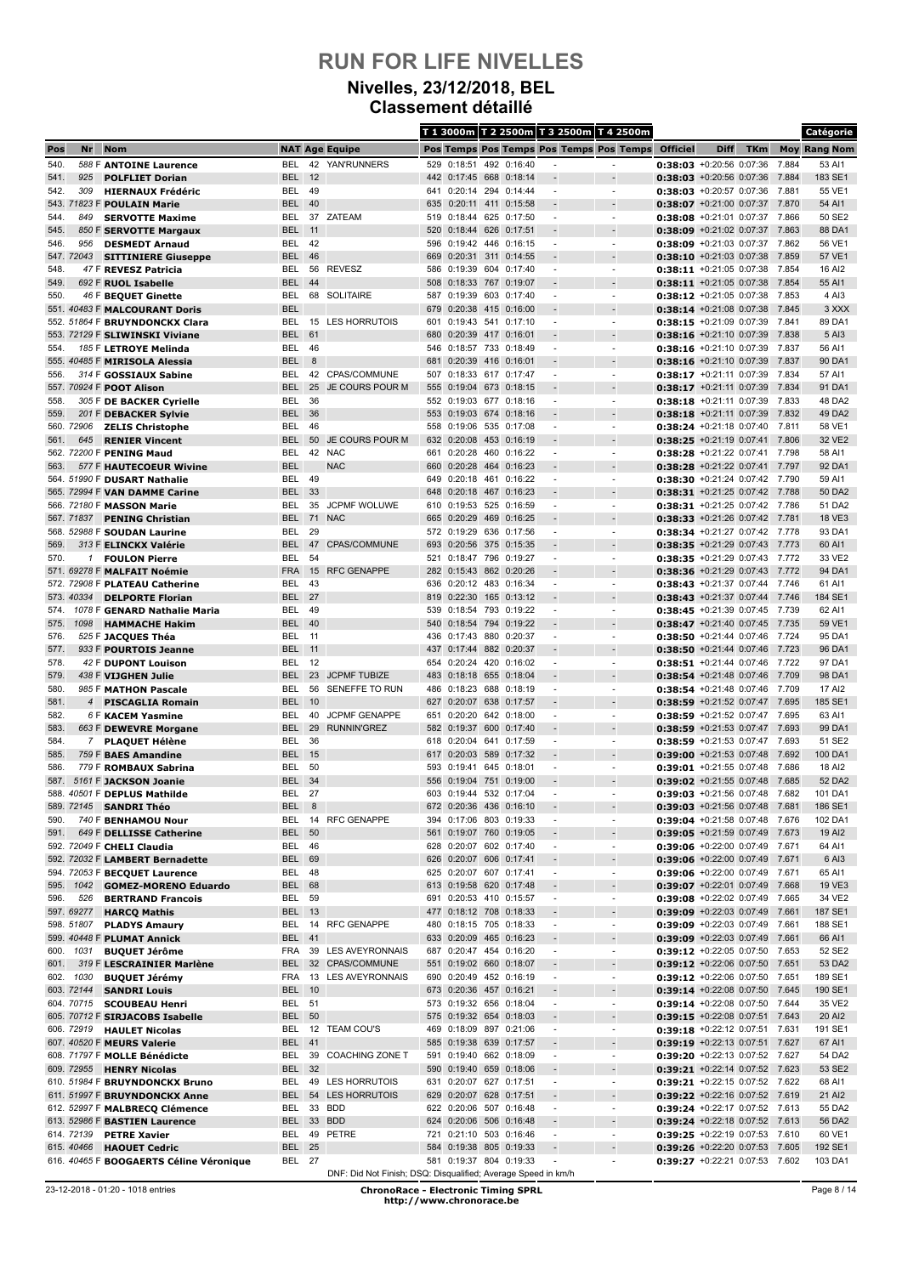#### **Nivelles, 23/12/2018, BEL Classement détaillé**

|              |                   |                                                                  |                             |          |                                                               |            |                                                    |     |                        |                                                      | T 1 3000m T 2 2500m T 3 2500m T 4 2500m              |                                                                    |             |            |                | Catégorie           |
|--------------|-------------------|------------------------------------------------------------------|-----------------------------|----------|---------------------------------------------------------------|------------|----------------------------------------------------|-----|------------------------|------------------------------------------------------|------------------------------------------------------|--------------------------------------------------------------------|-------------|------------|----------------|---------------------|
| Pos          | Nr                | <b>Nom</b>                                                       |                             |          | <b>NAT Age Equipe</b>                                         |            |                                                    |     |                        |                                                      | Pos Temps Pos Temps Pos Temps Pos Temps              | <b>Officiel</b>                                                    | <b>Diff</b> | <b>TKm</b> |                | <b>Moy Rang Nom</b> |
| 540.         |                   | 588 F ANTOINE Laurence                                           | BEL                         |          | 42 YAN'RUNNERS                                                |            | 529 0:18:51                                        |     | 492 0:16:40            |                                                      | $\blacksquare$                                       | 0:38:03 +0:20:56 0:07:36                                           |             |            | 7.884          | 53 AI1              |
| 541.         | 925               | <b>POLFLIET Dorian</b>                                           | <b>BEL</b>                  | 12       |                                                               |            | 442 0:17:45 668                                    |     | 0:18:14                |                                                      |                                                      | 0:38:03 +0:20:56 0:07:36                                           |             |            | 7.884          | 183 SE1             |
| 542.         | 309               | <b>HIERNAUX Frédéric</b>                                         | BEL                         | 49       |                                                               |            | 641 0:20:14                                        | 294 | 0:14:44                | $\overline{\phantom{a}}$                             | $\overline{\phantom{a}}$                             | $0:38:03$ +0:20:57 0:07:36 7.881                                   |             |            |                | 55 VE1              |
| 544.         | 849               | 543. 71823 F POULAIN Marie<br><b>SERVOTTE Maxime</b>             | BEL<br>BEL                  | 40       | 37 ZATEAM                                                     | 635<br>519 | $0:20:11$ 411<br>0:18:44 625 0:17:50               |     | 0:15:58                | $\overline{\phantom{a}}$                             | $\overline{\phantom{a}}$                             | $0:38:07$ +0:21:00 0:07:37<br>0:38:08 +0:21:01 0:07:37 7.866       |             |            | 7.870          | 54 AI1<br>50 SE2    |
| 545.         |                   | 850 F SERVOTTE Margaux                                           | <b>BEL</b>                  | 11       |                                                               | 520        | 0:18:44 626 0:17:51                                |     |                        |                                                      |                                                      | $0:38:09$ +0:21:02 0:07:37                                         |             |            | 7.863          | 88 DA1              |
| 546.         | 956               | <b>DESMEDT Arnaud</b>                                            | BEL                         | 42       |                                                               | 596        | 0:19:42 446 0:16:15                                |     |                        |                                                      | $\blacksquare$                                       | 0:38:09 +0:21:03 0:07:37 7.862                                     |             |            |                | 56 VE1              |
|              | 547. 72043        | <b>SITTINIERE Giuseppe</b>                                       | <b>BEL</b>                  | 46       |                                                               | 669        | 0:20:31                                            | 311 | 0:14:55                |                                                      |                                                      | $0:38:10 + 0:21:03$ 0:07:38                                        |             |            | 7.859          | 57 VE1              |
| 548.         |                   | 47 F REVESZ Patricia                                             | BEL                         | 56       | <b>REVESZ</b>                                                 | 586        | 0:19:39                                            |     | 604 0:17:40            | ٠                                                    | ٠                                                    | $0:38:11 + 0.21:05 0:07:38$                                        |             |            | 7.854          | 16 AI2              |
| 549.         |                   | 692 F RUOL Isabelle                                              | <b>BEL</b>                  | 44       |                                                               |            | 508 0:18:33 767 0:19:07                            |     |                        |                                                      |                                                      | $0:38:11$ +0:21:05 0:07:38                                         |             |            | 7.854          | 55 AI1              |
| 550.         |                   | 46 F BEQUET Ginette                                              | BEL                         |          | 68 SOLITAIRE                                                  | 587        | 0:19:39                                            |     | 603 0:17:40            | ٠                                                    | $\blacksquare$                                       | $0:38:12$ +0:21:05 0:07:38                                         |             |            | 7.853          | 4 AI3               |
|              |                   | 551. 40483 F MALCOURANT Doris                                    | <b>BEL</b>                  | 15       | <b>LES HORRUTOIS</b>                                          | 679        | 0:20:38 415 0:16:00                                |     |                        |                                                      |                                                      | $0:38:14$ +0:21:08 0:07:38                                         |             |            | 7.845          | 3 XXX               |
|              |                   | 552. 51864 F BRUYNDONCKX Clara<br>553. 72129 F SLIWINSKI Viviane | BEL<br>BEL                  | 61       |                                                               | 601<br>680 | 0:19:43<br>0:20:39 417 0:16:01                     | 541 | 0:17:10                | $\overline{\phantom{a}}$                             | $\overline{\phantom{a}}$                             | $0:38:15 + 0:21:09 0:07:39$<br>$0:38:16$ +0:21:10 0:07:39          |             |            | 7.841<br>7.838 | 89 DA1<br>5 AI3     |
| 554.         |                   | 185 F LETROYE Melinda                                            | <b>BEL</b>                  | 46       |                                                               | 546        | 0:18:57 733 0:18:49                                |     |                        | $\blacksquare$                                       | $\blacksquare$                                       | 0:38:16 +0:21:10 0:07:39                                           |             |            | 7.837          | 56 AI1              |
|              |                   | 555. 40485 F MIRISOLA Alessia                                    | BEL                         | 8        |                                                               | 681        | 0:20:39 416 0:16:01                                |     |                        |                                                      |                                                      | $0:38:16 + 0:21:10 0:07:39$                                        |             |            | 7.837          | 90 DA1              |
| 556.         |                   | 314 F GOSSIAUX Sabine                                            | BEL                         |          | 42 CPAS/COMMUNE                                               | 507        | 0:18:33 617 0:17:47                                |     |                        | $\overline{a}$                                       | $\overline{\phantom{a}}$                             | $0:38:17 + 0:21:11$ 0:07:39                                        |             |            | 7.834          | 57 AI1              |
|              |                   | 557. 70924 F POOT Alison                                         | <b>BEL</b>                  | 25       | JE COURS POUR M                                               | 555        | 0:19:04 673 0:18:15                                |     |                        |                                                      |                                                      | $0:38:17 + 0:21:11$ 0:07:39                                        |             |            | 7.834          | 91 DA1              |
| 558.         |                   | 305 F DE BACKER Cyrielle                                         | BEL                         | 36       |                                                               |            | 552 0:19:03 677 0:18:16                            |     |                        | $\overline{\phantom{a}}$                             | $\overline{\phantom{a}}$                             | 0:38:18 +0:21:11 0:07:39 7.833                                     |             |            |                | 48 DA2              |
| 559.         |                   | 201 F DEBACKER Sylvie                                            | <b>BEL</b>                  | 36       |                                                               | 553        | 0:19:03                                            | 674 | 0:18:16                |                                                      |                                                      | $0:38:18$ +0:21:11 0:07:39                                         |             |            | 7.832          | 49 DA2              |
| 561.         | 560. 72906<br>645 | <b>ZELIS Christophe</b><br><b>RENIER Vincent</b>                 | BEL<br><b>BEL</b>           | 46<br>50 | JE COURS POUR M                                               | 558<br>632 | 0:19:06 535 0:17:08<br>0:20:08                     |     | 453 0:16:19            | $\overline{a}$                                       | $\overline{\phantom{a}}$                             | $0:38:24 +0:21:18$ 0:07:40<br>$0:38:25$ +0:21:19 0:07:41           |             |            | 7.811<br>7.806 | 58 VE1<br>32 VE2    |
|              |                   | 562. 72200 F PENING Maud                                         | BEL                         | 42       | <b>NAC</b>                                                    | 661        | 0:20:28                                            |     | 460 0:16:22            | $\blacksquare$                                       | $\blacksquare$                                       | $0:38:28$ +0:21:22 0:07:41                                         |             |            | 7.798          | 58 AI1              |
| 563.         |                   | 577 F HAUTECOEUR Wivine                                          | <b>BEL</b>                  |          | <b>NAC</b>                                                    | 660        | 0:20:28 464 0:16:23                                |     |                        |                                                      |                                                      | $0:38:28$ +0:21:22 0:07:41                                         |             |            | 7.797          | 92 DA1              |
|              |                   | 564. 51990 F DUSART Nathalie                                     | BEL                         | 49       |                                                               | 649        | 0:20:18 461 0:16:22                                |     |                        |                                                      | $\blacksquare$                                       | $0:38:30 + 0:21:24 0:07:42 7.790$                                  |             |            |                | 59 AI1              |
|              |                   | 565. 72994 F VAN DAMME Carine                                    | <b>BEL</b>                  | 33       |                                                               | 648        | 0:20:18                                            |     | 467 0:16:23            |                                                      |                                                      | $0:38:31$ +0:21:25 0:07:42 7.788                                   |             |            |                | 50 DA2              |
|              |                   | 566. 72180 F MASSON Marie                                        | BEL                         | 35       | <b>JCPMF WOLUWE</b>                                           | 610        | 0:19:53 525 0:16:59                                |     |                        | ٠                                                    | ٠                                                    | $0:38:31 +0:21:25 0:07:42 7.786$                                   |             |            |                | 51 DA2              |
|              | 567.71837         | <b>PENING Christian</b>                                          | <b>BEL</b>                  | 71       | <b>NAC</b>                                                    |            | 665 0:20:29                                        |     | 469 0:16:25            | $\overline{a}$                                       | $\overline{\phantom{a}}$                             | 0:38:33 +0:21:26 0:07:42 7.781                                     |             |            |                | 18 VE3              |
|              |                   | 568. 52988 F SOUDAN Laurine                                      | BEL                         | 29<br>47 | CPAS/COMMUNE                                                  |            | 572 0:19:29                                        |     | 636 0:17:56            | $\overline{\phantom{a}}$                             | $\blacksquare$                                       | 0:38:34 +0:21:27 0:07:42 7.778<br>$0:38:35$ +0:21:29 0:07:43 7.773 |             |            |                | 93 DA1              |
| 569.<br>570. | 1                 | 313 F ELINCKX Valérie<br><b>FOULON Pierre</b>                    | <b>BEL</b><br>BEL           | 54       |                                                               | 521        | 693 0:20:56<br>0:18:47                             | 796 | 375 0:15:35<br>0:19:27 | $\overline{\phantom{a}}$                             | $\blacksquare$                                       | $0:38:35 +0:21:29 0:07:43$                                         |             |            | 7.772          | 60 AI1<br>33 VE2    |
|              |                   | 571. 69278 F MALFAIT Noémie                                      | <b>FRA</b>                  | 15       | <b>RFC GENAPPE</b>                                            |            | 282 0:15:43 862 0:20:26                            |     |                        |                                                      |                                                      | 0:38:36 +0:21:29 0:07:43 7.772                                     |             |            |                | 94 DA1              |
|              |                   | 572. 72908 F PLATEAU Catherine                                   | BEL                         | 43       |                                                               | 636        | 0:20:12 483 0:16:34                                |     |                        | $\overline{\phantom{a}}$                             | $\blacksquare$                                       | 0:38:43 +0:21:37 0:07:44                                           |             |            | 7.746          | 61 AI1              |
|              | 573. 40334        | <b>DELPORTE Florian</b>                                          | <b>BEL</b>                  | 27       |                                                               | 819        | 0:22:30                                            |     | 165 0:13:12            |                                                      |                                                      | $0:38:43 + 0:21:37$ 0:07:44                                        |             |            | 7.746          | 184 SE1             |
| 574.         |                   | 1078 F GENARD Nathalie Maria                                     | BEL                         | 49       |                                                               | 539        | 0:18:54 793 0:19:22                                |     |                        | $\overline{a}$                                       | $\overline{\phantom{a}}$                             | $0:38:45 + 0:21:39$ 0:07:45                                        |             |            | 7.739          | 62 AI1              |
| 575.         | 1098              | <b>HAMMACHE Hakim</b>                                            | <b>BEL</b>                  | 40       |                                                               | 540        | 0:18:54 794 0:19:22                                |     |                        |                                                      |                                                      | $0:38:47 + 0:21:40 0:07:45$                                        |             |            | 7.735          | 59 VE1              |
| 576.         |                   | 525 F JACQUES Théa                                               | <b>BEL 11</b>               |          |                                                               |            | 436 0:17:43 880 0:20:37                            |     |                        | $\overline{\phantom{a}}$                             | $\overline{\phantom{a}}$                             | 0:38:50 +0:21:44 0:07:46 7.724                                     |             |            |                | 95 DA1              |
| 577.<br>578. |                   | 933 F POURTOIS Jeanne<br>42 F DUPONT Louison                     | <b>BEL</b><br>BEL           | 11<br>12 |                                                               | 437<br>654 | 0:17:44 882 0:20:37<br>0:20:24                     |     | 420 0:16:02            | $\overline{\phantom{a}}$                             | $\overline{\phantom{a}}$                             | 0:38:50 +0:21:44 0:07:46<br>$0:38:51$ +0:21:44 0:07:46             |             |            | 7.723<br>7.722 | 96 DA1<br>97 DA1    |
| 579.         |                   | 438 F VIJGHEN Julie                                              | <b>BEL</b>                  | 23       | <b>JCPMF TUBIZE</b>                                           | 483        | 0:18:18                                            |     | 655 0:18:04            |                                                      |                                                      | $0:38:54$ +0:21:48 0:07:46                                         |             |            | 7.709          | 98 DA1              |
| 580.         |                   | 985 F MATHON Pascale                                             | BEL                         | 56       | SENEFFE TO RUN                                                | 486        | 0:18:23                                            |     | 688 0:18:19            | $\blacksquare$                                       | $\blacksquare$                                       | 0:38:54 +0:21:48 0:07:46 7.709                                     |             |            |                | 17 AI2              |
| 581.         | $\overline{4}$    | <b>PISCAGLIA Romain</b>                                          | BEL                         | 10       |                                                               | 627        | $0:20:07$ 638                                      |     | 0:17:57                |                                                      |                                                      | 0:38:59 +0:21:52 0:07:47 7.695                                     |             |            |                | 185 SE1             |
| 582.         |                   | 6 F KACEM Yasmine                                                | BEL                         | 40       | <b>JCPMF GENAPPE</b>                                          | 651        | 0:20:20                                            | 642 | 0:18:00                |                                                      | $\overline{\phantom{a}}$                             | $0:38:59$ +0:21:52 0:07:47                                         |             |            | 7.695          | 63 AI1              |
| 583.         |                   | 663 F DEWEVRE Morgane                                            | <b>BEL</b>                  | 29       | <b>RUNNIN'GREZ</b>                                            |            | 582 0:19:37 600 0:17:40                            |     |                        | $\overline{\phantom{a}}$                             |                                                      | 0:38:59 +0:21:53 0:07:47 7.693                                     |             |            |                | 99 DA1              |
| 584.         |                   | 7 PLAQUET Hélène                                                 | BEL                         | 36       |                                                               | 618        | 0:20:04                                            |     | 641 0:17:59            | ٠                                                    | $\overline{\phantom{a}}$                             | 0:38:59 +0:21:53 0:07:47 7.693                                     |             |            |                | 51 SE2              |
| 585.<br>586. |                   | 759 F BAES Amandine<br>779 F ROMBAUX Sabrina                     | BEL<br>BEL                  | 15<br>50 |                                                               | 593        | 617 0:20:03 589 0:17:32<br>0:19:41                 |     | 645 0:18:01            | $\overline{\phantom{a}}$<br>$\overline{\phantom{a}}$ | $\overline{\phantom{a}}$<br>$\blacksquare$           | $0:39:00$ +0:21:53 0:07:48<br>0:39:01 +0:21:55 0:07:48 7.686       |             |            | 7.692          | 100 DA1<br>18 AI2   |
| 587.         |                   | 5161 F JACKSON Joanie                                            | <b>BEL</b>                  | 34       |                                                               |            | 556 0:19:04                                        | 751 | 0:19:00                |                                                      |                                                      | $0:39:02$ +0:21:55 0:07:48                                         |             |            | 7.685          | 52 DA2              |
|              |                   | 588. 40501 F DEPLUS Mathilde                                     | BEL                         | 27       |                                                               | 603        | 0:19:44 532 0:17:04                                |     |                        |                                                      | $\blacksquare$                                       | 0:39:03 +0:21:56 0:07:48 7.682                                     |             |            |                | 101 DA1             |
|              | 589. 72145        | <b>SANDRI Théo</b>                                               | <b>BEL</b>                  | 8        |                                                               |            | 672 0:20:36 436 0:16:10                            |     |                        |                                                      |                                                      | $0:39:03$ +0:21:56 0:07:48                                         |             |            | 7.681          | 186 SE1             |
| 590.         |                   | 740 F BENHAMOU Nour                                              |                             |          | BEL 14 RFC GENAPPE                                            |            | 394 0:17:06 803 0:19:33                            |     |                        | $\overline{\phantom{a}}$                             | $\overline{\phantom{a}}$                             | 0:39:04 +0:21:58 0:07:48 7.676                                     |             |            |                | 102 DA1             |
| 591.         |                   | 649 F DELLISSE Catherine                                         | <b>BEL</b>                  | 50       |                                                               |            | 561 0:19:07 760 0:19:05                            |     |                        |                                                      |                                                      | 0:39:05 +0:21:59 0:07:49                                           |             |            | 7.673          | 19 AI2              |
|              |                   | 592. 72049 F CHELI Claudia                                       | BEL 46                      |          |                                                               |            | 628 0:20:07 602 0:17:40                            |     |                        | $\overline{\phantom{a}}$                             | $\overline{\phantom{a}}$                             | 0:39:06 +0:22:00 0:07:49 7.671                                     |             |            |                | 64 AI1              |
|              |                   | 592. 72032 F LAMBERT Bernadette<br>594. 72053 F BECQUET Laurence | <b>BEL</b><br><b>BEL 48</b> | 69       |                                                               |            | 626 0:20:07 606 0:17:41<br>625 0:20:07 607 0:17:41 |     |                        | $\sim$<br>$\overline{\phantom{a}}$                   | $\overline{\phantom{a}}$<br>$\blacksquare$           | 0:39:06 +0:22:00 0:07:49 7.671<br>0:39:06 +0:22:00 0:07:49 7.671   |             |            |                | 6 AI3<br>65 AI1     |
| 595.         | 1042              | <b>GOMEZ-MORENO Eduardo</b>                                      | <b>BEL</b>                  | 68       |                                                               |            | 613 0:19:58 620                                    |     | 0:17:48                |                                                      | $\overline{\phantom{a}}$                             | $0:39:07$ +0:22:01 0:07:49                                         |             |            | 7.668          | 19 VE3              |
| 596.         | 526               | <b>BERTRAND Francois</b>                                         | BEL                         | 59       |                                                               |            | 691 0:20:53 410 0:15:57                            |     |                        | $\overline{\phantom{a}}$                             | $\blacksquare$                                       | 0:39:08 +0:22:02 0:07:49 7.665                                     |             |            |                | 34 VE2              |
|              | 597. 69277        | <b>HARCQ Mathis</b>                                              | <b>BEL</b>                  | 13       |                                                               |            | 477 0:18:12 708 0:18:33                            |     |                        |                                                      |                                                      | 0:39:09 +0:22:03 0:07:49 7.661                                     |             |            |                | 187 SE1             |
|              | 598. 51807        | <b>PLADYS Amaury</b>                                             |                             |          | BEL 14 RFC GENAPPE                                            |            | 480 0:18:15 705 0:18:33                            |     |                        | $\overline{\phantom{a}}$                             | $\overline{\phantom{a}}$                             | 0:39:09 +0:22:03 0:07:49 7.661                                     |             |            |                | 188 SE1             |
|              |                   | 599. 40448 F PLUMAT Annick                                       | <b>BEL 41</b>               |          |                                                               |            | 633 0:20:09 465 0:16:23                            |     |                        |                                                      |                                                      | 0:39:09 +0:22:03 0:07:49 7.661                                     |             |            |                | 66 AI1              |
| 600.         | 1031              | <b>BUQUET Jérôme</b>                                             | FRA                         |          | 39 LES AVEYRONNAIS                                            |            | 687 0:20:47 454 0:16:20                            |     |                        | $\overline{\phantom{a}}$                             | $\overline{\phantom{a}}$                             | 0:39:12 +0:22:05 0:07:50 7.653                                     |             |            |                | 52 SE2              |
| 601.<br>602. | 1030              | 319 F LESCRAINIER Marlène<br><b>BUQUET Jérémy</b>                | <b>BEL</b><br>FRA           |          | 32 CPAS/COMMUNE<br>13 LES AVEYRONNAIS                         |            | 551 0:19:02 660 0:18:07<br>690 0:20:49 452 0:16:19 |     |                        | $\blacksquare$<br>$\overline{\phantom{a}}$           | ÷,<br>$\overline{\phantom{a}}$                       | 0:39:12 +0:22:06 0:07:50 7.651<br>0:39:12 +0:22:06 0:07:50 7.651   |             |            |                | 53 DA2<br>189 SE1   |
|              | 603. 72144        | <b>SANDRI Louis</b>                                              | <b>BEL 10</b>               |          |                                                               |            | 673 0:20:36 457 0:16:21                            |     |                        | $\overline{\phantom{a}}$                             | $\overline{\phantom{a}}$                             | $0:39:14$ +0:22:08 0:07:50 7.645                                   |             |            |                | 190 SE1             |
|              |                   | 604. 70715 SCOUBEAU Henri                                        | <b>BEL 51</b>               |          |                                                               |            | 573 0:19:32 656 0:18:04                            |     |                        | $\blacksquare$                                       | $\overline{\phantom{a}}$                             | 0:39:14 +0:22:08 0:07:50 7.644                                     |             |            |                | 35 VE2              |
|              |                   | 605. 70712 F SIRJACOBS Isabelle                                  | <b>BEL</b>                  | 50       |                                                               |            | 575 0:19:32 654 0:18:03                            |     |                        |                                                      |                                                      | 0:39:15 +0:22:08 0:07:51 7.643                                     |             |            |                | 20 AI2              |
|              | 606. 72919        | <b>HAULET Nicolas</b>                                            | BEL                         |          | 12 TEAM COU'S                                                 | 469        | 0:18:09 897 0:21:06                                |     |                        | $\overline{\phantom{a}}$                             | $\overline{\phantom{a}}$                             | 0:39:18 +0:22:12 0:07:51 7.631                                     |             |            |                | 191 SE1             |
|              |                   | 607. 40520 F MEURS Valerie                                       | <b>BEL 41</b>               |          |                                                               |            | 585 0:19:38 639 0:17:57                            |     |                        |                                                      |                                                      | 0:39:19 +0:22:13 0:07:51 7.627                                     |             |            |                | 67 AI1              |
|              |                   | 608. 71797 F MOLLE Bénédicte                                     | BEL                         |          | 39 COACHING ZONE T                                            |            | 591 0:19:40 662 0:18:09                            |     |                        | $\overline{\phantom{a}}$                             | $\overline{\phantom{a}}$                             | 0:39:20 +0:22:13 0:07:52 7.627                                     |             |            |                | 54 DA2              |
|              | 609. 72955        | <b>HENRY Nicolas</b>                                             | <b>BEL</b>                  | 32       | 49 LES HORRUTOIS                                              | 631        | 590 0:19:40 659 0:18:06<br>0:20:07 627 0:17:51     |     |                        |                                                      |                                                      | 0:39:21 +0:22:14 0:07:52 7.623                                     |             |            |                | 53 SE2<br>68 AI1    |
|              |                   | 610. 51984 F BRUYNDONCKX Bruno<br>611. 51997 F BRUYNDONCKX Anne  | BEL<br><b>BEL</b>           |          | 54 LES HORRUTOIS                                              |            | 629 0:20:07 628 0:17:51                            |     |                        | $\overline{\phantom{a}}$<br>$\overline{\phantom{a}}$ | $\overline{\phantom{a}}$<br>$\overline{\phantom{a}}$ | 0:39:21 +0:22:15 0:07:52 7.622<br>0:39:22 +0:22:16 0:07:52 7.619   |             |            |                | 21 Al2              |
|              |                   | 612. 52997 F MALBRECQ Clémence                                   | BEL                         |          | 33 BDD                                                        |            | 622 0:20:06 507 0:16:48                            |     |                        | $\overline{\phantom{a}}$                             | $\blacksquare$                                       | 0:39:24 +0:22:17 0:07:52 7.613                                     |             |            |                | 55 DA2              |
|              |                   | 613. 52986 F BASTIEN Laurence                                    | <b>BEL</b>                  |          | 33 BDD                                                        |            | 624 0:20:06 506 0:16:48                            |     |                        |                                                      | $\overline{\phantom{a}}$                             | 0:39:24 +0:22:18 0:07:52 7.613                                     |             |            |                | 56 DA2              |
|              | 614. 72139        | <b>PETRE Xavier</b>                                              | BEL                         |          | 49 PETRE                                                      |            | 721 0:21:10 503 0:16:46                            |     |                        | $\overline{\phantom{a}}$                             | $\overline{\phantom{a}}$                             | 0:39:25 +0:22:19 0:07:53 7.610                                     |             |            |                | 60 VE1              |
|              | 615. 40466        | <b>HAOUET Cedric</b>                                             | <b>BEL</b>                  | 25       |                                                               |            | 584 0:19:38 805 0:19:33                            |     |                        |                                                      |                                                      | 0:39:26 +0:22:20 0:07:53 7.605                                     |             |            |                | 192 SE1             |
|              |                   | 616. 40465 F BOOGAERTS Céline Véronique                          | <b>BEL 27</b>               |          |                                                               |            | 581 0:19:37 804 0:19:33                            |     |                        |                                                      | $\overline{\phantom{m}}$                             | 0:39:27 +0:22:21 0:07:53 7.602                                     |             |            |                | 103 DA1             |
|              |                   |                                                                  |                             |          | DNF: Did Not Finish; DSQ: Disqualified; Average Speed in km/h |            |                                                    |     |                        |                                                      |                                                      |                                                                    |             |            |                |                     |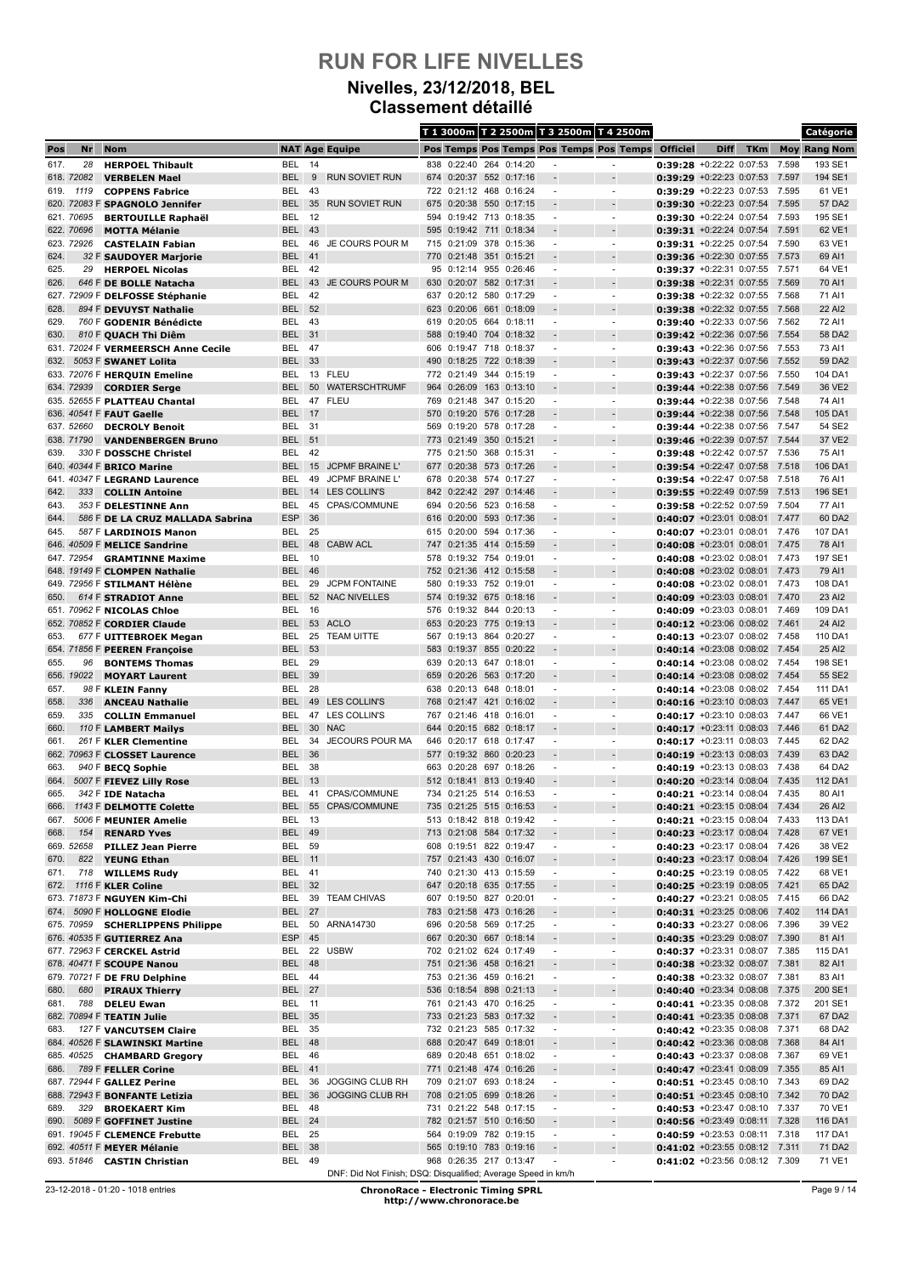#### **Nivelles, 23/12/2018, BEL Classement détaillé**

|              |            |                                                           |                          |          |                                                               |            |                                                    |            |                    | T 1 3000m T 2 2500m T 3 2500m T 4 2500m |                                         |                                                                    |             |            |                | Catégorie           |
|--------------|------------|-----------------------------------------------------------|--------------------------|----------|---------------------------------------------------------------|------------|----------------------------------------------------|------------|--------------------|-----------------------------------------|-----------------------------------------|--------------------------------------------------------------------|-------------|------------|----------------|---------------------|
| Pos          | Nr         | <b>Nom</b>                                                |                          |          | <b>NAT Age Equipe</b>                                         |            |                                                    |            |                    |                                         | Pos Temps Pos Temps Pos Temps Pos Temps | <b>Officiel</b>                                                    | <b>Diff</b> | <b>TKm</b> |                | <b>Moy Rang Nom</b> |
| 617.         | 28         | <b>HERPOEL Thibault</b>                                   | BEL                      | 14       |                                                               | 838        | 0:22:40                                            |            | 264 0:14:20        |                                         | $\blacksquare$                          | 0:39:28 +0:22:22 0:07:53                                           |             |            | 7.598          | 193 SE1             |
|              | 618. 72082 | <b>VERBELEN Mael</b>                                      | <b>BEL</b>               | 9        | <b>RUN SOVIET RUN</b>                                         |            | 674 0:20:37 552 0:17:16                            |            |                    |                                         |                                         | $0:39:29 + 0:22:23$ 0:07:53                                        |             |            | 7.597          | 194 SE1             |
| 619.         | 1119       | <b>COPPENS Fabrice</b>                                    | <b>BEL</b>               | 43       |                                                               |            | 722 0:21:12 468 0:16:24                            |            |                    | $\overline{a}$                          | $\overline{\phantom{a}}$                | 0:39:29 +0:22:23 0:07:53 7.595                                     |             |            |                | 61 VE1              |
|              | 621. 70695 | 620. 72083 F SPAGNOLO Jennifer                            | <b>BEL</b><br>BEL        | 35<br>12 | <b>RUN SOVIET RUN</b>                                         |            | 675 0:20:38 550                                    |            | 0:17:15            |                                         | $\overline{\phantom{a}}$                | $0:39:30$ +0:22:23 0:07:54<br>0:39:30 +0:22:24 0:07:54 7.593       |             |            | 7.595          | 57 DA2<br>195 SE1   |
|              | 622. 70696 | <b>BERTOUILLE Raphaël</b><br><b>MOTTA Mélanie</b>         | <b>BEL</b>               | 43       |                                                               | 594<br>595 | 0:19:42 713 0:18:35<br>0:19:42                     | 711        | 0:18:34            |                                         |                                         | $0:39:31$ +0:22:24 0:07:54                                         |             |            | 7.591          | 62 VE1              |
|              | 623. 72926 | <b>CASTELAIN Fabian</b>                                   | BEL                      | 46       | JE COURS POUR M                                               |            | 715 0:21:09 378 0:15:36                            |            |                    | ٠                                       | $\blacksquare$                          | 0:39:31 +0:22:25 0:07:54 7.590                                     |             |            |                | 63 VE1              |
| 624.         |            | 32 F SAUDOYER Marjorie                                    | <b>BEL</b>               | 41       |                                                               | 770        | 0:21:48                                            | 351        | 0:15:21            |                                         |                                         | 0:39:36 +0:22:30 0:07:55 7.573                                     |             |            |                | 69 AI1              |
| 625.         | 29         | <b>HERPOEL Nicolas</b>                                    | BEL                      | 42       |                                                               | 95         | 0:12:14                                            | 955        | 0:26:46            |                                         |                                         | $0:39:37 + 0:22:31$ 0:07:55                                        |             |            | 7.571          | 64 VE1              |
| 626.         |            | 646 F DE BOLLE Natacha                                    | <b>BEL</b>               | 43       | JE COURS POUR M                                               |            | 630 0:20:07                                        |            | 582 0:17:31        |                                         |                                         | $0:39:38$ +0:22:31 0:07:55 7.569                                   |             |            |                | 70 AI1              |
|              |            | 627. 72909 F DELFOSSE Stéphanie                           | BEL                      | 42       |                                                               |            | 637 0:20:12 580 0:17:29                            |            |                    | ٠                                       | $\blacksquare$                          | 0:39:38 +0:22:32 0:07:55 7.568                                     |             |            |                | 71 AI1              |
| 628.<br>629. |            | 894 F DEVUYST Nathalie<br>760 F GODENIR Bénédicte         | <b>BEL</b><br>BEL        | 52<br>43 |                                                               | 619        | 623 0:20:06<br>0:20:05                             | 661<br>664 | 0:18:09<br>0:18:11 |                                         |                                         | $0:39:38$ +0:22:32 0:07:55<br>$0:39:40$ +0:22:33 0:07:56           |             |            | 7.568<br>7.562 | 22 AI2<br>72 AI1    |
| 630.         |            | 810 F QUACH Thi Diêm                                      | <b>BEL</b>               | 31       |                                                               |            | 588 0:19:40 704                                    |            | 0:18:32            |                                         |                                         | $0:39:42$ +0:22:36 0:07:56                                         |             |            | 7.554          | 58 DA2              |
|              |            | 631. 72024 F VERMEERSCH Anne Cecile                       | BEL                      | 47       |                                                               | 606        | 0:19:47 718 0:18:37                                |            |                    |                                         | $\overline{\phantom{a}}$                | 0:39:43 +0:22:36 0:07:56                                           |             |            | 7.553          | 73 AI1              |
| 632.         |            | 5053 F SWANET Lolita                                      | <b>BEL</b>               | 33       |                                                               |            | 490 0:18:25 722 0:18:39                            |            |                    |                                         |                                         | 0:39:43 +0:22:37 0:07:56 7.552                                     |             |            |                | 59 DA2              |
|              |            | 633. 72076 F HERQUIN Emeline                              | <b>BEL</b>               |          | 13 FLEU                                                       |            | 772 0:21:49                                        |            | 344 0:15:19        | ÷,                                      | $\blacksquare$                          | $0:39:43 + 0:22:37$ 0:07:56                                        |             |            | 7.550          | 104 DA1             |
|              | 634. 72939 | <b>CORDIER Serge</b>                                      | <b>BEL</b>               | 50       | WATERSCHTRUMF                                                 |            | 964 0:26:09                                        |            | 163 0:13:10        |                                         |                                         | $0:39:44$ +0:22:38 0:07:56                                         |             |            | 7.549          | 36 VE2              |
|              |            | 635. 52655 F PLATTEAU Chantal<br>636. 40541 F FAUT Gaelle | BEL<br><b>BEL 17</b>     | 47       | <b>FLEU</b>                                                   |            | 769 0:21:48<br>570 0:19:20 576 0:17:28             |            | 347 0:15:20        | $\blacksquare$                          | $\overline{\phantom{a}}$                | 0:39:44 +0:22:38 0:07:56 7.548<br>$0:39:44$ +0:22:38 0:07:56       |             |            | 7.548          | 74 AI1<br>105 DA1   |
|              | 637. 52660 | <b>DECROLY Benoit</b>                                     | <b>BEL 31</b>            |          |                                                               |            | 569 0:19:20 578 0:17:28                            |            |                    | $\overline{a}$                          | $\overline{\phantom{a}}$                | 0:39:44 +0:22:38 0:07:56 7.547                                     |             |            |                | 54 SE2              |
|              | 638, 71790 | <b>VANDENBERGEN Bruno</b>                                 | <b>BEL</b>               | 51       |                                                               |            | 773 0:21:49                                        | 350        | 0:15:21            |                                         |                                         | 0:39:46 +0:22:39 0:07:57                                           |             |            | 7.544          | 37 VE2              |
| 639.         |            | 330 F DOSSCHE Christel                                    | BEL                      | 42       |                                                               |            | 775 0:21:50                                        |            | 368 0:15:31        | $\overline{a}$                          | $\overline{\phantom{a}}$                | 0:39:48 +0:22:42 0:07:57 7.536                                     |             |            |                | 75 AI1              |
|              |            | 640. 40344 F BRICO Marine                                 | <b>BEL</b>               | 15       | <b>JCPMF BRAINE L'</b>                                        | 677        | 0:20:38                                            | 573        | 0:17:26            |                                         |                                         | 0:39:54 +0:22:47 0:07:58                                           |             |            | 7.518          | 106 DA1             |
|              |            | 641. 40347 F LEGRAND Laurence                             | BEL                      | 49       | <b>JCPMF BRAINE L'</b>                                        |            | 678 0:20:38 574 0:17:27                            |            |                    | ٠                                       | $\blacksquare$                          | 0:39:54 +0:22:47 0:07:58 7.518                                     |             |            |                | 76 AI1              |
| 642.         | 333        | <b>COLLIN Antoine</b>                                     | <b>BEL</b>               |          | 14 LES COLLIN'S                                               |            | 842 0:22:42 297<br>0:20:56                         |            | 0:14:46            |                                         |                                         | 0:39:55 +0:22:49 0:07:59                                           |             |            | 7.513          | 196 SE1             |
| 643.<br>644. |            | 353 F DELESTINNE Ann<br>586 F DE LA CRUZ MALLADA Sabrina  | BEL<br><b>ESP</b>        | 45<br>36 | CPAS/COMMUNE                                                  | 694        | 616 0:20:00 593 0:17:36                            |            | 523 0:16:58        |                                         |                                         | $0:39:58$ +0:22:52 0:07:59<br>0:40:07 +0:23:01 0:08:01 7.477       |             |            | 7.504          | 77 AI1<br>60 DA2    |
| 645.         |            | 587 F LARDINOIS Manon                                     | BEL                      | 25       |                                                               |            | 615 0:20:00                                        |            | 594 0:17:36        | ٠                                       | $\blacksquare$                          | 0:40:07 +0:23:01 0:08:01 7.476                                     |             |            |                | 107 DA1             |
|              |            | 646. 40509 F MELICE Sandrine                              | <b>BEL</b>               | 48       | <b>CABW ACL</b>                                               |            | 747 0:21:35 414 0:15:59                            |            |                    |                                         |                                         | $0:40:08$ +0:23:01 0:08:01                                         |             |            | 7.475          | 78 AI1              |
|              | 647. 72954 | <b>GRAMTINNE Maxime</b>                                   | BEL                      | 10       |                                                               | 578        | 0:19:32 754 0:19:01                                |            |                    |                                         |                                         | $0:40:08$ +0:23:02 0:08:01                                         |             |            | 7.473          | 197 SE1             |
|              |            | 648. 19149 F CLOMPEN Nathalie                             | <b>BEL</b>               | 46       |                                                               |            | 752 0:21:36 412 0:15:58                            |            |                    |                                         |                                         | $0:40:08$ +0:23:02 0:08:01 7.473                                   |             |            |                | 79 AI1              |
|              |            | 649. 72956 F STILMANT Hélène                              | BEL                      | 29       | <b>JCPM FONTAINE</b>                                          | 580        | 0:19:33 752 0:19:01                                |            |                    | $\overline{\phantom{a}}$                | $\overline{\phantom{a}}$                | $0:40:08$ +0:23:02 0:08:01                                         |             |            | 7.473          | 108 DA1             |
| 650.         |            | 614 F STRADIOT Anne<br>651. 70962 F NICOLAS Chloe         | <b>BEL</b><br><b>BEL</b> | 16       | 52 NAC NIVELLES                                               | 576        | 574 0:19:32 675 0:18:16<br>0:19:32 844 0:20:13     |            |                    | ÷,                                      | $\blacksquare$                          | $0:40:09$ +0:23:03 0:08:01<br>0:40:09 +0:23:03 0:08:01             |             |            | 7.470<br>7.469 | 23 AI2<br>109 DA1   |
|              |            | 652. 70852 F CORDIER Claude                               | <b>BEL</b>               | 53       | <b>ACLO</b>                                                   |            | 653 0:20:23 775 0:19:13                            |            |                    |                                         |                                         | $0:40:12$ +0:23:06 0:08:02                                         |             |            | 7.461          | 24 Al2              |
| 653.         |            | 677 F UITTEBROEK Megan                                    | <b>BEL</b>               | 25       | <b>TEAM UITTE</b>                                             | 567        | 0:19:13 864 0:20:27                                |            |                    | $\blacksquare$                          | $\blacksquare$                          | $0:40:13 + 0:23:07$ 0:08:02 7.458                                  |             |            |                | 110 DA1             |
|              |            | 654. 71856 F PEEREN Françoise                             | <b>BEL</b>               | 53       |                                                               |            | 583 0:19:37 855 0:20:22                            |            |                    |                                         |                                         | 0:40:14 +0:23:08 0:08:02 7.454                                     |             |            |                | 25 AI2              |
| 655.         | 96         | <b>BONTEMS Thomas</b>                                     | BEL                      | 29       |                                                               |            | 639 0:20:13 647 0:18:01                            |            |                    | $\overline{\phantom{a}}$                | $\overline{\phantom{a}}$                | 0:40:14 +0:23:08 0:08:02 7.454                                     |             |            |                | 198 SE1             |
|              | 656. 19022 | <b>MOYART Laurent</b>                                     | <b>BEL</b>               | 39       |                                                               | 659        | 0:20:26                                            | 563        | 0:17:20            |                                         |                                         | $0:40:14$ +0:23:08 0:08:02                                         |             |            | 7.454          | 55 SE2              |
| 657.<br>658. | 336        | 98 F KLEIN Fanny                                          | BEL<br><b>BEL</b>        | 28<br>49 | LES COLLIN'S                                                  | 638<br>768 | 0:20:13 648<br>0:21:47 421                         |            | 0:18:01            | $\overline{a}$                          | $\overline{\phantom{a}}$                | $0:40:14$ +0:23:08 0:08:02 7.454<br>$0:40:16$ +0:23:10 0:08:03     |             |            | 7.447          | 111 DA1<br>65 VE1   |
| 659.         |            | <b>ANCEAU Nathalie</b><br>335 COLLIN Emmanuel             | BEL                      |          | 47 LES COLLIN'S                                               |            | 767 0:21:46 418 0:16:01                            |            | 0:16:02            | $\overline{a}$                          | $\blacksquare$                          | $0:40:17$ +0:23:10 0:08:03                                         |             |            | 7.447          | 66 VE1              |
| 660.         |            | 110 F LAMBERT Mailys                                      | <b>BEL</b>               | 30       | <b>NAC</b>                                                    | 644        | 0:20:15 682 0:18:17                                |            |                    |                                         |                                         | $0:40:17$ +0:23:11 0:08:03                                         |             |            | 7.446          | 61 DA2              |
| 661.         |            | 261 F KLER Clementine                                     | BEL                      | 34       | JECOURS POUR MA                                               | 646        | $0:20:17$ 618                                      |            | 0:17:47            |                                         |                                         | $0:40:17 + 0:23:11 \quad 0:08:03$                                  |             |            | 7.445          | 62 DA2              |
|              |            | 662. 70963 F CLOSSET Laurence                             | <b>BEL</b>               | 36       |                                                               |            | 577 0:19:32 860 0:20:23                            |            |                    |                                         |                                         | $0:40:19$ +0:23:13 0:08:03                                         |             |            | 7.439          | 63 DA2              |
| 663.         |            | 940 F BECQ Sophie                                         | BEL                      | -38      |                                                               | 663        | 0:20:28 697 0:18:26                                |            |                    | ٠                                       | $\blacksquare$                          | 0:40:19 +0:23:13 0:08:03 7.438                                     |             |            |                | 64 DA2              |
| 664.         |            | 5007 F FIEVEZ Lilly Rose                                  | <b>BEL</b><br><b>BEL</b> | 13       | 41 CPAS/COMMUNE                                               |            | 512 0:18:41 813 0:19:40<br>734 0:21:25 514 0:16:53 |            |                    |                                         |                                         | $0:40:20 + 0:23:14 0:08:04$                                        |             |            | 7.435<br>7.435 | 112 DA1<br>80 AI1   |
| 665.<br>666. |            | 342 F IDE Natacha<br>1143 F DELMOTTE Colette              | BEL                      | 55       | CPAS/COMMUNE                                                  |            | 735 0:21:25 515 0:16:53                            |            |                    |                                         | -                                       | $0:40:21$ +0:23:14 0:08:04<br>$0:40:21$ +0:23:15 0:08:04 7.434     |             |            |                | 26 AI2              |
| 667.         |            | 5006 F MEUNIER Amelie                                     | BEL 13                   |          |                                                               |            | 513 0:18:42 818 0:19:42                            |            |                    | $\overline{\phantom{a}}$                | $\overline{\phantom{a}}$                | 0:40:21 +0:23:15 0:08:04 7.433                                     |             |            |                | 113 DA1             |
| 668.         | 154        | <b>RENARD Yves</b>                                        | <b>BEL</b> 49            |          |                                                               |            | 713 0:21:08 584 0:17:32                            |            |                    |                                         |                                         | 0:40:23 +0:23:17 0:08:04 7.428                                     |             |            |                | 67 VE1              |
|              | 669. 52658 | <b>PILLEZ Jean Pierre</b>                                 | BEL 59                   |          |                                                               |            | 608 0:19:51 822 0:19:47                            |            |                    | $\overline{\phantom{a}}$                | $\overline{\phantom{a}}$                | 0:40:23 +0:23:17 0:08:04 7.426                                     |             |            |                | 38 VE2              |
| 670.         | 822        | <b>YEUNG Ethan</b>                                        | <b>BEL 11</b>            |          |                                                               |            | 757 0:21:43 430 0:16:07                            |            |                    |                                         |                                         | 0:40:23 +0:23:17 0:08:04 7.426                                     |             |            |                | 199 SE1             |
| 671.<br>672. |            | 718 WILLEMS Rudy<br>1116 F KLER Coline                    | BEL 41<br>BEL 32         |          |                                                               |            | 740 0:21:30 413 0:15:59<br>647 0:20:18 635 0:17:55 |            |                    | $\overline{\phantom{a}}$                | $\overline{\phantom{a}}$                | 0:40:25 +0:23:19 0:08:05 7.422<br>0:40:25 +0:23:19 0:08:05 7.421   |             |            |                | 68 VE1<br>65 DA2    |
|              |            | 673. 71873 F NGUYEN Kim-Chi                               | BEL                      |          | 39 TEAM CHIVAS                                                |            | 607 0:19:50 827 0:20:01                            |            |                    | $\overline{\phantom{a}}$                | $\blacksquare$                          | 0:40:27 +0:23:21 0:08:05 7.415                                     |             |            |                | 66 DA2              |
| 674.         |            | 5090 F HOLLOGNE Elodie                                    | <b>BEL</b>               | 27       |                                                               |            | 783 0:21:58 473 0:16:26                            |            |                    |                                         |                                         | $0:40:31$ +0:23:25 0:08:06                                         |             |            | 7.402          | 114 DA1             |
|              |            | 675. 70959 SCHERLIPPENS Philippe                          | BEL                      |          | 50 ARNA14730                                                  |            | 696 0:20:58 569 0:17:25                            |            |                    | $\overline{\phantom{a}}$                | ٠                                       | 0:40:33 +0:23:27 0:08:06 7.396                                     |             |            |                | 39 VE2              |
|              |            | 676. 40535 F GUTIERREZ Ana                                | <b>ESP</b>               | 45       |                                                               |            | 667 0:20:30 667 0:18:14                            |            |                    |                                         |                                         | 0:40:35 +0:23:29 0:08:07 7.390                                     |             |            |                | 81 AI1              |
|              |            | 677. 72963 F CERCKEL Astrid                               | BEL                      |          | 22 USBW                                                       |            | 702 0:21:02 624 0:17:49                            |            |                    | $\overline{\phantom{a}}$                | $\overline{\phantom{a}}$                | 0:40:37 +0:23:31 0:08:07 7.385                                     |             |            |                | 115 DA1             |
|              |            | 678. 40471 F SCOUPE Nanou<br>679. 70721 F DE FRU Delphine | BEL 48<br>BEL 44         |          |                                                               |            | 751 0:21:36 458 0:16:21<br>753 0:21:36 459 0:16:21 |            |                    | $\overline{\phantom{a}}$                | $\overline{\phantom{a}}$                | $0:40:38$ +0:23:32 0:08:07 7.381<br>0:40:38 +0:23:32 0:08:07 7.381 |             |            |                | 82 AI1<br>83 AI1    |
| 680.         | 680        | <b>PIRAUX Thierry</b>                                     | <b>BEL 27</b>            |          |                                                               |            | 536 0:18:54 898 0:21:13                            |            |                    | ÷,                                      | $\overline{\phantom{a}}$                | $0:40:40$ +0:23:34 0:08:08 7.375                                   |             |            |                | 200 SE1             |
| 681.         |            | 788 DELEU Ewan                                            | <b>BEL 11</b>            |          |                                                               |            | 761 0:21:43 470 0:16:25                            |            |                    | $\overline{\phantom{a}}$                | $\overline{\phantom{a}}$                | 0:40:41 +0:23:35 0:08:08 7.372                                     |             |            |                | 201 SE1             |
|              |            | 682. 70894 F TEATIN Julie                                 | <b>BEL</b>               | 35       |                                                               |            | 733 0:21:23 583 0:17:32                            |            |                    |                                         | $\overline{\phantom{a}}$                | 0:40:41 +0:23:35 0:08:08 7.371                                     |             |            |                | 67 DA2              |
| 683.         |            | 127 F VANCUTSEM Claire                                    | BEL                      | 35       |                                                               |            | 732 0:21:23 585 0:17:32                            |            |                    | $\overline{\phantom{a}}$                | $\overline{\phantom{a}}$                | 0:40:42 +0:23:35 0:08:08 7.371                                     |             |            |                | 68 DA2              |
|              |            | 684. 40526 F SLAWINSKI Martine                            | <b>BEL 48</b>            |          |                                                               |            | 688 0:20:47 649 0:18:01                            |            |                    |                                         |                                         | 0:40:42 +0:23:36 0:08:08 7.368                                     |             |            |                | 84 AI1              |
| 686.         | 685.40525  | <b>CHAMBARD Gregory</b>                                   | BEL 46<br><b>BEL 41</b>  |          |                                                               |            | 689 0:20:48 651 0:18:02<br>771 0:21:48 474 0:16:26 |            |                    | $\overline{\phantom{a}}$                | $\overline{\phantom{a}}$                | 0:40:43 +0:23:37 0:08:08 7.367<br>0:40:47 +0:23:41 0:08:09 7.355   |             |            |                | 69 VE1<br>85 AI1    |
|              |            | 789 F FELLER Corine<br>687. 72944 F GALLEZ Perine         | BEL                      | 36       | JOGGING CLUB RH                                               |            | 709 0:21:07 693 0:18:24                            |            |                    | $\overline{\phantom{a}}$                | $\overline{\phantom{a}}$                | 0:40:51 +0:23:45 0:08:10 7.343                                     |             |            |                | 69 DA2              |
|              |            | 688. 72943 F BONFANTE Letizia                             | <b>BEL</b>               | 36       | <b>JOGGING CLUB RH</b>                                        |            | 708 0:21:05 699 0:18:26                            |            |                    |                                         |                                         | 0:40:51 +0:23:45 0:08:10 7.342                                     |             |            |                | 70 DA2              |
| 689.         | 329        | <b>BROEKAERT Kim</b>                                      | BEL 48                   |          |                                                               |            | 731 0:21:22 548 0:17:15                            |            |                    | $\overline{\phantom{a}}$                | $\overline{\phantom{a}}$                | 0:40:53 +0:23:47 0:08:10 7.337                                     |             |            |                | 70 VE1              |
| 690.         |            | 5089 F GOFFINET Justine                                   | BEL 24                   |          |                                                               |            | 782 0:21:57 510 0:16:50                            |            |                    |                                         | $\overline{\phantom{a}}$                | 0:40:56 +0:23:49 0:08:11 7.328                                     |             |            |                | 116 DA1             |
|              |            | 691. 19045 F CLEMENCE Frebutte                            | <b>BEL 25</b>            |          |                                                               |            | 564 0:19:09 782 0:19:15                            |            |                    | $\overline{\phantom{a}}$                | $\blacksquare$                          | 0:40:59 +0:23:53 0:08:11 7.318                                     |             |            |                | 117 DA1             |
|              |            | 692. 40511 F MEYER Mélanie<br>693. 51846 CASTIN Christian | BEL 38<br><b>BEL 49</b>  |          |                                                               |            | 565 0:19:10 783 0:19:16<br>968 0:26:35 217 0:13:47 |            |                    |                                         | $\overline{\phantom{a}}$                | $0:41:02$ +0:23:55 0:08:12<br>0:41:02 +0:23:56 0:08:12 7.309       |             |            | 7.311          | 71 DA2<br>71 VE1    |
|              |            |                                                           |                          |          | DNF: Did Not Finish; DSQ: Disqualified; Average Speed in km/h |            |                                                    |            |                    |                                         |                                         |                                                                    |             |            |                |                     |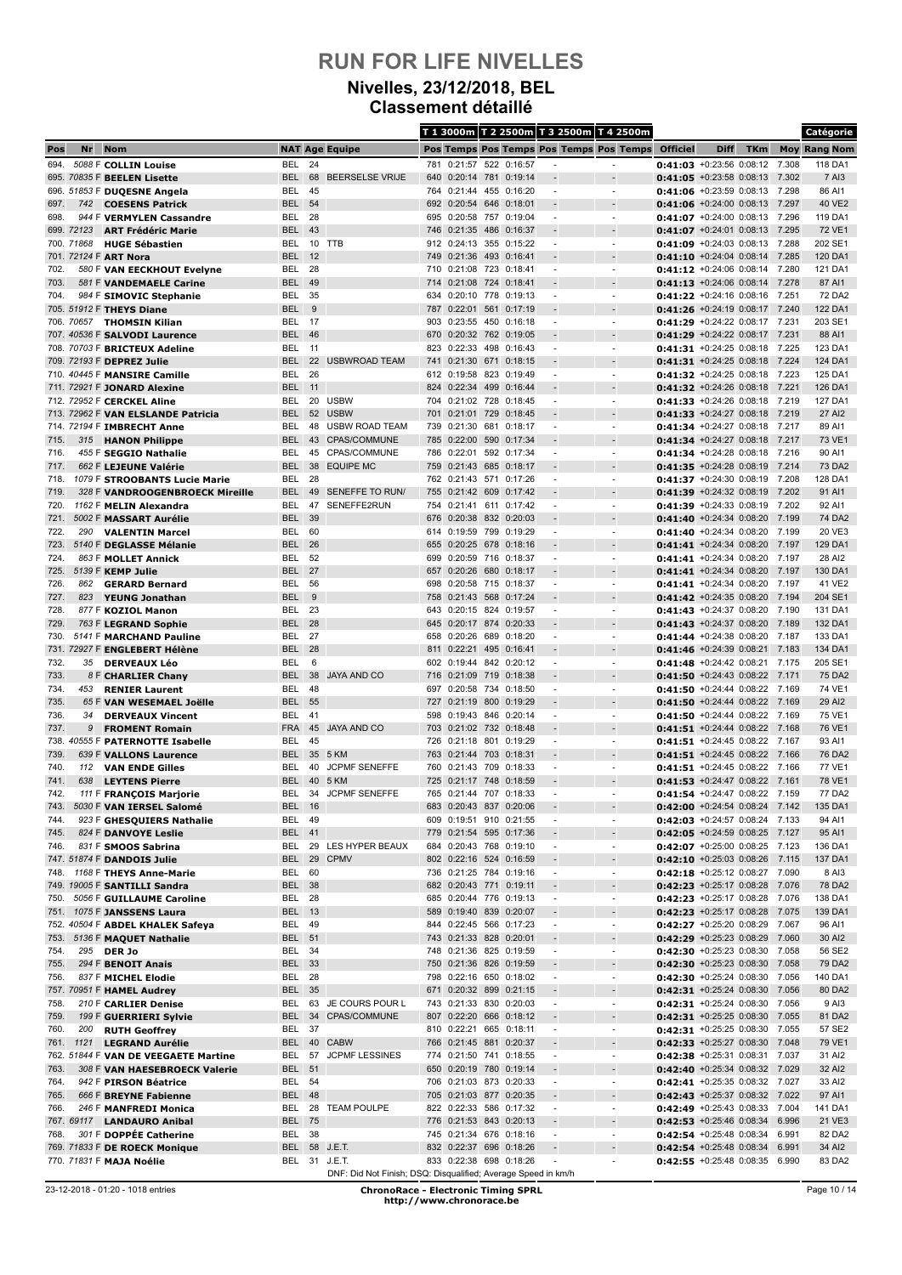#### **Nivelles, 23/12/2018, BEL Classement détaillé**

|              |            |                                                                  |                                |           |                                                               |            |                                                    |     |                        |                                                      | T 1 3000m T 2 2500m T 3 2500m T 4 2500m    |                                                                    |      |            |                | Catégorie           |
|--------------|------------|------------------------------------------------------------------|--------------------------------|-----------|---------------------------------------------------------------|------------|----------------------------------------------------|-----|------------------------|------------------------------------------------------|--------------------------------------------|--------------------------------------------------------------------|------|------------|----------------|---------------------|
| Pos          | Nr         | <b>Nom</b>                                                       |                                |           | <b>NAT Age Equipe</b>                                         |            |                                                    |     |                        |                                                      | Pos Temps Pos Temps Pos Temps Pos Temps    | <b>Officiel</b>                                                    | Diff | <b>TKm</b> |                | <b>Moy Rang Nom</b> |
| 694.         |            | 5088 F COLLIN Louise                                             | <b>BEL</b>                     | 24        |                                                               | 781        | 0:21:57                                            |     | 522 0:16:57            |                                                      | $\overline{\phantom{a}}$                   | $0:41:03$ +0:23:56 0:08:12                                         |      |            | 7.308          | 118 DA1             |
|              |            | 695. 70835 F BEELEN Lisette                                      | <b>BEL</b>                     | 68        | <b>BEERSELSE VRIJE</b>                                        |            | 640 0:20:14 781 0:19:14                            |     |                        |                                                      |                                            | $0:41:05$ +0:23:58 0:08:13                                         |      |            | 7.302          | 7 AI3               |
|              |            | 696. 51853 F DUQESNE Angela                                      | BEL                            | 45        |                                                               | 764        | 0:21:44 455 0:16:20                                |     |                        | ٠                                                    | $\sim$                                     | 0:41:06 +0:23:59 0:08:13 7.298                                     |      |            |                | 86 AI1              |
| 697.<br>698. | 742        | <b>COESENS Patrick</b><br>944 F VERMYLEN Cassandre               | <b>BEL</b><br>BEL              | 54<br>28  |                                                               | 692<br>695 | 0:20:54 646<br>0:20:58                             |     | 0:18:01<br>757 0:19:04 |                                                      | $\overline{\phantom{a}}$                   | $0:41:06$ +0:24:00 0:08:13<br>$0:41:07$ +0:24:00 0:08:13 7.296     |      |            | 7.297          | 40 VE2<br>119 DA1   |
|              | 699. 72123 | <b>ART Frédéric Marie</b>                                        | <b>BEL</b>                     | 43        |                                                               | 746        | 0:21:35                                            | 486 | 0:16:37                |                                                      |                                            | $0:41:07 + 0:24:01$ 0:08:13                                        |      |            | 7.295          | 72 VE1              |
|              | 700. 71868 | <b>HUGE Sébastien</b>                                            | BEL                            |           | 10 TTB                                                        |            | 912 0:24:13 355 0:15:22                            |     |                        | ٠                                                    | $\overline{\phantom{a}}$                   | $0:41:09$ +0:24:03 0:08:13 7.288                                   |      |            |                | 202 SE1             |
|              |            | 701. 72124 F ART Nora                                            | <b>BEL</b>                     | 12        |                                                               | 749        | 0:21:36                                            |     | 493 0:16:41            |                                                      |                                            | 0:41:10 +0:24:04 0:08:14 7.285                                     |      |            |                | 120 DA1             |
| 702.         |            | 580 F VAN EECKHOUT Evelyne                                       | <b>BEL</b>                     | 28        |                                                               | 710        | 0:21:08 723                                        |     | 0:18:41                |                                                      |                                            | $0:41:12 + 0:24:06$ 0:08:14                                        |      |            | 7.280          | 121 DA1             |
| 703.         |            | 581 F VANDEMAELE Carine                                          | <b>BEL</b>                     | 49        |                                                               | 714        | 0:21:08 724 0:18:41                                |     |                        |                                                      |                                            | $0:41:13 + 0:24:06 0:08:14$                                        |      |            | 7.278          | 87 AI1              |
| 704.         |            | 984 F SIMOVIC Stephanie                                          | BEL                            | 35        |                                                               | 634        | 0:20:10 778 0:19:13                                |     |                        |                                                      | $\overline{a}$                             | $0:41:22$ +0:24:16 0:08:16 7.251                                   |      |            |                | 72 DA2              |
|              |            | 705. 51912 F THEYS Diane                                         | <b>BEL</b><br>BEL.             | 9<br>- 17 |                                                               | 787<br>903 | 0:22:01 561 0:17:19                                |     | 0:23:55 450 0:16:18    |                                                      | $\overline{\phantom{a}}$                   | $0:41:26$ +0:24:19 0:08:17 7.240<br>0:41:29 +0:24:22 0:08:17 7.231 |      |            |                | 122 DA1<br>203 SE1  |
|              |            | 706. 70657 THOMSIN Kilian<br>707. 40536 F SALVODI Laurence       | <b>BEL</b>                     | 46        |                                                               | 670        | 0:20:32 762 0:19:05                                |     |                        |                                                      | $\overline{\phantom{a}}$                   | $0:41:29$ +0:24:22 0:08:17                                         |      |            | 7.231          | 88 AI1              |
|              |            | 708. 70703 F BRICTEUX Adeline                                    | BEL                            | 11        |                                                               | 823        | 0:22:33                                            | 498 | 0:16:43                |                                                      | $\overline{\phantom{a}}$                   | $0:41:31 + 0:24:25 0:08:18$                                        |      |            | 7.225          | 123 DA1             |
|              |            | 709. 72193 F DEPREZ Julie                                        | <b>BEL</b>                     | 22        | <b>USBWROAD TEAM</b>                                          | 741        | 0:21:30 671                                        |     | 0:18:15                |                                                      |                                            | $0:41:31$ +0:24:25 0:08:18 7.224                                   |      |            |                | 124 DA1             |
|              |            | 710. 40445 F MANSIRE Camille                                     | <b>BEL</b>                     | 26        |                                                               | 612        | 0:19:58                                            | 823 | 0:19:49                | ٠                                                    | $\blacksquare$                             | 0:41:32 +0:24:25 0:08:18                                           |      |            | 7.223          | 125 DA1             |
|              |            | 711. 72921 F JONARD Alexine                                      | <b>BEL</b> 11                  |           |                                                               | 824        | 0:22:34 499 0:16:44                                |     |                        |                                                      |                                            | $0:41:32 + 0:24:26 0:08:18$                                        |      |            | 7.221          | 126 DA1             |
|              |            | 712. 72952 F CERCKEL Aline                                       | BEL                            | 20        | <b>USBW</b>                                                   | 704        | 0:21:02 728 0:18:45                                |     |                        |                                                      | $\overline{a}$                             | $0:41:33 + 0:24:26$ 0:08:18                                        |      |            | 7.219          | 127 DA1             |
|              |            | 713. 72962 F VAN ELSLANDE Patricia<br>714. 72194 F IMBRECHT Anne | <b>BEL</b><br>BEL              |           | 52 USBW<br>48 USBW ROAD TEAM                                  | 701<br>739 | 0:21:01 729 0:18:45<br>0:21:30 681 0:18:17         |     |                        |                                                      | $\overline{\phantom{a}}$                   | $0:41:33 + 0:24:27 0:08:18$<br>0:41:34 +0:24:27 0:08:18 7.217      |      |            | 7.219          | 27 AI2<br>89 AI1    |
| 715.         | 315        | <b>HANON Philippe</b>                                            | <b>BEL</b>                     | 43        | <b>CPAS/COMMUNE</b>                                           | 785        | 0:22:00                                            | 590 | 0:17:34                |                                                      |                                            | 0:41:34 +0:24:27 0:08:18                                           |      |            | 7.217          | 73 VE1              |
| 716.         |            | 455 F SEGGIO Nathalie                                            | BEL                            | 45        | CPAS/COMMUNE                                                  | 786        | 0:22:01 592                                        |     | 0:17:34                |                                                      | $\overline{\phantom{a}}$                   | $0:41:34$ +0:24:28 0:08:18                                         |      |            | 7.216          | 90 AI1              |
| 717.         |            | 662 F LEJEUNE Valérie                                            | <b>BEL</b>                     | 38        | <b>EQUIPE MC</b>                                              | 759        | 0:21:43                                            | 685 | 0:18:17                |                                                      |                                            | $0:41:35$ +0:24:28 0:08:19                                         |      |            | 7.214          | 73 DA2              |
| 718.         |            | 1079 F STROOBANTS Lucie Marie                                    | BEL                            | 28        |                                                               |            | 762 0:21:43 571                                    |     | 0:17:26                |                                                      | $\overline{\phantom{a}}$                   | 0:41:37 +0:24:30 0:08:19 7.208                                     |      |            |                | 128 DA1             |
| 719.         |            | 328 F VANDROOGENBROECK Mireille                                  | <b>BEL</b>                     | 49        | SENEFFE TO RUN/                                               | 755        | 0:21:42 609                                        |     | 0:17:42                |                                                      |                                            | 0:41:39 +0:24:32 0:08:19                                           |      |            | 7.202          | 91 AI1              |
| 720.         |            | 1162 F MELIN Alexandra                                           | <b>BEL</b>                     | 47        | SENEFFE2RUN                                                   | 754        | 0:21:41 611                                        |     | 0:17:42                |                                                      |                                            | $0:41:39 + 0:24:33 + 0:08:19$                                      |      |            | 7.202          | 92 AI1              |
| 721.<br>722. | 290        | 5002 F MASSART Aurélie<br><b>VALENTIN Marcel</b>                 | <b>BEL</b><br>BEL              | 39<br>60  |                                                               | 676<br>614 | 0:20:38 832 0:20:03<br>0:19:59 799                 |     | 0:19:29                |                                                      | ٠                                          | $0:41:40 + 0:24:34 0:08:20$<br>$0:41:40 + 0:24:34 0:08:20$         |      |            | 7.199<br>7.199 | 74 DA2<br>20 VE3    |
| 723.         |            | 5140 F DEGLASSE Mélanie                                          | <b>BEL</b>                     | 26        |                                                               | 655        | 0:20:25 678 0:18:16                                |     |                        |                                                      | $\overline{\phantom{a}}$                   | $0:41:41$ +0:24:34 0:08:20                                         |      |            | 7.197          | 129 DA1             |
| 724.         |            | 863 F MOLLET Annick                                              | BEL                            | 52        |                                                               | 699        | 0:20:59 716 0:18:37                                |     |                        |                                                      | $\blacksquare$                             | 0:41:41 +0:24:34 0:08:20                                           |      |            | 7.197          | 28 AI2              |
| 725.         |            | 5139 F KEMP Julie                                                | <b>BEL</b>                     | 27        |                                                               | 657        | 0:20:26                                            | 680 | 0:18:17                |                                                      |                                            | $0:41:41$ +0:24:34 0:08:20                                         |      |            | 7.197          | 130 DA1             |
| 726.         | 862        | <b>GERARD Bernard</b>                                            | BEL                            | 56        |                                                               | 698        | 0:20:58 715 0:18:37                                |     |                        |                                                      | $\overline{\phantom{a}}$                   | $0:41:41 + 0:24:34 0:08:20$                                        |      |            | 7.197          | 41 VE2              |
| 727.         | 823        | <b>YEUNG Jonathan</b>                                            | <b>BEL</b>                     | 9         |                                                               | 758        | 0:21:43 568 0:17:24                                |     |                        |                                                      |                                            | $0:41:42$ +0:24:35 0:08:20                                         |      |            | 7.194          | 204 SE1             |
| 728.         |            | 877 F KOZIOL Manon                                               | BEL                            | 23        |                                                               | 643        | 0:20:15 824                                        |     | 0:19:57                | ٠                                                    | ٠                                          | 0:41:43 +0:24:37 0:08:20                                           |      |            | 7.190          | 131 DA1             |
| 729.<br>730. |            | 763 F LEGRAND Sophie<br>5141 F MARCHAND Pauline                  | <b>BEL</b><br>BEL              | 28<br>27  |                                                               | 645<br>658 | 0:20:17 874 0:20:33<br>0:20:26                     |     | 689 0:18:20            |                                                      | $\overline{a}$                             | $0:41:43 + 0:24:37 0:08:20$<br>$0:41:44 + 0:24:38$ 0:08:20         |      |            | 7.189<br>7.187 | 132 DA1<br>133 DA1  |
|              |            | 731. 72927 F ENGLEBERT Hélène                                    | <b>BEL</b>                     | 28        |                                                               | 811        | 0:22:21 495 0:16:41                                |     |                        |                                                      |                                            | $0:41:46$ +0:24:39 0:08:21                                         |      |            | 7.183          | 134 DA1             |
| 732.         | 35         | <b>DERVEAUX Léo</b>                                              | BEL                            | 6         |                                                               |            | 602 0:19:44 842 0:20:12                            |     |                        |                                                      | $\overline{\phantom{a}}$                   | 0:41:48 +0:24:42 0:08:21 7.175                                     |      |            |                | 205 SE1             |
| 733.         |            | 8 F CHARLIER Chany                                               | BEL                            | 38        | <b>JAYA AND CO</b>                                            | 716        | 0:21:09                                            | 719 | 0:18:38                |                                                      |                                            | $0:41:50$ +0:24:43 0:08:22                                         |      |            | 7.171          | <b>75 DA2</b>       |
| 734.         | 453        | <b>RENIER Laurent</b>                                            | BEL                            | 48        |                                                               | 697        | 0:20:58                                            | 734 | 0:18:50                |                                                      | $\overline{\phantom{a}}$                   | $0:41:50$ +0:24:44 0:08:22                                         |      |            | 7.169          | 74 VE1              |
| 735.         |            | 65 F VAN WESEMAEL Joëlle                                         | <b>BEL</b>                     | 55        |                                                               | 727        | 0:21:19                                            | 800 | 0:19:29                |                                                      |                                            | $0:41:50$ +0:24:44 0:08:22                                         |      |            | 7.169          | 29 AI2              |
| 736.<br>737. | 34<br>9    | <b>DERVEAUX Vincent</b>                                          | <b>BEL</b><br><b>FRA</b>       | 41<br>45  | <b>JAYA AND CO</b>                                            | 598<br>703 | 0:19:43 846 0:20:14<br>0:21:02 732 0:18:48         |     |                        | ٠                                                    | $\overline{\phantom{a}}$                   | $0:41:50$ +0:24:44 0:08:22<br>0:41:51 +0:24:44 0:08:22             |      |            | 7.169<br>7.168 | 75 VE1<br>76 VE1    |
| 738.         |            | <b>FROMENT Romain</b><br>40555 F PATERNOTTE Isabelle             | <b>BEL</b>                     | 45        |                                                               | 726        | 0:21:18                                            | 801 | 0:19:29                |                                                      | $\blacksquare$                             | $0:41:51 + 0:24:45 0:08:22$                                        |      |            | 7.167          | 93 AI1              |
| 739.         |            | 639 F VALLONS Laurence                                           | <b>BEL</b>                     | 35        | 5 KM                                                          | 763        | 0:21:44 703 0:18:31                                |     |                        |                                                      |                                            | $0:41:51$ +0:24:45 0:08:22                                         |      |            | 7.166          | 76 DA2              |
| 740.         | 112        | <b>VAN ENDE Gilles</b>                                           | BEL                            | 40        | <b>JCPMF SENEFFE</b>                                          | 760        | 0:21:43 709 0:18:33                                |     |                        |                                                      | $\overline{a}$                             | $0:41:51$ +0:24:45 0:08:22                                         |      |            | 7.166          | 77 VE1              |
| 741.         | 638        | <b>LEYTENS Pierre</b>                                            | <b>BEL</b>                     | 40        | 5 KM                                                          | 725        | 0:21:17 748 0:18:59                                |     |                        |                                                      |                                            | $0:41:53$ +0:24:47 0:08:22 7.161                                   |      |            |                | 78 VE1              |
| 742.         |            | 111 F FRANCOIS Marjorie                                          | <b>BEL</b>                     |           | 34 JCPMF SENEFFE                                              |            | 765 0:21:44 707 0:18:33                            |     |                        |                                                      |                                            | 0:41:54 +0:24:47 0:08:22 7.159                                     |      |            |                | 77 DA2              |
| 743.         |            | 5030 F VAN IERSEL Salomé                                         | <b>BEL 16</b><br><b>BEL 49</b> |           |                                                               |            | 683 0:20:43 837 0:20:06                            |     |                        |                                                      | $\overline{a}$                             | <b>0:42:00</b> +0:24:54 0:08:24 7.142                              |      |            |                | 135 DA1             |
| 744.<br>745. |            | 923 F GHESQUIERS Nathalie<br>824 F DANVOYE Leslie                | <b>BEL 41</b>                  |           |                                                               |            | 609 0:19:51 910 0:21:55<br>779 0:21:54 595 0:17:36 |     |                        |                                                      | $\overline{\phantom{a}}$                   | $0:42:03$ +0:24:57 0:08:24<br>0:42:05 +0:24:59 0:08:25 7.127       |      |            | 7.133          | 94 AI1<br>95 AI1    |
| 746.         |            | 831 F SMOOS Sabrina                                              | BEL                            |           | 29 LES HYPER BEAUX                                            |            | 684 0:20:43 768 0:19:10                            |     |                        | $\overline{\phantom{a}}$                             | $\overline{\phantom{a}}$                   | 0:42:07 +0:25:00 0:08:25 7.123                                     |      |            |                | 136 DA1             |
|              |            | 747. 51874 F DANDOIS Julie                                       | <b>BEL</b>                     |           | 29 CPMV                                                       |            | 802 0:22:16 524 0:16:59                            |     |                        |                                                      |                                            | $0:42:10$ +0:25:03 0:08:26 7.115                                   |      |            |                | 137 DA1             |
| 748.         |            | 1168 F THEYS Anne-Marie                                          | BEL                            | 60        |                                                               |            | 736 0:21:25 784 0:19:16                            |     |                        | $\overline{\phantom{a}}$                             | $\overline{\phantom{a}}$                   | 0:42:18 +0:25:12 0:08:27 7.090                                     |      |            |                | 8 AI3               |
|              |            | 749. 19005 F SANTILLI Sandra                                     | <b>BEL 38</b>                  |           |                                                               |            | 682 0:20:43 771 0:19:11                            |     |                        |                                                      | $\overline{a}$                             | 0:42:23 +0:25:17 0:08:28 7.076                                     |      |            |                | 78 DA2              |
| 750.         |            | 5056 F GUILLAUME Caroline                                        | BEL 28                         |           |                                                               |            | 685 0:20:44 776 0:19:13                            |     |                        | $\overline{\phantom{a}}$                             | $\blacksquare$                             | 0:42:23 +0:25:17 0:08:28 7.076                                     |      |            |                | 138 DA1             |
| 751.         |            | 1075 F JANSSENS Laura<br>752. 40504 F ABDEL KHALEK Safeya        | <b>BEL 13</b><br><b>BEL 49</b> |           |                                                               |            | 589 0:19:40 839<br>844 0:22:45 566 0:17:23         |     | 0:20:07                | $\overline{\phantom{a}}$                             | $\overline{\phantom{a}}$<br>$\blacksquare$ | $0:42:23$ +0:25:17 0:08:28<br>0:42:27 +0:25:20 0:08:29 7.067       |      |            | 7.075          | 139 DA1<br>96 AI1   |
| 753.         |            | 5136 F MAQUET Nathalie                                           | <b>BEL 51</b>                  |           |                                                               |            | 743 0:21:33 828                                    |     | 0:20:01                |                                                      | ÷,                                         | 0:42:29 +0:25:23 0:08:29                                           |      |            | 7.060          | 30 AI2              |
| 754.         |            | 295 DER Jo                                                       | BEL 34                         |           |                                                               |            | 748 0:21:36 825 0:19:59                            |     |                        | $\overline{\phantom{a}}$                             | $\overline{\phantom{a}}$                   | 0:42:30 +0:25:23 0:08:30 7.058                                     |      |            |                | 56 SE2              |
| 755.         |            | 294 F BENOIT Anais                                               | <b>BEL 33</b>                  |           |                                                               |            | 750 0:21:36 826 0:19:59                            |     |                        |                                                      | $\overline{a}$                             | $0:42:30$ +0:25:23 0:08:30 7.058                                   |      |            |                | 79 DA2              |
| 756.         |            | 837 F MICHEL Elodie                                              | BEL                            | 28        |                                                               |            | 798 0:22:16 650 0:18:02                            |     |                        |                                                      | $\overline{\phantom{a}}$                   | 0:42:30 +0:25:24 0:08:30 7.056                                     |      |            |                | 140 DA1             |
|              |            | 757. 70951 F HAMEL Audrey                                        | <b>BEL</b>                     | 35        |                                                               |            | 671 0:20:32 899 0:21:15                            |     |                        |                                                      |                                            | 0:42:31 +0:25:24 0:08:30                                           |      |            | 7.056          | 80 DA2              |
| 758.         |            | 210 F CARLIER Denise                                             | BEL                            |           | 63 JE COURS POUR L                                            |            | 743 0:21:33 830 0:20:03                            |     |                        | $\overline{\phantom{a}}$                             | $\overline{\phantom{a}}$                   | 0:42:31 +0:25:24 0:08:30 7.056                                     |      |            |                | 9 AI3               |
| 759.<br>760. |            | 199 F GUERRIERI Sylvie<br>200 RUTH Geoffrey                      | <b>BEL</b><br>BEL              | 37        | 34 CPAS/COMMUNE                                               |            | 807 0:22:20 666 0:18:12<br>810 0:22:21 665 0:18:11 |     |                        | $\overline{\phantom{a}}$<br>$\overline{\phantom{a}}$ | $\overline{\phantom{a}}$<br>$\blacksquare$ | 0:42:31 +0:25:25 0:08:30 7.055<br>0:42:31 +0:25:25 0:08:30 7.055   |      |            |                | 81 DA2<br>57 SE2    |
| 761.         | 1121       | <b>LEGRAND Aurélie</b>                                           | <b>BEL</b>                     |           | 40 CABW                                                       |            | 766 0:21:45 881 0:20:37                            |     |                        |                                                      | $\overline{\phantom{a}}$                   | 0:42:33 +0:25:27 0:08:30 7.048                                     |      |            |                | 79 VE1              |
|              |            | 762. 51844 F VAN DE VEEGAETE Martine                             | BEL                            | 57        | <b>JCPMF LESSINES</b>                                         |            | 774 0:21:50 741 0:18:55                            |     |                        | $\blacksquare$                                       | $\overline{\phantom{a}}$                   | 0:42:38 +0:25:31 0:08:31 7.037                                     |      |            |                | 31 AI2              |
| 763.         |            | 308 F VAN HAESEBROECK Valerie                                    | <b>BEL 51</b>                  |           |                                                               |            | 650 0:20:19 780 0:19:14                            |     |                        |                                                      | $\overline{a}$                             | 0:42:40 +0:25:34 0:08:32 7.029                                     |      |            |                | 32 AI2              |
| 764.         |            | 942 F PIRSON Béatrice                                            | BEL                            | - 54      |                                                               |            | 706 0:21:03 873 0:20:33                            |     |                        | $\overline{\phantom{a}}$                             | $\overline{\phantom{a}}$                   | 0:42:41 +0:25:35 0:08:32 7.027                                     |      |            |                | 33 AI2              |
| 765.         |            | 666 F BREYNE Fabienne                                            | BEL 48                         |           |                                                               |            | 705 0:21:03 877 0:20:35                            |     |                        |                                                      |                                            | 0:42:43 +0:25:37 0:08:32 7.022                                     |      |            |                | 97 AI1              |
| 766.         |            | 246 F MANFREDI Monica                                            | BEL<br><b>BEL 75</b>           |           | 28 TEAM POULPE                                                |            | 822 0:22:33 586 0:17:32                            |     |                        | $\overline{\phantom{a}}$                             | $\overline{\phantom{a}}$<br>$\overline{a}$ | 0:42:49 +0:25:43 0:08:33 7.004                                     |      |            |                | 141 DA1             |
| 768.         |            | 767. 69117 LANDAURO Anibal<br>301 F DOPPÉE Catherine             | BEL 38                         |           |                                                               |            | 776 0:21:53 843 0:20:13<br>745 0:21:34 676 0:18:16 |     |                        | $\overline{\phantom{a}}$                             | $\blacksquare$                             | $0:42:53$ +0:25:46 0:08:34<br>$0:42:54$ +0:25:48 0:08:34           |      |            | 6.996<br>6.991 | 21 VE3<br>82 DA2    |
|              |            | 769. 71833 F DE ROECK Monique                                    | <b>BEL</b>                     |           | 58 J.E.T.                                                     |            | 832 0:22:37 696 0:18:26                            |     |                        |                                                      | $\centerdot$                               | $0:42:54$ +0:25:48 0:08:34                                         |      |            | 6.991          | 34 AI2              |
|              |            | 770. 71831 F MAJA Noélie                                         |                                |           | BEL 31 J.E.T.                                                 |            | 833 0:22:38 698 0:18:26                            |     |                        |                                                      | $\overline{\phantom{a}}$                   | 0:42:55 +0:25:48 0:08:35 6.990                                     |      |            |                | 83 DA2              |
|              |            |                                                                  |                                |           | DNF: Did Not Finish; DSQ: Disqualified; Average Speed in km/h |            |                                                    |     |                        |                                                      |                                            |                                                                    |      |            |                |                     |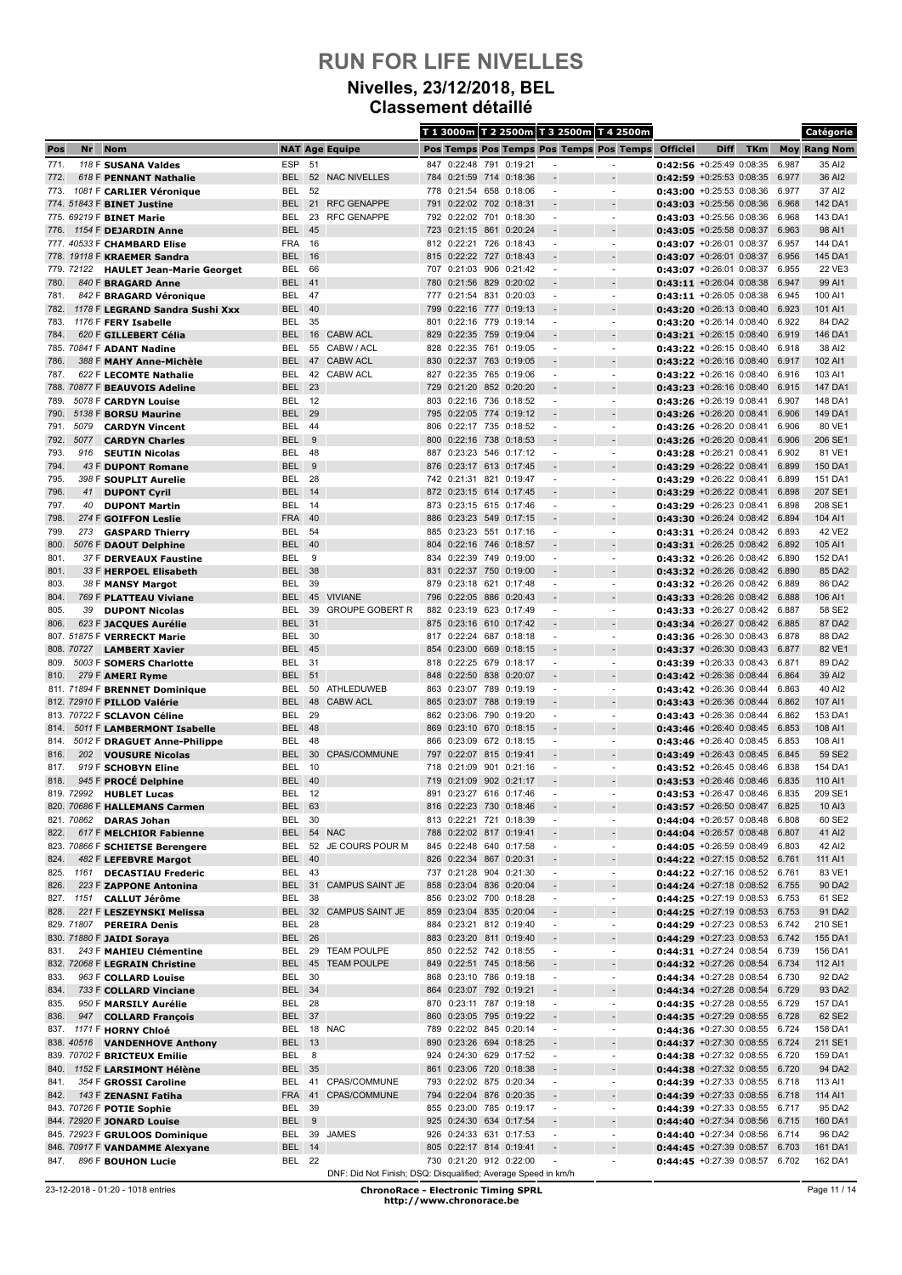#### **Nivelles, 23/12/2018, BEL Classement détaillé**

|              |              |                                                          |                          |            |                                                               |            |                                                    |     |                                |                                                      | T 1 3000m T 2 2500m T 3 2500m T 4 2500m        |                                                                |             |            |                | Catégorie           |
|--------------|--------------|----------------------------------------------------------|--------------------------|------------|---------------------------------------------------------------|------------|----------------------------------------------------|-----|--------------------------------|------------------------------------------------------|------------------------------------------------|----------------------------------------------------------------|-------------|------------|----------------|---------------------|
| Pos          | Nr           | <b>Nom</b>                                               |                          |            | <b>NAT Age Equipe</b>                                         |            |                                                    |     |                                |                                                      | Pos Temps Pos Temps Pos Temps Pos Temps        | <b>Officiel</b>                                                | <b>Diff</b> | <b>TKm</b> |                | <b>Moy Rang Nom</b> |
| 771.         |              | 118 F SUSANA Valdes                                      | <b>ESP</b>               | 51         |                                                               | 847        | 0:22:48                                            | 791 | 0:19:21                        |                                                      | $\overline{a}$                                 | 0:42:56 +0:25:49 0:08:35                                       |             |            | 6.987          | 35 AI2              |
| 772.         |              | 618 F PENNANT Nathalie                                   | <b>BEL</b>               | 52         | <b>NAC NIVELLES</b>                                           | 784        | 0:21:59 714 0:18:36                                |     |                                |                                                      |                                                | $0:42:59$ +0:25:53 0:08:35                                     |             |            | 6.977          | 36 AI2              |
| 773.         |              | 1081 F CARLIER Véronique<br>774. 51843 F BINET Justine   | BEL<br><b>BEL</b>        | 52<br>21   | <b>RFC GENAPPE</b>                                            | 778<br>791 | 0:21:54 658 0:18:06<br>0:22:02                     | 702 | 0:18:31                        | $\blacksquare$                                       | $\overline{\phantom{a}}$                       | $0:43:00$ +0:25:53 0:08:36<br>$0:43:03$ +0:25:56 0:08:36       |             |            | 6.977<br>6.968 | 37 AI2<br>142 DA1   |
|              |              | 775. 69219 F BINET Marie                                 | BEL                      | 23         | <b>RFC GENAPPE</b>                                            | 792        | 0:22:02 701                                        |     | 0:18:30                        | $\overline{\phantom{a}}$                             | $\overline{a}$                                 | $0:43:03$ +0:25:56 0:08:36                                     |             |            | 6.968          | 143 DA1             |
| 776.         |              | 1154 F DEJARDIN Anne                                     | <b>BEL</b>               | 45         |                                                               | 723        | 0:21:15                                            | 861 | 0:20:24                        |                                                      |                                                | 0:43:05 +0:25:58 0:08:37                                       |             |            | 6.963          | 98 AI1              |
|              |              | 777. 40533 F CHAMBARD Elise                              | <b>FRA</b>               | 16         |                                                               |            | 812 0:22:21 726                                    |     | 0:18:43                        |                                                      | $\blacksquare$                                 | $0:43:07$ +0:26:01 0:08:37                                     |             |            | 6.957          | 144 DA1             |
|              |              | 778. 19118 F KRAEMER Sandra                              | <b>BEL</b>               | 16<br>66   |                                                               | 815<br>707 | 0:22:22 727 0:18:43                                | 906 |                                |                                                      |                                                | 0:43:07 +0:26:01 0:08:37                                       |             |            | 6.956<br>6.955 | 145 DA1<br>22 VE3   |
| 780.         | 779. 72122   | <b>HAULET Jean-Marie Georget</b><br>840 F BRAGARD Anne   | BEL<br><b>BEL</b>        | 41         |                                                               | 780        | 0:21:03<br>0:21:56 829                             |     | 0:21:42<br>0:20:02             |                                                      |                                                | $0:43:07 + 0:26:01$ 0:08:37<br>$0:43:11$ +0:26:04 0:08:38      |             |            | 6.947          | 99 AI1              |
| 781.         |              | 842 F BRAGARD Véronique                                  | BEL                      | 47         |                                                               | 777        | 0:21:54 831 0:20:03                                |     |                                | $\blacksquare$                                       | $\blacksquare$                                 | 0:43:11 +0:26:05 0:08:38                                       |             |            | 6.945          | 100 AI1             |
| 782.         |              | 1178 F LEGRAND Sandra Sushi Xxx                          | <b>BEL</b>               | 40         |                                                               | 799        | 0:22:16                                            |     | 777 0:19:13                    |                                                      | $\overline{a}$                                 | $0:43:20$ +0:26:13 0:08:40                                     |             |            | 6.923          | 101 AI1             |
| 783.         |              | 1176 F FERY Isabelle                                     | BEL                      | 35         |                                                               | 801        | 0:22:16                                            | 779 | 0:19:14                        |                                                      |                                                | $0:43:20 + 0:26:14 0:08:40$                                    |             |            | 6.922          | 84 DA2              |
| 784.         |              | 620 F GILLEBERT Célia                                    | <b>BEL</b>               | 16         | <b>CABW ACL</b>                                               | 829        | 0:22:35                                            | 759 | 0:19:04                        |                                                      |                                                | $0:43:21$ +0:26:15 0:08:40                                     |             |            | 6.919          | 146 DA1             |
| 786.         |              | 785. 70841 F ADANT Nadine<br>388 F MAHY Anne-Michèle     | <b>BEL</b><br><b>BEL</b> | 55         | CABW / ACL<br>47 CABW ACL                                     | 828<br>830 | 0:22:35 761<br>0:22:37 763 0:19:05                 |     | 0:19:05                        | $\blacksquare$                                       | $\blacksquare$                                 | $0:43:22 + 0:26:15 0:08:40$<br>0:43:22 +0:26:16 0:08:40        |             |            | 6.918<br>6.917 | 38 AI2<br>102 AI1   |
| 787.         |              | 622 F LECOMTE Nathalie                                   | <b>BEL</b>               | 42         | <b>CABW ACL</b>                                               | 827        | 0:22:35 765 0:19:06                                |     |                                | ٠                                                    | $\overline{a}$                                 | 0:43:22 +0:26:16 0:08:40                                       |             |            | 6.916          | 103 AI1             |
|              |              | 788. 70877 F BEAUVOIS Adeline                            | <b>BEL</b>               | 23         |                                                               | 729        | 0:21:20 852 0:20:20                                |     |                                |                                                      |                                                | $0:43:23 + 0:26:16$ 0:08:40                                    |             |            | 6.915          | 147 DA1             |
| 789.         |              | 5078 F CARDYN Louise                                     | <b>BEL</b>               | 12         |                                                               | 803        | 0:22:16 736 0:18:52                                |     |                                |                                                      | $\overline{a}$                                 | $0:43:26 + 0:26:19$ 0:08:41                                    |             |            | 6.907          | 148 DA1             |
| 790.         |              | 5138 F BORSU Maurine                                     | <b>BEL</b>               | 29         |                                                               | 795        | 0:22:05                                            | 774 | 0:19:12                        |                                                      |                                                | $0:43:26$ +0:26:20 0:08:41                                     |             |            | 6.906          | 149 DA1             |
| 791.<br>792. | 5079<br>5077 | <b>CARDYN Vincent</b><br><b>CARDYN Charles</b>           | BEL<br><b>BEL</b>        | 44<br>9    |                                                               | 806<br>800 | 0:22:17 735 0:18:52<br>0:22:16                     | 738 | 0:18:53                        |                                                      | $\overline{\phantom{a}}$                       | $0:43:26$ +0:26:20 0:08:41<br>$0:43:26$ +0:26:20 0:08:41       |             |            | 6.906<br>6.906 | 80 VE1<br>206 SE1   |
| 793.         | 916          | <b>SEUTIN Nicolas</b>                                    | BEL                      | 48         |                                                               | 887        | 0:23:23 546                                        |     | 0:17:12                        | $\overline{\phantom{a}}$                             | $\overline{\phantom{a}}$                       | $0:43:28$ +0:26:21 0:08:41                                     |             |            | 6.902          | 81 VE1              |
| 794.         |              | 43 F DUPONT Romane                                       | <b>BEL</b>               | 9          |                                                               | 876        | 0:23:17 613                                        |     | 0:17:45                        |                                                      |                                                | $0:43:29$ +0:26:22 0:08:41                                     |             |            | 6.899          | 150 DA1             |
| 795.         |              | 398 F SOUPLIT Aurelie                                    | BEL                      | 28         |                                                               |            | 742 0:21:31                                        | 821 | 0:19:47                        |                                                      | $\blacksquare$                                 | 0:43:29 +0:26:22 0:08:41                                       |             |            | 6.899          | 151 DA1             |
| 796.         | 41           | <b>DUPONT Cyril</b>                                      | <b>BEL</b>               | 14         |                                                               | 872        | $0:23:15$ 614                                      |     | 0:17:45                        |                                                      |                                                | $0:43:29 + 0:26:22 0:08:41$                                    |             |            | 6.898          | 207 SE1             |
| 797.         | 40           | <b>DUPONT Martin</b>                                     | BEL                      | 14         |                                                               | 873        | $0:23:15$ 615                                      |     | 0:17:46                        |                                                      |                                                | $0:43:29$ +0:26:23 0:08:41                                     |             |            | 6.898          | 208 SE1             |
| 798.<br>799. | 273          | 274 F GOIFFON Leslie<br><b>GASPARD Thierry</b>           | <b>FRA</b><br>BEL        | 40<br>- 54 |                                                               | 886<br>885 | 0:23:23 549 0:17:15<br>0:23:23 551 0:17:16         |     |                                | $\blacksquare$                                       | $\blacksquare$                                 | $0:43:30 + 0:26:24 0:08:42$<br>0:43:31 +0:26:24 0:08:42 6.893  |             |            | 6.894          | 104 AI1<br>42 VE2   |
| 800.         |              | 5076 F DAOUT Delphine                                    | <b>BEL</b>               | 40         |                                                               | 804        | 0:22:16                                            | 746 | 0:18:57                        |                                                      |                                                | $0:43:31$ +0:26:25 0:08:42                                     |             |            | 6.892          | 105 AI1             |
| 801.         |              | 37 F DERVEAUX Faustine                                   | BEL                      | 9          |                                                               | 834        | 0:22:39                                            | 749 | 0:19:00                        |                                                      | ÷,                                             | 0:43:32 +0:26:26 0:08:42                                       |             |            | 6.890          | 152 DA1             |
| 801.         |              | 33 F HERPOEL Elisabeth                                   | <b>BEL</b>               | 38         |                                                               | 831        | 0:22:37 750                                        |     | 0:19:00                        |                                                      |                                                | $0:43:32$ +0:26:26 0:08:42                                     |             |            | 6.890          | 85 DA2              |
| 803.         |              | 38 F MANSY Margot                                        | BEL                      | 39         |                                                               | 879        | 0:23:18                                            | 621 | 0:17:48                        | $\blacksquare$                                       | $\blacksquare$                                 | $0:43:32$ +0:26:26 0:08:42                                     |             |            | 6.889          | 86 DA2              |
| 804.<br>805. | 39           | 769 F PLATTEAU Viviane<br><b>DUPONT Nicolas</b>          | <b>BEL</b><br><b>BEL</b> | 45<br>39   | <b>VIVIANE</b><br><b>GROUPE GOBERT R</b>                      | 796<br>882 | 0:22:05<br>0:23:19                                 | 623 | 886 0:20:43<br>0:17:49         | $\blacksquare$                                       | $\overline{a}$                                 | 0:43:33 +0:26:26 0:08:42<br>$0:43:33 + 0:26:27$ 0:08:42        |             |            | 6.888<br>6.887 | 106 AI1<br>58 SE2   |
| 806.         |              | 623 F JACQUES Aurélie                                    | <b>BEL</b>               | 31         |                                                               | 875        | $0:23:16$ 610                                      |     | 0:17:42                        |                                                      |                                                | $0:43:34$ +0:26:27 0:08:42                                     |             |            | 6.885          | 87 DA2              |
|              |              | 807. 51875 F VERRECKT Marie                              | BEL                      | 30         |                                                               | 817        | 0:22:24 687 0:18:18                                |     |                                | $\blacksquare$                                       | $\overline{\phantom{a}}$                       | $0:43:36$ +0:26:30 0:08:43                                     |             |            | 6.878          | 88 DA2              |
|              | 808. 70727   | <b>LAMBERT Xavier</b>                                    | <b>BEL</b>               | 45         |                                                               | 854        | 0:23:00                                            | 669 | 0:18:15                        |                                                      |                                                | 0:43:37 +0:26:30 0:08:43                                       |             |            | 6.877          | 82 VE1              |
| 809.         |              | 5003 F SOMERS Charlotte                                  | BEL                      | -31        |                                                               |            | 818 0:22:25 679 0:18:17                            |     |                                |                                                      | $\overline{\phantom{a}}$                       | $0:43:39$ +0:26:33 0:08:43                                     |             |            | 6.871          | 89 DA2              |
| 810.         |              | 279 F AMERI Ryme<br>811. 71894 F BRENNET Dominique       | <b>BEL</b><br>BEL        | 51<br>50   | ATHLEDUWEB                                                    | 848<br>863 | 0:22:50                                            | 838 | 0:20:07<br>0:23:07 789 0:19:19 | $\overline{\phantom{a}}$                             | $\overline{a}$                                 | 0:43:42 +0:26:36 0:08:44<br>$0:43:42 + 0:26:36$ 0:08:44        |             |            | 6.864<br>6.863 | 39 AI2<br>40 AI2    |
|              |              | 812. 72910 F PILLOD Valérie                              | <b>BEL</b>               | 48         | <b>CABW ACL</b>                                               | 865        | 0:23:07                                            | 788 | 0:19:19                        |                                                      |                                                | $0:43:43 + 0:26:36$ 0:08:44                                    |             |            | 6.862          | 107 AI1             |
|              |              | 813. 70722 F SCLAVON Céline                              | BEL                      | 29         |                                                               | 862        | 0:23:06                                            | 790 | 0:19:20                        |                                                      | $\overline{a}$                                 | 0:43:43 +0:26:36 0:08:44                                       |             |            | 6.862          | 153 DA1             |
| 814.         |              | 5011 F LAMBERMONT Isabelle                               | <b>BEL</b>               | 48         |                                                               | 869        | 0:23:10 670                                        |     | 0:18:15                        |                                                      |                                                | $0:43:46$ +0:26:40 0:08:45                                     |             |            | 6.853          | 108 AI1             |
| 814.         |              | 5012 F DRAGUET Anne-Philippe                             | BEL                      | 48         |                                                               | 866        | 0:23:09 672                                        |     | 0:18:15                        |                                                      |                                                | $0:43:46$ +0:26:40 0:08:45                                     |             |            | 6.853          | 108 AI1             |
| 816.<br>817. | 202          | <b>VOUSURE Nicolas</b>                                   | <b>BEL</b><br>BEL        | 30<br>10   | CPAS/COMMUNE                                                  | 797<br>718 | 0:22:07 815 0:19:41                                |     | 0:21:09 901 0:21:16            |                                                      | $\blacksquare$                                 | $0:43:49$ +0:26:43 0:08:45<br>0:43:52 +0:26:45 0:08:46         |             |            | 6.845<br>6.838 | 59 SE2<br>154 DA1   |
| 818.         |              | 919 F SCHOBYN Eline<br>945 F PROCÉ Delphine              | <b>BEL</b>               | 40         |                                                               | 719        | 0:21:09 902 0:21:17                                |     |                                |                                                      |                                                | $0:43:53 + 0:26:46 0:08:46$                                    |             |            | 6.835          | 110 AI1             |
|              | 819. 72992   | <b>HUBLET Lucas</b>                                      | BEL                      | 12         |                                                               | 891        | 0:23:27 616 0:17:46                                |     |                                |                                                      |                                                | $0:43:53$ +0:26:47 0:08:46                                     |             |            | 6.835          | 209 SE1             |
|              |              | 820. 70686 F HALLEMANS Carmen                            | <b>BEL</b>               | 63         |                                                               |            | 816 0:22:23 730 0:18:46                            |     |                                |                                                      |                                                | $0:43:57$ +0:26:50 0:08:47                                     |             |            | 6.825          | 10 AI3              |
|              | 821. 70862   | <b>DARAS Johan</b>                                       | BEL                      | 30         |                                                               |            | 813 0:22:21 721 0:18:39                            |     |                                | $\overline{\phantom{a}}$                             | $\overline{\phantom{a}}$                       | 0:44:04 +0:26:57 0:08:48                                       |             |            | 6.808          | 60 SE2              |
| 822.         |              | 617 F MELCHIOR Fabienne                                  | <b>BEL</b><br>BEL        | 52         | 54 NAC<br>JE COURS POUR M                                     | 845        | 788 0:22:02 817 0:19:41<br>0:22:48 640 0:17:58     |     |                                |                                                      |                                                | $0:44:04$ +0:26:57 0:08:48                                     |             |            | 6.807<br>6.803 | 41 Al2<br>42 AI2    |
| 824.         |              | 823. 70866 F SCHIETSE Berengere<br>482 F LEFEBVRE Margot | <b>BEL 40</b>            |            |                                                               |            | 826 0:22:34 867 0:20:31                            |     |                                | $\overline{\phantom{a}}$                             | $\overline{\phantom{a}}$                       | $0:44:05$ +0:26:59 0:08:49<br>0:44:22 +0:27:15 0:08:52 6.761   |             |            |                | 111 AI1             |
| 825.         | 1161         | <b>DECASTIAU Frederic</b>                                | BEL                      | 43         |                                                               |            | 737 0:21:28 904 0:21:30                            |     |                                | $\overline{\phantom{a}}$                             | $\overline{\phantom{a}}$                       | 0:44:22 +0:27:16 0:08:52 6.761                                 |             |            |                | 83 VE1              |
| 826.         |              | 223 F ZAPPONE Antonina                                   | <b>BEL</b>               |            | 31 CAMPUS SAINT JE                                            |            | 858 0:23:04 836 0:20:04                            |     |                                | $\overline{\phantom{a}}$                             | $\centerdot$                                   | $0:44:24 + 0:27:18$ 0:08:52 6.755                              |             |            |                | 90 DA2              |
| 827.         | 1151         | <b>CALLUT Jérôme</b>                                     | BEL                      | 38         |                                                               |            | 856 0:23:02 700 0:18:28                            |     |                                | $\overline{\phantom{a}}$                             | $\overline{\phantom{a}}$                       | $0:44:25$ +0:27:19 0:08:53                                     |             |            | 6.753          | 61 SE2              |
| 828.         | 829. 71807   | 221 F LESZEYNSKI Melissa                                 | <b>BEL</b><br>BEL        | 28         | 32 CAMPUS SAINT JE                                            | 859        | 0:23:04 835<br>884 0:23:21 812 0:19:40             |     | 0:20:04                        | $\overline{\phantom{a}}$                             | $\overline{\phantom{a}}$                       | $0:44:25$ +0:27:19 0:08:53<br>$0:44:29$ +0:27:23 0:08:53 6.742 |             |            | 6.753          | 91 DA2<br>210 SE1   |
|              |              | <b>PEREIRA Denis</b><br>830. 71880 F JAIDI Soraya        | <b>BEL</b>               | 26         |                                                               |            | 883 0:23:20 811 0:19:40                            |     |                                |                                                      | $\overline{a}$                                 | $0:44:29$ +0:27:23 0:08:53 6.742                               |             |            |                | 155 DA1             |
| 831.         |              | 243 F MAHIEU Clémentine                                  | BEL                      |            | 29 TEAM POULPE                                                | 850        | 0:22:52 742 0:18:55                                |     |                                | $\overline{\phantom{a}}$                             | $\overline{\phantom{m}}$                       | 0:44:31 +0:27:24 0:08:54 6.739                                 |             |            |                | 156 DA1             |
|              |              | 832. 72068 F LEGRAIN Christine                           | <b>BEL</b>               |            | 45 TEAM POULPE                                                | 849        |                                                    |     | 0:22:51 745 0:18:56            |                                                      |                                                | $0:44:32$ +0:27:26 0:08:54                                     |             |            | 6.734          | 112 AI1             |
| 833.         |              | 963 F COLLARD Louise                                     | BEL                      | 30         |                                                               | 868        | 0:23:10 786 0:19:18                                |     |                                | $\overline{\phantom{a}}$                             | $\overline{a}$                                 | $0:44:34$ +0:27:28 0:08:54                                     |             |            | 6.730          | 92 DA2              |
| 834.         |              | 733 F COLLARD Vinciane                                   | BEL 34                   |            |                                                               |            | 864 0:23:07 792 0:19:21                            |     |                                | $\overline{\phantom{a}}$                             | $\overline{a}$                                 | $0:44:34$ +0:27:28 0:08:54                                     |             |            | 6.729          | 93 DA2              |
| 835.<br>836. | 947          | 950 F MARSILY Aurélie<br><b>COLLARD François</b>         | BEL 28<br><b>BEL</b>     | 37         |                                                               |            | 870 0:23:11 787 0:19:18<br>860 0:23:05 795 0:19:22 |     |                                | $\overline{\phantom{a}}$<br>$\overline{\phantom{a}}$ | $\overline{a}$<br>$\qquad \qquad \blacksquare$ | 0:44:35 +0:27:28 0:08:55 6.729<br>$0:44:35$ +0:27:29 0:08:55   |             |            | 6.728          | 157 DA1<br>62 SE2   |
| 837.         |              | 1171 F HORNY Chloé                                       | BEL                      |            | 18 NAC                                                        |            | 789 0:22:02 845 0:20:14                            |     |                                | $\blacksquare$                                       | $\overline{\phantom{m}}$                       | 0:44:36 +0:27:30 0:08:55                                       |             |            | 6.724          | 158 DA1             |
|              | 838. 40516   | <b>VANDENHOVE Anthony</b>                                | <b>BEL 13</b>            |            |                                                               | 890        | 0:23:26 694 0:18:25                                |     |                                |                                                      |                                                | $0:44:37$ +0:27:30 0:08:55 6.724                               |             |            |                | 211 SE1             |
|              |              | 839. 70702 F BRICTEUX Emilie                             | BEL                      | 8          |                                                               | 924        | 0:24:30 629 0:17:52                                |     |                                | $\overline{\phantom{a}}$                             | $\overline{\phantom{a}}$                       | 0:44:38 +0:27:32 0:08:55 6.720                                 |             |            |                | 159 DA1             |
| 840.         |              | 1152 F LARSIMONT Hélène                                  | <b>BEL 35</b>            |            |                                                               |            | 861 0:23:06 720 0:18:38                            |     |                                |                                                      |                                                | $0:44:38$ +0:27:32 0:08:55 6.720                               |             |            |                | 94 DA2              |
| 841.<br>842. |              | 354 F GROSSI Caroline                                    | BEL<br><b>FRA</b>        |            | 41 CPAS/COMMUNE<br>41 CPAS/COMMUNE                            |            | 793 0:22:02 875 0:20:34<br>794 0:22:04 876 0:20:35 |     |                                | $\overline{\phantom{a}}$                             | $\overline{\phantom{a}}$<br>÷,                 | 0:44:39 +0:27:33 0:08:55<br>$0:44:39$ +0:27:33 0:08:55 6.718   |             |            | 6.718          | 113 AI1<br>114 AI1  |
|              |              | 143 F ZENASNI Fatiha<br>843. 70726 F POTIE Sophie        | BEL                      | 39         |                                                               |            | 855 0:23:00 785 0:19:17                            |     |                                | $\overline{\phantom{a}}$                             | $\overline{\phantom{a}}$                       | 0:44:39 +0:27:33 0:08:55 6.717                                 |             |            |                | 95 DA2              |
|              |              | 844. 72920 F JONARD Louise                               | <b>BEL</b>               | 9          |                                                               |            | 925 0:24:30 634 0:17:54                            |     |                                |                                                      | $\centerdot$                                   | $0:44:40$ +0:27:34 0:08:56                                     |             |            | 6.715          | 160 DA1             |
|              |              | 845. 72923 F GRULOOS Dominique                           | BEL                      | 39         | JAMES                                                         |            | 926 0:24:33 631 0:17:53                            |     |                                | $\overline{\phantom{a}}$                             | $\overline{\phantom{a}}$                       | $0:44:40$ +0:27:34 0:08:56                                     |             |            | 6.714          | 96 DA2              |
|              |              | 846. 70917 F VANDAMME Alexyane                           | <b>BEL 14</b>            |            |                                                               | 805        | 0:22:17 814 0:19:41                                |     |                                |                                                      |                                                | 0:44:45 +0:27:39 0:08:57                                       |             |            | 6.703          | 161 DA1             |
| 847.         |              | 896 F BOUHON Lucie                                       | <b>BEL 22</b>            |            | DNF: Did Not Finish; DSQ: Disqualified; Average Speed in km/h |            | 730 0:21:20 912 0:22:00                            |     |                                |                                                      | ÷,                                             | 0:44:45 +0:27:39 0:08:57 6.702                                 |             |            |                | 162 DA1             |
|              |              |                                                          |                          |            |                                                               |            |                                                    |     |                                |                                                      |                                                |                                                                |             |            |                |                     |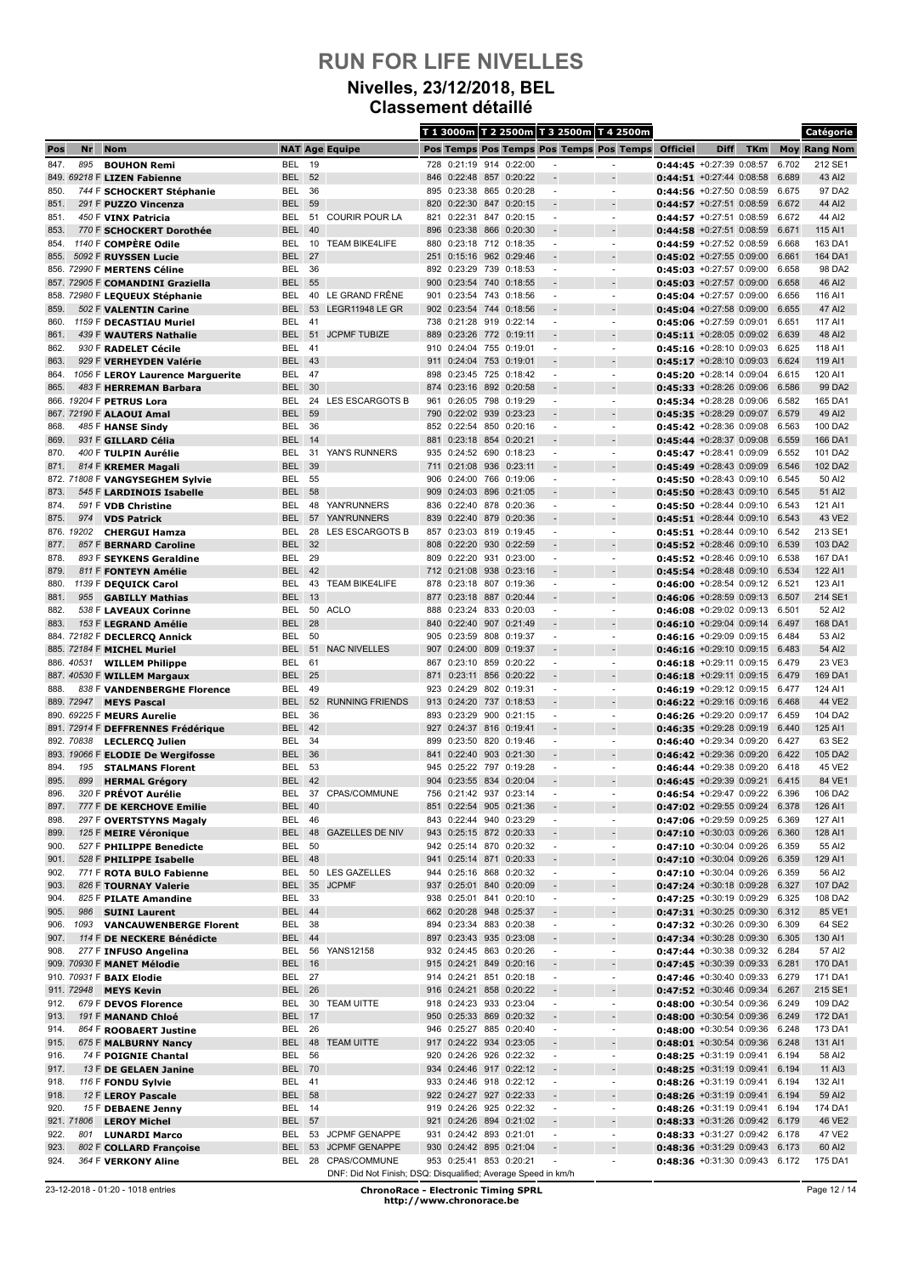### **Nivelles, 23/12/2018, BEL Classement détaillé**

|              |            |                                                        |                          |          |                                                               |            |                                                    |            |                        |                                                      | T 1 3000m T 2 2500m T 3 2500m T 4 2500m  |                                                                  |             |            |                | Catégorie           |
|--------------|------------|--------------------------------------------------------|--------------------------|----------|---------------------------------------------------------------|------------|----------------------------------------------------|------------|------------------------|------------------------------------------------------|------------------------------------------|------------------------------------------------------------------|-------------|------------|----------------|---------------------|
| Pos          | Nr         | <b>Nom</b>                                             |                          |          | <b>NAT Age Equipe</b>                                         |            |                                                    |            |                        |                                                      | Pos Temps Pos Temps Pos Temps Pos Temps  | <b>Officiel</b>                                                  | <b>Diff</b> | <b>TKm</b> |                | <b>Moy Rang Nom</b> |
| 847.         | 895        | <b>BOUHON Remi</b>                                     | <b>BEL</b>               | 19       |                                                               | 728        | 0:21:19                                            |            | 914 0:22:00            |                                                      | $\overline{a}$                           | 0:44:45 +0:27:39 0:08:57                                         |             |            | 6.702          | 212 SE1             |
|              |            | 849. 69218 F LIZEN Fabienne                            | <b>BEL</b>               | 52       |                                                               | 846        | 0:22:48 857 0:20:22                                |            |                        |                                                      |                                          | $0:44:51$ +0:27:44 0:08:58                                       |             |            | 6.689          | 43 AI2              |
| 850.         |            | 744 F SCHOCKERT Stéphanie                              | BEL                      | 36       |                                                               |            | 895 0:23:38 865 0:20:28                            |            |                        | $\blacksquare$                                       | $\overline{\phantom{a}}$                 | 0:44:56 +0:27:50 0:08:59                                         |             |            | 6.675          | 97 DA2              |
| 851.<br>851. |            | 291 F PUZZO Vincenza<br>450 F VINX Patricia            | <b>BEL</b><br>BEL        | 59<br>51 | <b>COURIR POUR LA</b>                                         | 820<br>821 | 0:22:30<br>0:22:31                                 | 847        | 0:20:15<br>847 0:20:15 | $\overline{\phantom{a}}$                             | $\overline{a}$                           | $0:44:57$ +0:27:51 0:08:59<br>$0:44:57$ +0:27:51 0:08:59         |             |            | 6.672<br>6.672 | 44 AI2<br>44 AI2    |
| 853.         |            | 770 F SCHOCKERT Dorothée                               | <b>BEL</b>               | 40       |                                                               | 896        | 0:23:38                                            | 866        | 0:20:30                |                                                      |                                          | 0:44:58 +0:27:51 0:08:59                                         |             |            | 6.671          | 115 AI1             |
| 854.         |            | 1140 F COMPÈRE Odile                                   | <b>BEL</b>               | 10       | <b>TEAM BIKE4LIFE</b>                                         | 880        | 0:23:18 712 0:18:35                                |            |                        | $\blacksquare$                                       | $\blacksquare$                           | 0:44:59 +0:27:52 0:08:59                                         |             |            | 6.668          | 163 DA1             |
| 855.         |            | 5092 F RUYSSEN Lucie                                   | <b>BEL</b>               | 27       |                                                               | 251        | 0:15:16 962 0:29:46                                |            |                        |                                                      |                                          | $0:45:02 + 0:27:55 0:09:00$                                      |             |            | 6.661          | 164 DA1             |
|              |            | 856. 72990 F MERTENS Céline                            | BEL                      | 36       |                                                               | 892        | 0:23:29                                            |            | 739 0:18:53            |                                                      |                                          | $0:45:03$ +0:27:57 0:09:00                                       |             |            | 6.658          | 98 DA2              |
|              |            | 857. 72905 F COMANDINI Graziella                       | <b>BEL</b>               | 55       |                                                               | 900        | 0:23:54 740 0:18:55                                |            |                        |                                                      |                                          | $0:45:03$ +0:27:57 0:09:00                                       |             |            | 6.658          | 46 AI2              |
|              |            | 858. 72980 F LEQUEUX Stéphanie                         | BEL<br><b>BEL</b>        | 40<br>53 | LE GRAND FRÊNE<br>LEGR11948 LE GR                             | 901        | 0:23:54 743 0:18:56                                |            |                        | $\blacksquare$                                       | $\blacksquare$                           | 0:45:04 +0:27:57 0:09:00                                         |             |            | 6.656<br>6.655 | 116 AI1             |
| 859.<br>860. |            | 502 F VALENTIN Carine<br>1159 F DECASTIAU Muriel       | BEL                      | 41       |                                                               | 738        | 902 0:23:54<br>0:21:28                             | 744<br>919 | 0:18:56<br>0:22:14     |                                                      | $\overline{a}$<br>÷,                     | $0:45:04$ +0:27:58 0:09:00<br>$0:45:06$ +0:27:59 0:09:01         |             |            | 6.651          | 47 AI2<br>117 AI1   |
| 861.         |            | 439 F WAUTERS Nathalie                                 | BEL                      | 51       | <b>JCPMF TUBIZE</b>                                           | 889        | 0:23:26 772 0:19:11                                |            |                        |                                                      |                                          | $0:45:11$ +0:28:05 0:09:02                                       |             |            | 6.639          | 48 AI2              |
| 862.         |            | 930 F RADELET Cécile                                   | <b>BEL</b>               | 41       |                                                               | 910        | 0:24:04 755 0:19:01                                |            |                        | $\blacksquare$                                       | $\blacksquare$                           | 0:45:16 +0:28:10 0:09:03                                         |             |            | 6.625          | 118 AI1             |
| 863.         |            | 929 F VERHEYDEN Valérie                                | BEL 43                   |          |                                                               | 911        | 0:24:04 753 0:19:01                                |            |                        |                                                      |                                          | $0:45:17 + 0:28:10 0:09:03$                                      |             |            | 6.624          | 119 AI1             |
| 864.         |            | 1056 F LEROY Laurence Marguerite                       | BEL                      | -47      |                                                               | 898        | 0:23:45 725 0:18:42                                |            |                        | ٠                                                    | $\overline{\phantom{a}}$                 | 0:45:20 +0:28:14 0:09:04                                         |             |            | 6.615          | 120 AI1             |
| 865.         |            | 483 F HERREMAN Barbara                                 | BEL                      | 30       |                                                               | 874        | 0:23:16 892 0:20:58                                |            |                        |                                                      |                                          | $0:45:33 + 0:28:26 0:09:06$                                      |             |            | 6.586          | 99 DA2              |
|              |            | 866. 19204 F PETRUS Lora<br>867. 72190 F ALAOUI Amal   | BEL<br><b>BEL</b>        | 24<br>59 | LES ESCARGOTS B                                               | 961<br>790 | 0:26:05 798 0:19:29<br>0:22:02 939                 |            | 0:23:23                | $\overline{\phantom{a}}$                             | $\overline{\phantom{a}}$                 | $0:45:34 + 0:28:28 0:09:06$<br>0:45:35 +0:28:29 0:09:07          |             |            | 6.582<br>6.579 | 165 DA1<br>49 Al2   |
| 868.         |            | 485 F HANSE Sindy                                      | BEL                      | 36       |                                                               |            | 852 0:22:54 850 0:20:16                            |            |                        | $\overline{\phantom{a}}$                             | $\overline{\phantom{a}}$                 | $0:45:42 + 0:28:36$ 0:09:08                                      |             |            | 6.563          | 100 DA2             |
| 869.         |            | 931 F GILLARD Célia                                    | <b>BEL</b>               | 14       |                                                               | 881        | 0:23:18                                            | 854        | 0:20:21                |                                                      |                                          | $0:45:44$ +0:28:37 0:09:08                                       |             |            | 6.559          | 166 DA1             |
| 870.         |            | 400 F TULPIN Aurélie                                   | BEL                      | 31       | YAN'S RUNNERS                                                 | 935        | 0:24:52 690                                        |            | 0:18:23                | $\overline{\phantom{a}}$                             | $\overline{\phantom{a}}$                 | $0:45:47 + 0:28:41 0:09:09$                                      |             |            | 6.552          | 101 DA2             |
| 871.         |            | 814 F KREMER Magali                                    | <b>BEL</b>               | 39       |                                                               | 711        | 0:21:08 936                                        |            | 0:23:11                |                                                      |                                          | 0:45:49 +0:28:43 0:09:09                                         |             |            | 6.546          | 102 DA2             |
|              |            | 872. 71808 F VANGYSEGHEM Sylvie                        | BEL                      | 55       |                                                               | 906        | 0:24:00 766 0:19:06                                |            |                        | $\blacksquare$                                       | $\blacksquare$                           | 0:45:50 +0:28:43 0:09:10                                         |             |            | 6.545          | 50 AI2              |
| 873.         |            | 545 F LARDINOIS Isabelle                               | <b>BEL</b>               | 58       |                                                               | 909        | 0:24:03 896 0:21:05                                |            |                        |                                                      |                                          | 0:45:50 +0:28:43 0:09:10                                         |             |            | 6.545          | 51 AI2              |
| 874.<br>875. | 974        | 591 F VDB Christine<br><b>VDS Patrick</b>              | BEL<br><b>BEL</b>        | 48<br>57 | YAN'RUNNERS<br><b>YAN'RUNNERS</b>                             | 836<br>839 | 0:22:40<br>0:22:40 879 0:20:36                     |            | 878 0:20:36            |                                                      |                                          | $0:45:50 + 0:28:44 0:09:10$<br>$0:45:51$ +0:28:44 0:09:10        |             |            | 6.543<br>6.543 | 121 AI1<br>43 VE2   |
|              | 876. 19202 | <b>CHERGUI Hamza</b>                                   | BEL                      | 28       | <b>LES ESCARGOTS B</b>                                        | 857        | 0:23:03 819 0:19:45                                |            |                        | $\overline{\phantom{a}}$                             | $\blacksquare$                           | 0:45:51 +0:28:44 0:09:10                                         |             |            | 6.542          | 213 SE1             |
| 877.         |            | 857 F BERNARD Caroline                                 | <b>BEL</b>               | 32       |                                                               | 808        | 0:22:20 930                                        |            | 0:22:59                |                                                      |                                          | $0:45:52$ +0:28:46 0:09:10                                       |             |            | 6.539          | 103 DA2             |
| 878.         |            | 893 F SEYKENS Geraldine                                | BEL                      | 29       |                                                               | 809        | 0:22:20                                            | 931        | 0:23:00                |                                                      | ÷,                                       | $0:45:52 + 0:28:46 0:09:10$                                      |             |            | 6.538          | 167 DA1             |
| 879.         |            | 811 F FONTEYN Amélie                                   | <b>BEL</b>               | 42       |                                                               |            | 712 0:21:08                                        | 938        | 0:23:16                |                                                      |                                          | $0:45:54$ +0:28:48 0:09:10                                       |             |            | 6.534          | 122 AI1             |
| 880.         |            | 1139 F DEQUICK Carol                                   | BEL                      | 43       | <b>TEAM BIKE4LIFE</b>                                         | 878        | 0:23:18                                            | 807        | 0:19:36                | $\blacksquare$                                       | $\blacksquare$                           | $0:46:00$ +0:28:54 0:09:12                                       |             |            | 6.521          | 123 AI1             |
| 881.<br>882. | 955        | <b>GABILLY Mathias</b>                                 | <b>BEL</b><br>BEL        | 13<br>50 | <b>ACLO</b>                                                   | 877<br>888 | 0:23:18 887 0:20:44<br>0:23:24                     |            | 833 0:20:03            | $\blacksquare$                                       | $\overline{\phantom{a}}$                 | $0:46:06$ +0:28:59 0:09:13<br>$0:46:08 + 0:29:02 0:09:13$        |             |            | 6.507<br>6.501 | 214 SE1<br>52 AI2   |
| 883.         |            | 538 F LAVEAUX Corinne<br>153 F LEGRAND Amélie          | <b>BEL</b>               | 28       |                                                               | 840        | 0:22:40                                            | 907        | 0:21:49                |                                                      |                                          | $0:46:10 + 0:29:04 0:09:14$                                      |             |            | 6.497          | 168 DA1             |
|              |            | 884. 72182 F DECLERCQ Annick                           | BEL                      | 50       |                                                               | 905        | 0:23:59 808 0:19:37                                |            |                        | $\blacksquare$                                       | $\overline{\phantom{a}}$                 | $0:46:16 + 0:29:09 0:09:15$                                      |             |            | 6.484          | 53 AI2              |
|              |            | 885. 72184 F MICHEL Muriel                             | <b>BEL</b>               | 51       | <b>NAC NIVELLES</b>                                           | 907        | 0:24:00                                            | 809        | 0:19:37                |                                                      |                                          | $0:46:16$ +0:29:10 0:09:15                                       |             |            | 6.483          | 54 AI2              |
|              |            | 886. 40531 WILLEM Philippe                             | <b>BEL</b>               | 61       |                                                               | 867        | 0:23:10 859 0:20:22                                |            |                        |                                                      | $\overline{\phantom{a}}$                 | $0:46:18$ +0:29:11 0:09:15 6.479                                 |             |            |                | 23 VE3              |
|              |            | 887. 40530 F WILLEM Margaux                            | <b>BEL</b>               | 25       |                                                               | 871        | 0:23:11                                            | 856        | 0:20:22                |                                                      |                                          | $0:46:18$ +0:29:11 0:09:15                                       |             |            | 6.479          | 169 DA1             |
| 888.         |            | 838 F VANDENBERGHE Florence                            | BEL                      | 49       | <b>RUNNING FRIENDS</b>                                        | 923        | 0:24:29                                            |            | 802 0:19:31            | $\overline{\phantom{a}}$                             | ÷,                                       | $0:46:19 + 0:29:12$ 0:09:15                                      |             |            | 6.477          | 124 AI1             |
|              | 889. 72947 | <b>MEYS Pascal</b><br>890. 69225 F MEURS Aurelie       | <b>BEL</b><br>BEL        | 52<br>36 |                                                               | 913<br>893 | 0:24:20<br>0:23:29                                 | 737        | 0:18:53<br>900 0:21:15 |                                                      | $\overline{a}$                           | $0:46:22$ +0:29:16 0:09:16<br>$0:46:26$ +0:29:20 0:09:17         |             |            | 6.468<br>6.459 | 44 VE2<br>104 DA2   |
|              |            | 891. 72914 F DEFFRENNES Frédérique                     | <b>BEL</b>               | 42       |                                                               | 927        | 0:24:37 816 0:19:41                                |            |                        |                                                      |                                          | 0:46:35 +0:29:28 0:09:19                                         |             |            | 6.440          | 125 AI1             |
|              | 892. 70838 | <b>LECLERCQ Julien</b>                                 | BEL                      | 34       |                                                               | 899        | 0:23:50                                            | 820        | 0:19:46                |                                                      |                                          | $0:46:40 + 0:29:34$ 0:09:20                                      |             |            | 6.427          | 63 SE2              |
|              |            | 893. 19066 F ELODIE De Wergifosse                      | <b>BEL</b>               | 36       |                                                               | 841        | 0:22:40 903 0:21:30                                |            |                        |                                                      |                                          | 0:46:42 +0:29:36 0:09:20                                         |             |            | 6.422          | 105 DA2             |
| 894.         | 195        | <b>STALMANS Florent</b>                                | BEL                      | 53       |                                                               | 945        | 0:25:22 797 0:19:28                                |            |                        | $\blacksquare$                                       | $\blacksquare$                           | $0:46:44 + 0:29:38$ 0:09:20                                      |             |            | 6.418          | 45 VE2              |
| 895.<br>896. | 899        | <b>HERMAL Grégory</b><br>320 F PRÉVOT Aurélie          | <b>BEL</b><br><b>BEL</b> | 42       | 37 CPAS/COMMUNE                                               | 904<br>756 | 0:23:55 834 0:20:04<br>0:21:42 937 0:23:14         |            |                        |                                                      |                                          | $0:46:45 + 0:29:39 0:09:21$                                      |             |            | 6.415<br>6.396 | 84 VE1<br>106 DA2   |
| 897.         |            | 777 F DE KERCHOVE Emilie                               | BEL                      | 40       |                                                               |            | 851 0:22:54 905 0:21:36                            |            |                        |                                                      | -                                        | $0:46:54$ +0:29:47 0:09:22<br>$0:47:02$ +0:29:55 0:09:24         |             |            | 6.378          | 126 AI1             |
| 898.         |            | 297 F OVERTSTYNS Magaly                                | BEL                      | 46       |                                                               |            | 843 0:22:44 940 0:23:29                            |            |                        | $\overline{\phantom{a}}$                             | $\overline{\phantom{a}}$                 | 0:47:06 +0:29:59 0:09:25 6.369                                   |             |            |                | 127 AI1             |
| 899.         |            | 125 F MEIRE Véronique                                  | <b>BEL</b>               |          | 48 GAZELLES DE NIV                                            |            | 943 0:25:15 872 0:20:33                            |            |                        |                                                      |                                          | $0:47:10$ +0:30:03 0:09:26                                       |             |            | 6.360          | 128 AI1             |
| 900.         |            | 527 F PHILIPPE Benedicte                               | BEL                      | 50       |                                                               |            | 942 0:25:14 870 0:20:32                            |            |                        | $\overline{\phantom{a}}$                             | $\overline{\phantom{a}}$                 | $0:47:10$ +0:30:04 0:09:26                                       |             |            | 6.359          | 55 AI2              |
| 901.         |            | 528 F PHILIPPE Isabelle                                | BEL 48                   |          |                                                               |            | 941 0:25:14 871 0:20:33                            |            |                        |                                                      |                                          | $0:47:10$ +0:30:04 0:09:26                                       |             |            | 6.359          | 129 AI1             |
| 902.<br>903. |            | 771 F ROTA BULO Fabienne                               | BEL<br><b>BEL</b>        |          | 50 LES GAZELLES<br>35 JCPMF                                   |            | 944 0:25:16 868 0:20:32<br>937 0:25:01 840 0:20:09 |            |                        | $\overline{\phantom{a}}$                             | $\overline{\phantom{a}}$<br>$\centerdot$ | 0:47:10 +0:30:04 0:09:26 6.359<br>$0:47:24$ +0:30:18 0:09:28     |             |            | 6.327          | 56 AI2<br>107 DA2   |
| 904.         |            | 826 F TOURNAY Valerie<br>825 F PILATE Amandine         | BEL 33                   |          |                                                               |            | 938 0:25:01 841 0:20:10                            |            |                        | $\overline{\phantom{a}}$<br>$\overline{\phantom{a}}$ | $\overline{\phantom{a}}$                 | 0:47:25 +0:30:19 0:09:29 6.325                                   |             |            |                | 108 DA2             |
| 905.         | 986        | <b>SUINI Laurent</b>                                   | <b>BEL 44</b>            |          |                                                               |            | 662 0:20:28 948                                    |            | 0:25:37                |                                                      |                                          | 0:47:31 +0:30:25 0:09:30                                         |             |            | 6.312          | 85 VE1              |
| 906.         | 1093       | <b>VANCAUWENBERGE Florent</b>                          | BEL                      | 38       |                                                               |            | 894 0:23:34 883 0:20:38                            |            |                        | $\overline{\phantom{a}}$                             | $\overline{\phantom{a}}$                 | 0:47:32 +0:30:26 0:09:30 6.309                                   |             |            |                | 64 SE2              |
| 907.         |            | 114 F DE NECKERE Bénédicte                             | <b>BEL 44</b>            |          |                                                               |            | 897 0:23:43 935 0:23:08                            |            |                        |                                                      | $\overline{a}$                           | $0:47:34$ +0:30:28 0:09:30                                       |             |            | 6.305          | 130 AI1             |
| 908.         |            | 277 F INFUSO Angelina                                  | BEL                      |          | 56 YANS12158                                                  |            | 932 0:24:45 863 0:20:26                            |            |                        | $\overline{\phantom{a}}$                             | $\overline{\phantom{a}}$                 | 0:47:44 +0:30:38 0:09:32 6.284                                   |             |            |                | 57 AI2              |
|              |            | 909. 70930 F MANET Mélodie<br>910. 70931 F BAIX Elodie | <b>BEL</b> 16<br>BEL 27  |          |                                                               |            | 915 0:24:21 849 0:20:16<br>914 0:24:21 851 0:20:18 |            |                        | $\overline{\phantom{a}}$                             | $\overline{a}$                           | 0:47:45 +0:30:39 0:09:33 6.281<br>0:47:46 +0:30:40 0:09:33 6.279 |             |            |                | 170 DA1<br>171 DA1  |
|              | 911. 72948 | <b>MEYS Kevin</b>                                      | <b>BEL</b>               | 26       |                                                               |            | 916 0:24:21 858 0:20:22                            |            |                        | $\overline{\phantom{a}}$                             | $\overline{a}$                           | $0:47:52$ +0:30:46 0:09:34                                       |             |            | 6.267          | 215 SE1             |
| 912.         |            | 679 F DEVOS Florence                                   | BEL                      |          | 30 TEAM UITTE                                                 |            | 918 0:24:23 933 0:23:04                            |            |                        | $\overline{\phantom{a}}$                             | $\overline{\phantom{a}}$                 | 0:48:00 +0:30:54 0:09:36 6.249                                   |             |            |                | 109 DA2             |
| 913.         |            | 191 F MANAND Chloé                                     | <b>BEL 17</b>            |          |                                                               |            | 950 0:25:33 869 0:20:32                            |            |                        | $\overline{\phantom{a}}$                             | $\qquad \qquad \blacksquare$             | $0:48:00$ +0:30:54 0:09:36                                       |             |            | 6.249          | 172 DA1             |
| 914.         |            | 864 F ROOBAERT Justine                                 | BEL                      | 26       |                                                               |            | 946 0:25:27 885 0:20:40                            |            |                        | $\overline{\phantom{a}}$                             | $\overline{\phantom{a}}$                 | $0:48:00$ +0:30:54 0:09:36                                       |             |            | 6.248          | 173 DA1             |
| 915.         |            | 675 F MALBURNY Nancy                                   | <b>BEL</b>               |          | 48 TEAM UITTE                                                 |            | 917 0:24:22 934 0:23:05                            |            |                        |                                                      | $\overline{a}$                           | $0:48:01$ +0:30:54 0:09:36                                       |             |            | 6.248          | 131 AI1             |
| 916.         |            | 74 F POIGNIE Chantal                                   | BEL<br><b>BEL 70</b>     | 56       |                                                               | 920        | 0:24:26 926 0:22:32                                |            |                        | $\overline{\phantom{a}}$                             | $\overline{\phantom{a}}$                 | $0:48:25$ +0:31:19 0:09:41                                       |             |            | 6.194<br>6.194 | 58 AI2              |
| 917.<br>918. |            | 13 F DE GELAEN Janine<br>116 F FONDU Sylvie            | BEL 41                   |          |                                                               |            | 934 0:24:46 917 0:22:12<br>933 0:24:46 918 0:22:12 |            |                        | $\overline{\phantom{a}}$                             | $\overline{\phantom{a}}$                 | $0:48:25$ +0:31:19 0:09:41<br>$0:48:26$ +0:31:19 0:09:41         |             |            | 6.194          | 11 AI3<br>132 AI1   |
| 918.         |            | 12 F LEROY Pascale                                     | <b>BEL 58</b>            |          |                                                               |            | 922 0:24:27 927 0:22:33                            |            |                        |                                                      | ÷,                                       | $0:48:26$ +0:31:19 0:09:41                                       |             |            | 6.194          | 59 AI2              |
| 920.         |            | 15 F DEBAENE Jenny                                     | BEL 14                   |          |                                                               |            | 919 0:24:26 925 0:22:32                            |            |                        | $\overline{\phantom{a}}$                             | $\overline{\phantom{a}}$                 | 0:48:26 +0:31:19 0:09:41 6.194                                   |             |            |                | 174 DA1             |
|              | 921. 71806 | <b>LEROY Michel</b>                                    | <b>BEL 57</b>            |          |                                                               |            | 921 0:24:26 894 0:21:02                            |            |                        |                                                      | $\centerdot$                             | 0:48:33 +0:31:26 0:09:42 6.179                                   |             |            |                | 46 VE2              |
| 922.         | 801        | <b>LUNARDI Marco</b>                                   | BEL                      |          | 53 JCPMF GENAPPE                                              |            | 931 0:24:42 893 0:21:01                            |            |                        | $\overline{\phantom{a}}$                             | $\overline{\phantom{a}}$                 | 0:48:33 +0:31:27 0:09:42 6.178                                   |             |            |                | 47 VE2              |
| 923.         |            | 802 F COLLARD Françoise                                | <b>BEL</b>               | 53       | <b>JCPMF GENAPPE</b><br>28 CPAS/COMMUNE                       | 930        | 0:24:42 895 0:21:04<br>953 0:25:41 853 0:20:21     |            |                        |                                                      | $\overline{a}$                           | $0:48:36$ +0:31:29 0:09:43                                       |             |            | 6.173          | 60 AI2<br>175 DA1   |
| 924.         |            | 364 F VERKONY Aline                                    | BEL                      |          | DNF: Did Not Finish; DSQ: Disqualified; Average Speed in km/h |            |                                                    |            |                        |                                                      |                                          | <b>0:48:36</b> +0:31:30 0:09:43 6.172                            |             |            |                |                     |

Page 12 / 14

<sup>23-12-2018 - 01:20 - 1018</sup> entries **ChronoRace - Electronic Timing SPRL http://www.chronorace.be**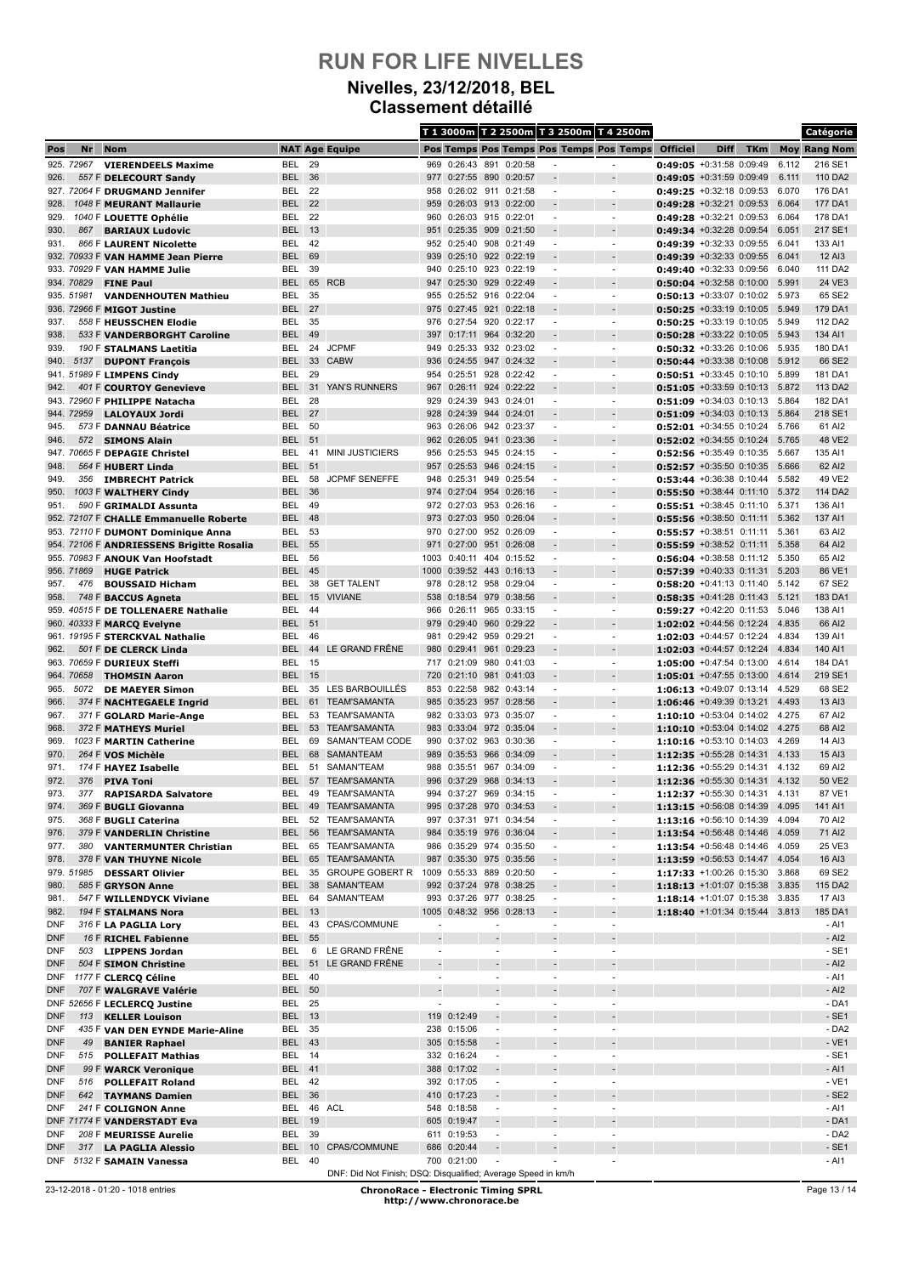#### **Nivelles, 23/12/2018, BEL Classement détaillé**

|                   |                    |                                                          |                                |          |                                                               |                          |                                            |                                                      |                    |                          | T 1 3000m T 2 2500m T 3 2500m T 4 2500m |                                                           |             |            |                | Catégorie           |
|-------------------|--------------------|----------------------------------------------------------|--------------------------------|----------|---------------------------------------------------------------|--------------------------|--------------------------------------------|------------------------------------------------------|--------------------|--------------------------|-----------------------------------------|-----------------------------------------------------------|-------------|------------|----------------|---------------------|
| Pos               | Nr                 | <b>Nom</b>                                               |                                |          | <b>NAT Age Equipe</b>                                         |                          |                                            |                                                      |                    |                          | Pos Temps Pos Temps Pos Temps Pos Temps | <b>Officiel</b>                                           | <b>Diff</b> | <b>TKm</b> |                | <b>Moy Rang Nom</b> |
|                   | 925. 72967         | <b>VIERENDEELS Maxime</b>                                | BEL                            | 29       |                                                               | 969                      | 0:26:43 891 0:20:58                        |                                                      |                    |                          | ٠                                       | 0:49:05 +0:31:58 0:09:49                                  |             |            | 6.112          | 216 SE1             |
| 926.              |                    | 557 F DELECOURT Sandy                                    | <b>BEL</b>                     | 36       |                                                               | 977                      | 0:27:55 890                                |                                                      | 0:20:57            |                          | $\overline{a}$                          | $0:49:05$ +0:31:59 0:09:49                                |             |            | 6.111          | 110 DA2             |
|                   |                    | 927. 72064 F DRUGMAND Jennifer                           | BEL                            | 22       |                                                               | 958                      | 0:26:02 911 0:21:58                        |                                                      |                    |                          | $\overline{\phantom{a}}$                | $0:49:25$ +0:32:18 0:09:53                                |             |            | 6.070          | 176 DA1             |
| 928.<br>929.      |                    | 1048 F MEURANT Mallaurie<br>1040 F LOUETTE Ophélie       | <b>BEL</b><br>BEL              | 22<br>22 |                                                               | 959<br>960               | 0:26:03 913 0:22:00<br>0:26:03 915 0:22:01 |                                                      |                    | $\overline{\phantom{a}}$ | $\overline{\phantom{a}}$                | $0:49:28$ +0:32:21 0:09:53<br>$0:49:28$ +0:32:21 0:09:53  |             |            | 6.064<br>6.064 | 177 DA1<br>178 DA1  |
| 930.              | 867                | <b>BARIAUX Ludovic</b>                                   | <b>BEL</b>                     | 13       |                                                               | 951                      | 0:25:35 909                                |                                                      | 0:21:50            |                          |                                         | $0:49:34$ +0:32:28 0:09:54                                |             |            | 6.051          | 217 SE1             |
| 931.              |                    | 866 F LAURENT Nicolette                                  | BEL                            | 42       |                                                               |                          | 952 0:25:40 908 0:21:49                    |                                                      |                    |                          | $\overline{a}$                          | $0:49:39 + 0:32:33$ 0:09:55                               |             |            | 6.041          | 133 AI1             |
|                   |                    | 932. 70933 F VAN HAMME Jean Pierre                       | <b>BEL</b>                     | 69       |                                                               | 939                      | 0:25:10 922 0:22:19                        |                                                      |                    |                          |                                         | $0:49:39 + 0:32:33$ 0:09:55                               |             |            | 6.041          | 12 AI3              |
|                   |                    | 933. 70929 F VAN HAMME Julie                             | BEL                            | 39       |                                                               | 940                      | 0:25:10 923 0:22:19                        |                                                      |                    | ٠                        | ٠                                       | $0:49:40$ +0:32:33 0:09:56                                |             |            | 6.040          | 111 DA2             |
|                   | 934. 70829         | <b>FINE Paul</b>                                         | <b>BEL</b>                     | 65       | <b>RCB</b>                                                    | 947                      | 0:25:30 929                                |                                                      | 0:22:49            |                          |                                         | $0:50:04$ +0:32:58 0:10:00                                |             |            | 5.991          | 24 VE3              |
|                   | 935. 51981         | <b>VANDENHOUTEN Mathieu</b>                              | BEL                            | 35       |                                                               |                          | 955 0:25:52 916 0:22:04                    |                                                      |                    |                          | $\overline{a}$                          | $0:50:13$ +0:33:07 0:10:02                                |             |            | 5.973          | 65 SE2              |
|                   |                    | 936. 72966 F MIGOT Justine                               | <b>BEL</b>                     | 27<br>35 |                                                               | 975                      | 0:27:45                                    | 921                                                  | 0:22:18<br>0:22:17 |                          | $\blacksquare$                          | $0:50:25$ +0:33:19 0:10:05                                |             |            | 5.949          | 179 DA1<br>112 DA2  |
| 937.<br>938.      |                    | 558 F HEUSSCHEN Elodie<br>533 F VANDERBORGHT Caroline    | BEL<br><b>BEL</b>              | 49       |                                                               | 976<br>397               | 0:27:54<br>0:17:11 964 0:32:20             | 920                                                  |                    |                          |                                         | $0:50:25 + 0:33:19 0:10:05$<br>$0:50:28$ +0:33:22 0:10:05 |             |            | 5.949<br>5.943 | 134 AI1             |
| 939.              |                    | 190 F STALMANS Laetitia                                  | BEL                            | 24       | <b>JCPMF</b>                                                  | 949                      | 0:25:33 932 0:23:02                        |                                                      |                    | ٠                        | $\blacksquare$                          | 0:50:32 +0:33:26 0:10:06                                  |             |            | 5.935          | 180 DA1             |
| 940.              | 5137               | <b>DUPONT François</b>                                   | <b>BEL</b>                     | 33       | <b>CABW</b>                                                   | 936                      | 0:24:55 947 0:24:32                        |                                                      |                    |                          |                                         | $0:50:44 + 0:33:38 0:10:08$                               |             |            | 5.912          | 66 SE2              |
|                   |                    | 941. 51989 F LIMPENS Cindy                               | BEL                            | 29       |                                                               | 954                      | 0:25:51                                    |                                                      | 928 0:22:42        |                          | ÷,                                      | $0:50:51 + 0:33:45 0:10:10$                               |             |            | 5.899          | 181 DA1             |
| 942.              |                    | 401 F COURTOY Genevieve                                  | <b>BEL</b>                     | 31       | YAN'S RUNNERS                                                 | 967                      | 0:26:11 924 0:22:22                        |                                                      |                    |                          |                                         | $0:51:05 + 0:33:59 0:10:13$                               |             |            | 5.872          | 113 DA2             |
|                   |                    | 943. 72960 F PHILIPPE Natacha                            | <b>BEL</b>                     | 28       |                                                               | 929                      | 0:24:39 943 0:24:01                        |                                                      |                    | ٠                        | $\overline{\phantom{a}}$                | 0:51:09 +0:34:03 0:10:13 5.864                            |             |            |                | 182 DA1             |
|                   | 944, 72959         | <b>LALOYAUX Jordi</b>                                    | <b>BEL</b>                     | 27       |                                                               | 928                      | 0:24:39                                    | 944                                                  | 0:24:01            |                          |                                         | $0:51:09$ +0:34:03 0:10:13                                |             |            | 5.864          | 218 SE1             |
| 945.<br>946.      |                    | 573 F DANNAU Béatrice                                    | BEL                            | 50       |                                                               |                          | 963 0:26:06 942 0:23:37                    |                                                      |                    |                          | ÷,                                      | 0:52:01 +0:34:55 0:10:24                                  |             |            | 5.766<br>5.765 | 61 AI2<br>48 VE2    |
|                   | 572                | <b>SIMONS Alain</b><br>947. 70665 F DEPAGIE Christel     | BEL<br>BEL                     | 51<br>41 | <b>MINI JUSTICIERS</b>                                        | 962<br>956               | 0:26:05<br>0:25:53 945 0:24:15             | 941                                                  | 0:23:36            | $\blacksquare$           | $\blacksquare$                          | $0:52:02$ +0:34:55 0:10:24<br>$0:52:56$ +0:35:49 0:10:35  |             |            | 5.667          | 135 AI1             |
| 948.              |                    | 564 F HUBERT Linda                                       | <b>BEL</b>                     | 51       |                                                               | 957                      | 0:25:53 946 0:24:15                        |                                                      |                    |                          |                                         | 0:52:57 +0:35:50 0:10:35                                  |             |            | 5.666          | 62 AI2              |
| 949.              | 356                | <b>IMBRECHT Patrick</b>                                  | BEL                            | 58       | <b>JCPMF SENEFFE</b>                                          | 948                      | 0:25:31                                    |                                                      | 949 0:25:54        |                          | $\overline{a}$                          | $0:53:44 + 0:36:38 0:10:44$                               |             |            | 5.582          | 49 VE2              |
| 950.              |                    | 1003 F WALTHERY Cindy                                    | <b>BEL</b>                     | 36       |                                                               | 974                      | 0:27:04 954                                |                                                      | 0:26:16            |                          |                                         | $0:55:50 + 0:38:44 0:11:10$                               |             |            | 5.372          | 114 DA2             |
| 951.              |                    | 590 F GRIMALDI Assunta                                   | BEL                            | -49      |                                                               |                          | 972 0:27:03 953 0:26:16                    |                                                      |                    |                          | ٠                                       | $0:55:51 + 0:38:45 0:11:10$                               |             |            | 5.371          | 136 AI1             |
|                   |                    | 952. 72107 F CHALLE Emmanuelle Roberte                   | <b>BEL</b>                     | 48       |                                                               |                          | 973 0:27:03 950 0:26:04                    |                                                      |                    |                          |                                         | 0:55:56 +0:38:50 0:11:11                                  |             |            | 5.362          | 137 AI1             |
|                   |                    | 953. 72110 F DUMONT Dominique Anna                       | BEL.                           | 53       |                                                               | 970                      | 0:27:00 952 0:26:09                        |                                                      |                    | $\blacksquare$           | ٠                                       | $0:55:57 + 0:38:51 0:11:11$                               |             |            | 5.361          | 63 AI2              |
|                   |                    | 954. 72106 F ANDRIESSENS Brigitte Rosalia                | <b>BEL</b>                     | 55       |                                                               | 971                      | 0:27:00                                    | 951                                                  | 0:26:08            |                          |                                         | 0:55:59 +0:38:52 0:11:11                                  |             |            | 5.358          | 64 AI2              |
|                   | 956. 71869         | 955. 70983 F ANOUK Van Hoofstadt                         | BEL<br><b>BEL</b>              | 56<br>45 |                                                               | 1003<br>1000             | 0:40:11<br>0:39:52 443 0:16:13             | 404                                                  | 0:15:52            | $\blacksquare$           | $\blacksquare$                          | 0:56:04 +0:38:58 0:11:12<br>$0:57:39$ +0:40:33 0:11:31    |             |            | 5.350<br>5.203 | 65 AI2<br>86 VE1    |
| 957.              | 476                | <b>HUGE Patrick</b><br><b>BOUSSAID Hicham</b>            | BEL                            | 38       | <b>GET TALENT</b>                                             | 978                      | 0:28:12 958 0:29:04                        |                                                      |                    | ٠                        | $\overline{\phantom{a}}$                | $0:58:20 +0:41:13 0:11:40$                                |             |            | 5.142          | 67 SE2              |
| 958.              |                    | 748 F BACCUS Agneta                                      | <b>BEL</b>                     | 15       | <b>VIVIANE</b>                                                | 538                      | 0:18:54 979                                |                                                      | 0:38:56            |                          |                                         | 0:58:35 +0:41:28 0:11:43                                  |             |            | 5.121          | 183 DA1             |
|                   |                    | 959. 40515 F DE TOLLENAERE Nathalie                      | BEL                            | 44       |                                                               | 966                      | 0:26:11                                    |                                                      | 965 0:33:15        |                          | ÷,                                      | $0:59:27 +0:42:20$ 0:11:53                                |             |            | 5.046          | 138 AI1             |
|                   |                    | 960. 40333 F MARCQ Evelyne                               | <b>BEL</b>                     | 51       |                                                               | 979                      | 0:29:40 960 0:29:22                        |                                                      |                    |                          |                                         | 1:02:02 +0:44:56 0:12:24                                  |             |            | 4.835          | 66 AI2              |
|                   |                    | 961. 19195 F STERCKVAL Nathalie                          | BEL                            | 46       |                                                               | 981                      | 0:29:42 959 0:29:21                        |                                                      |                    | ٠                        | $\overline{\phantom{a}}$                | $1:02:03$ +0:44:57 0:12:24                                |             |            | 4.834          | 139 AI1             |
| 962.              |                    | 501 F DE CLERCK Linda                                    | <b>BEL</b>                     | 44       | LE GRAND FRÊNE                                                | 980                      | 0:29:41                                    | 961                                                  | 0:29:23            |                          |                                         | 1:02:03 +0:44:57 0:12:24                                  |             |            | 4.834          | 140 AI1             |
|                   |                    | 963. 70659 F DURIEUX Steffi                              | BEL                            | 15       |                                                               |                          | 717 0:21:09                                |                                                      | 980 0:41:03        | $\overline{\phantom{a}}$ | ÷,                                      | 1:05:00 +0:47:54 0:13:00                                  |             |            | 4.614          | 184 DA1             |
| 965.              | 964. 70658<br>5072 | <b>THOMSIN Aaron</b><br><b>DE MAEYER Simon</b>           | BEL<br>BEL                     | 15<br>35 | LES BARBOUILLÉS                                               | 720<br>853               | 0:21:10<br>0:22:58 982 0:43:14             | 981                                                  | 0:41:03            | $\blacksquare$           | ٠                                       | 1:05:01 +0:47:55 0:13:00<br>1:06:13 +0:49:07 0:13:14      |             |            | 4.614<br>4.529 | 219 SE1<br>68 SE2   |
| 966.              |                    | 374 F NACHTEGAELE Ingrid                                 | <b>BEL</b>                     | 61       | <b>TEAM'SAMANTA</b>                                           | 985                      | 0:35:23 957 0:28:56                        |                                                      |                    |                          |                                         | 1:06:46 +0:49:39 0:13:21                                  |             |            | 4.493          | 13 AI3              |
| 967.              |                    | 371 F GOLARD Marie-Ange                                  | BEL                            | 53       | <b>TEAM'SAMANTA</b>                                           | 982                      | 0:33:03 973 0:35:07                        |                                                      |                    |                          |                                         | 1:10:10 +0:53:04 0:14:02                                  |             |            | 4.275          | 67 AI2              |
| 968.              |                    | 372 F MATHEYS Muriel                                     | <b>BEL</b>                     | 53       | <b>TEAM'SAMANTA</b>                                           | 983                      | 0:33:04 972 0:35:04                        |                                                      |                    |                          | ÷                                       | 1:10:10 +0:53:04 0:14:02                                  |             |            | 4.275          | 68 AI2              |
| 969.              |                    | 1023 F MARTIN Catherine                                  | BEL                            | 69       | <b>SAMAN'TEAM CODE</b>                                        | 990                      | 0:37:02 963 0:30:36                        |                                                      |                    | ٠                        | ٠                                       | 1:10:16 $+0.53:10$ 0:14:03                                |             |            | 4.269          | 14 AI3              |
| 970.              |                    | 264 F VOS Michèle                                        | <b>BEL</b>                     |          | 68 SAMANTEAM                                                  |                          | 989 0:35:53 966 0:34:09                    |                                                      |                    | $\overline{\phantom{a}}$ | $\overline{\phantom{a}}$                | 1:12:35 +0:55:28 0:14:31                                  |             |            | 4.133          | 15 AI3              |
| 971.              |                    | 174 F HAYEZ Isabelle                                     | BEL                            |          | 51 SAMAN'TEAM                                                 | 988                      | 0:35:51 967 0:34:09                        |                                                      |                    | $\overline{\phantom{a}}$ | ٠                                       | 1:12:36 +0:55:29 0:14:31                                  |             |            | 4.132          | 69 AI2              |
| 972.<br>973.      | 376                | <b>PIVA Toni</b>                                         | <b>BEL</b><br><b>BEL</b>       | 57<br>49 | <b>TEAM'SAMANTA</b><br><b>TEAM'SAMANTA</b>                    | 996<br>994               | 0:37:29 968<br>0:37:27 969 0:34:15         |                                                      | 0:34:13            |                          | $\blacksquare$                          | 1:12:36 +0:55:30 0:14:31                                  |             |            | 4.132<br>4.131 | 50 VE2<br>87 VE1    |
| 974.              | 377                | <b>RAPISARDA Salvatore</b><br>369 F BUGLI Giovanna       | BEL                            | 49       | <b>TEAM'SAMANTA</b>                                           |                          | 995 0:37:28 970 0:34:53                    |                                                      |                    |                          |                                         | 1:12:37 +0:55:30 0:14:31<br>1:13:15 +0:56:08 0:14:39      |             |            | 4.095          | 141 AI1             |
| 975.              |                    | 368 F BUGLI Caterina                                     | BEL                            |          | 52 TEAM'SAMANTA                                               |                          | 997 0:37:31 971 0:34:54                    |                                                      |                    | $\overline{\phantom{a}}$ | $\overline{\phantom{a}}$                | 1:13:16 +0:56:10 0:14:39 4.094                            |             |            |                | 70 AI2              |
| 976.              |                    | 379 F VANDERLIN Christine                                | <b>BEL</b>                     | 56       | <b>TEAM'SAMANTA</b>                                           |                          | 984 0:35:19 976 0:36:04                    |                                                      |                    |                          |                                         | 1:13:54 +0:56:48 0:14:46                                  |             |            | 4.059          | 71 AI2              |
| 977.              | 380                | <b>VANTERMUNTER Christian</b>                            | BEL                            |          | 65 TEAM'SAMANTA                                               | 986                      | 0:35:29 974 0:35:50                        |                                                      |                    | $\overline{\phantom{a}}$ | $\blacksquare$                          | 1:13:54 +0:56:48 0:14:46                                  |             |            | 4.059          | 25 VE3              |
| 978.              |                    | 378 F VAN THUYNE Nicole                                  | <b>BEL</b>                     |          | 65 TEAM'SAMANTA                                               |                          | 987 0:35:30 975 0:35:56                    |                                                      |                    |                          | $\overline{a}$                          | 1:13:59 +0:56:53 0:14:47                                  |             |            | 4.054          | 16 AI3              |
|                   | 979. 51985         | <b>DESSART Olivier</b>                                   | BEL                            |          | 35 GROUPE GOBERT R                                            |                          | 1009 0:55:33 889 0:20:50                   |                                                      |                    | $\blacksquare$           | $\blacksquare$                          | 1:17:33 +1:00:26 0:15:30 3.868                            |             |            |                | 69 SE2              |
| 980.              |                    | 585 F GRYSON Anne                                        | <b>BEL</b>                     |          | 38 SAMAN'TEAM                                                 |                          | 992 0:37:24 978                            |                                                      | 0:38:25            |                          | $\overline{a}$                          | 1:18:13 +1:01:07 0:15:38                                  |             |            | 3.835          | 115 DA2             |
| 981.<br>982.      |                    | 547 F WILLENDYCK Viviane<br>194 F STALMANS Nora          | BEL<br><b>BEL 13</b>           |          | 64 SAMAN'TEAM                                                 | 1005                     | 993 0:37:26 977 0:38:25<br>0:48:32 956     |                                                      | 0:28:13            | $\overline{\phantom{a}}$ | $\blacksquare$<br>$\overline{a}$        | 1:18:14 +1:01:07 0:15:38<br>1:18:40 +1:01:34 0:15:44      |             |            | 3.835<br>3.813 | 17 AI3<br>185 DA1   |
| <b>DNF</b>        |                    | 316 F LA PAGLIA Lory                                     |                                |          | BEL 43 CPAS/COMMUNE                                           | $\overline{a}$           |                                            |                                                      |                    | $\overline{\phantom{a}}$ | $\overline{\phantom{a}}$                |                                                           |             |            |                | - AI1               |
| <b>DNF</b>        |                    | 16 F RICHEL Fabienne                                     | <b>BEL 55</b>                  |          |                                                               |                          |                                            |                                                      |                    |                          |                                         |                                                           |             |            |                | $-$ Al <sub>2</sub> |
| DNF               | 503                | <b>LIPPENS Jordan</b>                                    | BEL                            | 6        | LE GRAND FRÊNE                                                | $\overline{\phantom{a}}$ |                                            |                                                      |                    |                          | ÷,                                      |                                                           |             |            |                | $-$ SE1             |
| <b>DNF</b>        |                    | 504 F SIMON Christine                                    | <b>BEL</b>                     |          | 51 LE GRAND FRÊNE                                             | ÷,                       |                                            |                                                      |                    |                          |                                         |                                                           |             |            |                | $-$ Al <sub>2</sub> |
| DNF               |                    | 1177 F CLERCQ Céline                                     | BEL 40                         |          |                                                               | $\overline{\phantom{a}}$ |                                            | ٠                                                    |                    | $\blacksquare$           | ٠                                       |                                                           |             |            |                | - Al1               |
| <b>DNF</b>        |                    | 707 F WALGRAVE Valérie                                   | <b>BEL 50</b>                  |          |                                                               | $\frac{1}{2}$            |                                            | ÷,                                                   |                    | $\overline{\phantom{a}}$ |                                         |                                                           |             |            |                | - Al2               |
|                   |                    | DNF 52656 F LECLERCQ Justine                             | <b>BEL 25</b>                  |          |                                                               | $\overline{a}$           |                                            | ÷,                                                   |                    | $\overline{\phantom{a}}$ | $\overline{a}$                          |                                                           |             |            |                | $-DA1$              |
| <b>DNF</b><br>DNF | 113                | <b>KELLER Louison</b><br>435 F VAN DEN EYNDE Marie-Aline | <b>BEL 13</b><br><b>BEL 35</b> |          |                                                               |                          | 119 0:12:49<br>238 0:15:06                 | $\overline{\phantom{a}}$<br>$\overline{\phantom{a}}$ |                    | $\overline{\phantom{a}}$ | $\overline{a}$                          |                                                           |             |            |                | $-$ SE1<br>- DA2    |
| <b>DNF</b>        | 49                 | <b>BANIER Raphael</b>                                    | <b>BEL 43</b>                  |          |                                                               |                          | 305 0:15:58                                | $\blacksquare$                                       |                    |                          |                                         |                                                           |             |            |                | $-VE1$              |
| DNF               | 515                | <b>POLLEFAIT Mathias</b>                                 | BEL 14                         |          |                                                               |                          | 332 0:16:24                                | $\overline{\phantom{a}}$                             |                    | $\overline{\phantom{a}}$ | ÷,                                      |                                                           |             |            |                | $-$ SE1             |
| <b>DNF</b>        |                    | 99 F WARCK Veronique                                     | <b>BEL</b> 41                  |          |                                                               |                          | 388 0:17:02                                |                                                      |                    |                          |                                         |                                                           |             |            |                | - AI1               |
| DNF               | 516                | <b>POLLEFAIT Roland</b>                                  | BEL 42                         |          |                                                               |                          | 392 0:17:05                                | $\overline{\phantom{a}}$                             |                    | $\overline{\phantom{a}}$ | $\overline{a}$                          |                                                           |             |            |                | $-VE1$              |
| <b>DNF</b>        | 642                | <b>TAYMANS Damien</b>                                    | <b>BEL</b>                     | 36       |                                                               |                          | 410 0:17:23                                | $\overline{\phantom{a}}$                             |                    |                          |                                         |                                                           |             |            |                | $-$ SE2             |
| DNF               |                    | 241 F COLIGNON Anne                                      | BEL 46 ACL                     |          |                                                               |                          | 548 0:18:58                                | $\overline{\phantom{a}}$                             |                    | $\overline{\phantom{a}}$ | ÷,                                      |                                                           |             |            |                | - Al1               |
| DNF               |                    | DNF 71774 F VANDERSTADT Eva                              | <b>BEL</b> 19                  | 39       |                                                               |                          | 605 0:19:47                                | $\overline{a}$                                       |                    | $\overline{\phantom{a}}$ | ÷,                                      |                                                           |             |            |                | $-DA1$<br>- DA2     |
| <b>DNF</b>        | 317                | 208 F MEURISSE Aurelie<br><b>LA PAGLIA Alessio</b>       | BEL<br><b>BEL</b>              | 10       | CPAS/COMMUNE                                                  | 686                      | 611 0:19:53<br>0:20:44                     | $\overline{\phantom{a}}$                             |                    |                          |                                         |                                                           |             |            |                | $-$ SE1             |
|                   |                    | DNF 5132 F SAMAIN Vanessa                                | BEL 40                         |          |                                                               |                          | 700 0:21:00                                |                                                      |                    |                          |                                         |                                                           |             |            |                | - AI1               |
|                   |                    |                                                          |                                |          | DNF: Did Not Finish; DSQ: Disqualified; Average Speed in km/h |                          |                                            |                                                      |                    |                          |                                         |                                                           |             |            |                |                     |